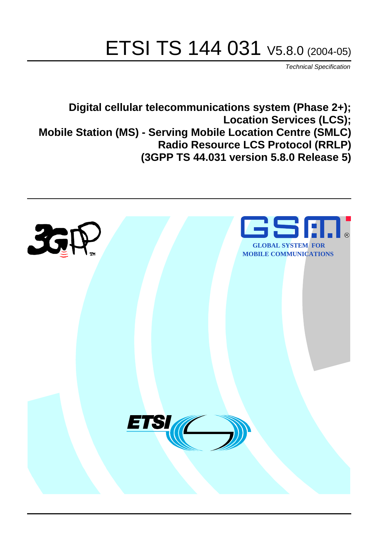# ETSI TS 144 031 V5.8.0 (2004-05)

Technical Specification

**Digital cellular telecommunications system (Phase 2+); Location Services (LCS); Mobile Station (MS) - Serving Mobile Location Centre (SMLC) Radio Resource LCS Protocol (RRLP) (3GPP TS 44.031 version 5.8.0 Release 5)**

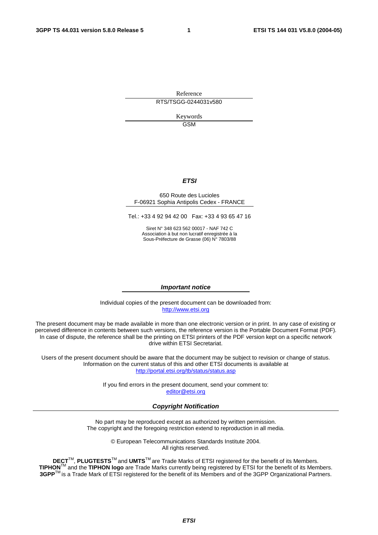Reference RTS/TSGG-0244031v580

> Keywords GSM

#### **ETSI**

#### 650 Route des Lucioles F-06921 Sophia Antipolis Cedex - FRANCE

Tel.: +33 4 92 94 42 00 Fax: +33 4 93 65 47 16

Siret N° 348 623 562 00017 - NAF 742 C Association à but non lucratif enregistrée à la Sous-Préfecture de Grasse (06) N° 7803/88

#### **Important notice**

Individual copies of the present document can be downloaded from: [http://www.etsi.org](http://www.etsi.org/)

The present document may be made available in more than one electronic version or in print. In any case of existing or perceived difference in contents between such versions, the reference version is the Portable Document Format (PDF). In case of dispute, the reference shall be the printing on ETSI printers of the PDF version kept on a specific network drive within ETSI Secretariat.

Users of the present document should be aware that the document may be subject to revision or change of status. Information on the current status of this and other ETSI documents is available at <http://portal.etsi.org/tb/status/status.asp>

> If you find errors in the present document, send your comment to: [editor@etsi.org](mailto:editor@etsi.org)

#### **Copyright Notification**

No part may be reproduced except as authorized by written permission. The copyright and the foregoing restriction extend to reproduction in all media.

> © European Telecommunications Standards Institute 2004. All rights reserved.

**DECT**TM, **PLUGTESTS**TM and **UMTS**TM are Trade Marks of ETSI registered for the benefit of its Members. **TIPHON**TM and the **TIPHON logo** are Trade Marks currently being registered by ETSI for the benefit of its Members. **3GPP**TM is a Trade Mark of ETSI registered for the benefit of its Members and of the 3GPP Organizational Partners.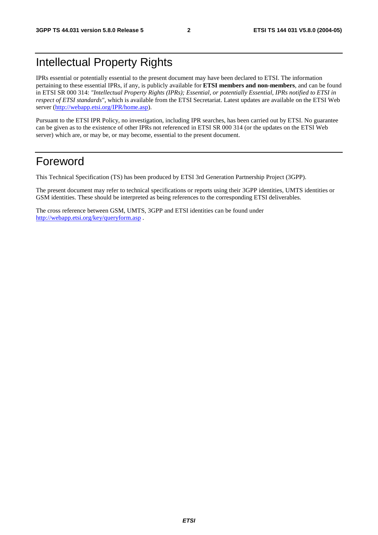## Intellectual Property Rights

IPRs essential or potentially essential to the present document may have been declared to ETSI. The information pertaining to these essential IPRs, if any, is publicly available for **ETSI members and non-members**, and can be found in ETSI SR 000 314: *"Intellectual Property Rights (IPRs); Essential, or potentially Essential, IPRs notified to ETSI in respect of ETSI standards"*, which is available from the ETSI Secretariat. Latest updates are available on the ETSI Web server ([http://webapp.etsi.org/IPR/home.asp\)](http://webapp.etsi.org/IPR/home.asp).

Pursuant to the ETSI IPR Policy, no investigation, including IPR searches, has been carried out by ETSI. No guarantee can be given as to the existence of other IPRs not referenced in ETSI SR 000 314 (or the updates on the ETSI Web server) which are, or may be, or may become, essential to the present document.

## Foreword

This Technical Specification (TS) has been produced by ETSI 3rd Generation Partnership Project (3GPP).

The present document may refer to technical specifications or reports using their 3GPP identities, UMTS identities or GSM identities. These should be interpreted as being references to the corresponding ETSI deliverables.

The cross reference between GSM, UMTS, 3GPP and ETSI identities can be found under <http://webapp.etsi.org/key/queryform.asp>.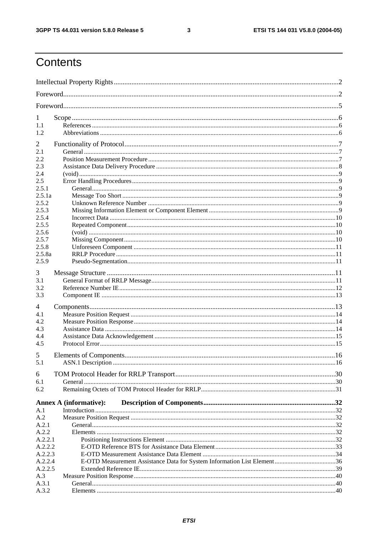$\mathbf{3}$ 

## Contents

| 1              |                               |  |
|----------------|-------------------------------|--|
| 1.1            |                               |  |
| 1.2            |                               |  |
| $\overline{2}$ |                               |  |
| 2.1            |                               |  |
| 2.2            |                               |  |
| 2.3            |                               |  |
| 2.4            |                               |  |
| 2.5            |                               |  |
| 2.5.1          |                               |  |
| 2.5.1a         |                               |  |
| 2.5.2          |                               |  |
| 2.5.3          |                               |  |
| 2.5.4          |                               |  |
| 2.5.5          |                               |  |
| 2.5.6          |                               |  |
| 2.5.7          |                               |  |
| 2.5.8          |                               |  |
| 2.5.8a         |                               |  |
| 2.5.9          |                               |  |
| 3              |                               |  |
| 3.1            |                               |  |
| 3.2            |                               |  |
| 3.3            |                               |  |
|                |                               |  |
| 4              |                               |  |
| 4.1            |                               |  |
| 4.2            |                               |  |
| 4.3            |                               |  |
| 4.4<br>4.5     |                               |  |
|                |                               |  |
| 5              |                               |  |
| 5.1            |                               |  |
| 6              |                               |  |
| 6.1            |                               |  |
| 6.2            |                               |  |
|                | <b>Annex A (informative):</b> |  |
| A.1            |                               |  |
| A.2            |                               |  |
| A.2.1          |                               |  |
| A.2.2          |                               |  |
| A.2.2.1        |                               |  |
| A.2.2.2        |                               |  |
| A.2.2.3        |                               |  |
| A.2.2.4        |                               |  |
| A.2.2.5        |                               |  |
| A.3            |                               |  |
| A.3.1          |                               |  |
| A.3.2          |                               |  |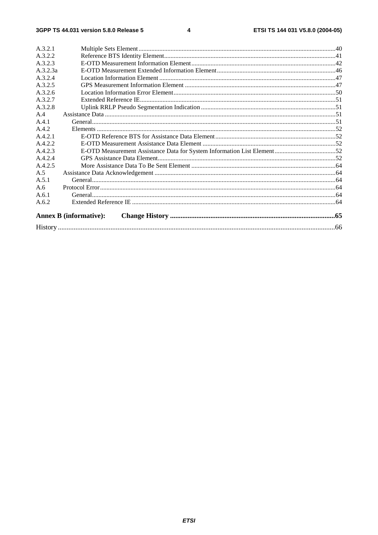| A.3.2.1  |                               |  |
|----------|-------------------------------|--|
| A.3.2.2  |                               |  |
| A.3.2.3  |                               |  |
| A.3.2.3a |                               |  |
| A.3.2.4  |                               |  |
| A.3.2.5  |                               |  |
| A.3.2.6  |                               |  |
| A.3.2.7  |                               |  |
| A.3.2.8  |                               |  |
| A.4      |                               |  |
| $A$ 4 1  |                               |  |
| A.4.2    |                               |  |
| A.4.2.1  |                               |  |
| A.4.2.2  |                               |  |
| A.4.2.3  |                               |  |
| A.4.2.4  |                               |  |
| A.4.2.5  |                               |  |
| A.5      |                               |  |
| A.5.1    |                               |  |
| A.6      |                               |  |
| A.6.1    |                               |  |
| A.6.2    |                               |  |
|          | <b>Annex B</b> (informative): |  |
|          |                               |  |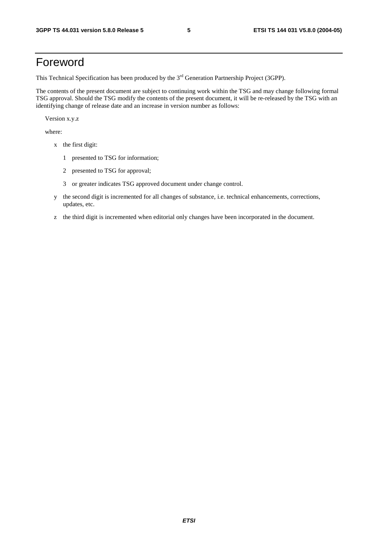## Foreword

This Technical Specification has been produced by the 3<sup>rd</sup> Generation Partnership Project (3GPP).

The contents of the present document are subject to continuing work within the TSG and may change following formal TSG approval. Should the TSG modify the contents of the present document, it will be re-released by the TSG with an identifying change of release date and an increase in version number as follows:

Version x.y.z

where:

- x the first digit:
	- 1 presented to TSG for information;
	- 2 presented to TSG for approval;
	- 3 or greater indicates TSG approved document under change control.
- y the second digit is incremented for all changes of substance, i.e. technical enhancements, corrections, updates, etc.
- z the third digit is incremented when editorial only changes have been incorporated in the document.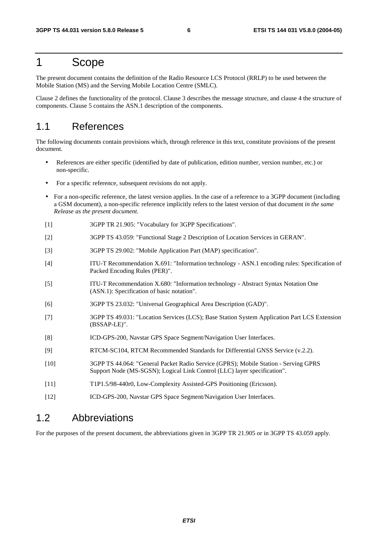## 1 Scope

The present document contains the definition of the Radio Resource LCS Protocol (RRLP) to be used between the Mobile Station (MS) and the Serving Mobile Location Centre (SMLC).

Clause 2 defines the functionality of the protocol. Clause 3 describes the message structure, and clause 4 the structure of components. Clause 5 contains the ASN.1 description of the components.

## 1.1 References

The following documents contain provisions which, through reference in this text, constitute provisions of the present document.

- References are either specific (identified by date of publication, edition number, version number, etc.) or non-specific.
- For a specific reference, subsequent revisions do not apply.
- For a non-specific reference, the latest version applies. In the case of a reference to a 3GPP document (including a GSM document), a non-specific reference implicitly refers to the latest version of that document *in the same Release as the present document*.
- [1] 3GPP TR 21.905: "Vocabulary for 3GPP Specifications".
- [2] 3GPP TS 43.059: "Functional Stage 2 Description of Location Services in GERAN".
- [3] 3GPP TS 29.002: "Mobile Application Part (MAP) specification".
- [4] ITU-T Recommendation X.691: "Information technology ASN.1 encoding rules: Specification of Packed Encoding Rules (PER)".
- [5] ITU-T Recommendation X.680: "Information technology Abstract Syntax Notation One (ASN.1): Specification of basic notation".
- [6] 3GPP TS 23.032: "Universal Geographical Area Description (GAD)".
- [7] 3GPP TS 49.031: "Location Services (LCS); Base Station System Application Part LCS Extension (BSSAP-LE)".
- [8] ICD-GPS-200, Navstar GPS Space Segment/Navigation User Interfaces.
- [9] RTCM-SC104, RTCM Recommended Standards for Differential GNSS Service (v.2.2).
- [10] 3GPP TS 44.064: "General Packet Radio Service (GPRS); Mobile Station Serving GPRS Support Node (MS-SGSN); Logical Link Control (LLC) layer specification".
- [11] T1P1.5/98-440r0, Low-Complexity Assisted-GPS Positioning (Ericsson).
- [12] ICD-GPS-200, Navstar GPS Space Segment/Navigation User Interfaces.

## 1.2 Abbreviations

For the purposes of the present document, the abbreviations given in 3GPP TR 21.905 or in 3GPP TS 43.059 apply.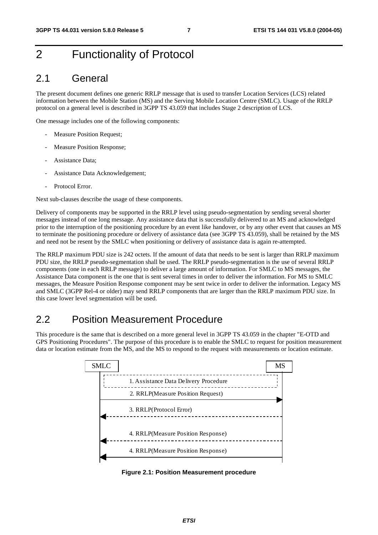## 2 Functionality of Protocol

## 2.1 General

The present document defines one generic RRLP message that is used to transfer Location Services (LCS) related information between the Mobile Station (MS) and the Serving Mobile Location Centre (SMLC). Usage of the RRLP protocol on a general level is described in 3GPP TS 43.059 that includes Stage 2 description of LCS.

One message includes one of the following components:

- Measure Position Request;
- Measure Position Response;
- Assistance Data;
- Assistance Data Acknowledgement;
- Protocol Error

Next sub-clauses describe the usage of these components.

Delivery of components may be supported in the RRLP level using pseudo-segmentation by sending several shorter messages instead of one long message. Any assistance data that is successfully delivered to an MS and acknowledged prior to the interruption of the positioning procedure by an event like handover, or by any other event that causes an MS to terminate the positioning procedure or delivery of assistance data (see 3GPP TS 43.059), shall be retained by the MS and need not be resent by the SMLC when positioning or delivery of assistance data is again re-attempted.

The RRLP maximum PDU size is 242 octets. If the amount of data that needs to be sent is larger than RRLP maximum PDU size, the RRLP pseudo-segmentation shall be used. The RRLP pseudo-segmentation is the use of several RRLP components (one in each RRLP message) to deliver a large amount of information. For SMLC to MS messages, the Assistance Data component is the one that is sent several times in order to deliver the information. For MS to SMLC messages, the Measure Position Response component may be sent twice in order to deliver the information. Legacy MS and SMLC (3GPP Rel-4 or older) may send RRLP components that are larger than the RRLP maximum PDU size. In this case lower level segmentation will be used.

## 2.2 Position Measurement Procedure

This procedure is the same that is described on a more general level in 3GPP TS 43.059 in the chapter "E-OTD and GPS Positioning Procedures". The purpose of this procedure is to enable the SMLC to request for position measurement data or location estimate from the MS, and the MS to respond to the request with measurements or location estimate.



**Figure 2.1: Position Measurement procedure**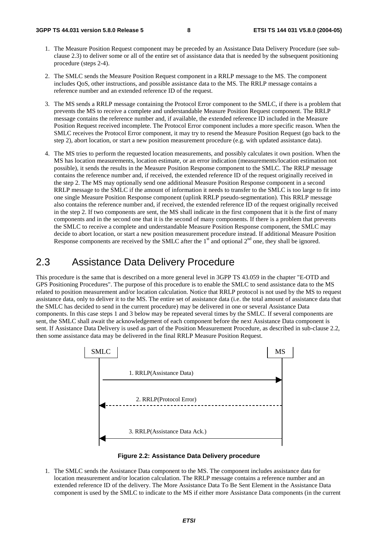- 1. The Measure Position Request component may be preceded by an Assistance Data Delivery Procedure (see subclause 2.3) to deliver some or all of the entire set of assistance data that is needed by the subsequent positioning procedure (steps 2-4).
- 2. The SMLC sends the Measure Position Request component in a RRLP message to the MS. The component includes QoS, other instructions, and possible assistance data to the MS. The RRLP message contains a reference number and an extended reference ID of the request.
- 3. The MS sends a RRLP message containing the Protocol Error component to the SMLC, if there is a problem that prevents the MS to receive a complete and understandable Measure Position Request component. The RRLP message contains the reference number and, if available, the extended reference ID included in the Measure Position Request received incomplete. The Protocol Error component includes a more specific reason. When the SMLC receives the Protocol Error component, it may try to resend the Measure Position Request (go back to the step 2), abort location, or start a new position measurement procedure (e.g. with updated assistance data).
- 4. The MS tries to perform the requested location measurements, and possibly calculates it own position. When the MS has location measurements, location estimate, or an error indication (measurements/location estimation not possible), it sends the results in the Measure Position Response component to the SMLC. The RRLP message contains the reference number and, if received, the extended reference ID of the request originally received in the step 2. The MS may optionally send one additional Measure Position Response component in a second RRLP message to the SMLC if the amount of information it needs to transfer to the SMLC is too large to fit into one single Measure Position Response component (uplink RRLP pseudo-segmentation). This RRLP message also contains the reference number and, if received, the extended reference ID of the request originally received in the step 2. If two components are sent, the MS shall indicate in the first component that it is the first of many components and in the second one that it is the second of many components. If there is a problem that prevents the SMLC to receive a complete and understandable Measure Position Response component, the SMLC may decide to abort location, or start a new position measurement procedure instead. If additional Measure Position Response components are received by the SMLC after the  $1<sup>st</sup>$  and optional  $2<sup>nd</sup>$  one, they shall be ignored.

## 2.3 Assistance Data Delivery Procedure

This procedure is the same that is described on a more general level in 3GPP TS 43.059 in the chapter "E-OTD and GPS Positioning Procedures". The purpose of this procedure is to enable the SMLC to send assistance data to the MS related to position measurement and/or location calculation. Notice that RRLP protocol is not used by the MS to request assistance data, only to deliver it to the MS. The entire set of assistance data (i.e. the total amount of assistance data that the SMLC has decided to send in the current procedure) may be delivered in one or several Assistance Data components. In this case steps 1 and 3 below may be repeated several times by the SMLC. If several components are sent, the SMLC shall await the acknowledgement of each component before the next Assistance Data component is sent. If Assistance Data Delivery is used as part of the Position Measurement Procedure, as described in sub-clause 2.2, then some assistance data may be delivered in the final RRLP Measure Position Request.



![](_page_8_Figure_10.jpeg)

1. The SMLC sends the Assistance Data component to the MS. The component includes assistance data for location measurement and/or location calculation. The RRLP message contains a reference number and an extended reference ID of the delivery. The More Assistance Data To Be Sent Element in the Assistance Data component is used by the SMLC to indicate to the MS if either more Assistance Data components (in the current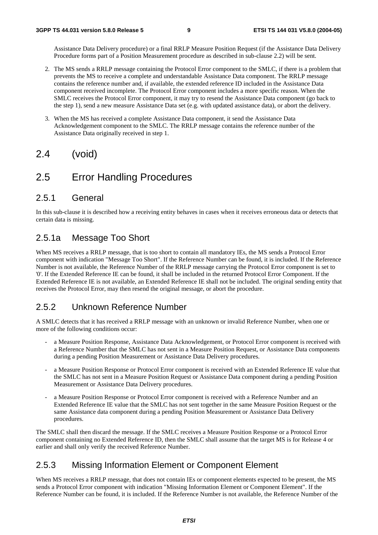Assistance Data Delivery procedure) or a final RRLP Measure Position Request (if the Assistance Data Delivery Procedure forms part of a Position Measurement procedure as described in sub-clause 2.2) will be sent.

- 2. The MS sends a RRLP message containing the Protocol Error component to the SMLC, if there is a problem that prevents the MS to receive a complete and understandable Assistance Data component. The RRLP message contains the reference number and, if available, the extended reference ID included in the Assistance Data component received incomplete. The Protocol Error component includes a more specific reason. When the SMLC receives the Protocol Error component, it may try to resend the Assistance Data component (go back to the step 1), send a new measure Assistance Data set (e.g. with updated assistance data), or abort the delivery.
- 3. When the MS has received a complete Assistance Data component, it send the Assistance Data Acknowledgement component to the SMLC. The RRLP message contains the reference number of the Assistance Data originally received in step 1.

## 2.4 (void)

## 2.5 Error Handling Procedures

### 2.5.1 General

In this sub-clause it is described how a receiving entity behaves in cases when it receives erroneous data or detects that certain data is missing.

## 2.5.1a Message Too Short

When MS receives a RRLP message, that is too short to contain all mandatory IEs, the MS sends a Protocol Error component with indication "Message Too Short". If the Reference Number can be found, it is included. If the Reference Number is not available, the Reference Number of the RRLP message carrying the Protocol Error component is set to '0'. If the Extended Reference IE can be found, it shall be included in the returned Protocol Error Component. If the Extended Reference IE is not available, an Extended Reference IE shall not be included. The original sending entity that receives the Protocol Error, may then resend the original message, or abort the procedure.

## 2.5.2 Unknown Reference Number

A SMLC detects that it has received a RRLP message with an unknown or invalid Reference Number, when one or more of the following conditions occur:

- a Measure Position Response, Assistance Data Acknowledgement, or Protocol Error component is received with a Reference Number that the SMLC has not sent in a Measure Position Request, or Assistance Data components during a pending Position Measurement or Assistance Data Delivery procedures.
- a Measure Position Response or Protocol Error component is received with an Extended Reference IE value that the SMLC has not sent in a Measure Position Request or Assistance Data component during a pending Position Measurement or Assistance Data Delivery procedures.
- a Measure Position Response or Protocol Error component is received with a Reference Number and an Extended Reference IE value that the SMLC has not sent together in the same Measure Position Request or the same Assistance data component during a pending Position Measurement or Assistance Data Delivery procedures.

The SMLC shall then discard the message. If the SMLC receives a Measure Position Response or a Protocol Error component containing no Extended Reference ID, then the SMLC shall assume that the target MS is for Release 4 or earlier and shall only verify the received Reference Number.

## 2.5.3 Missing Information Element or Component Element

When MS receives a RRLP message, that does not contain IEs or component elements expected to be present, the MS sends a Protocol Error component with indication "Missing Information Element or Component Element". If the Reference Number can be found, it is included. If the Reference Number is not available, the Reference Number of the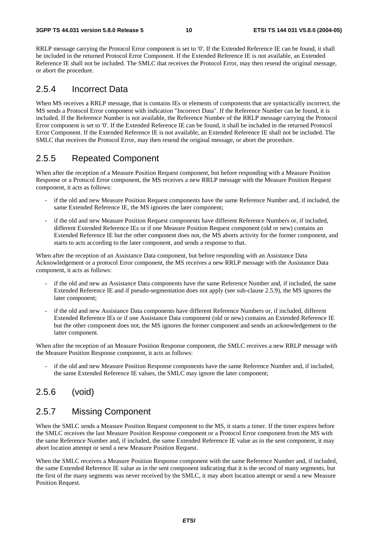RRLP message carrying the Protocol Error component is set to '0'. If the Extended Reference IE can be found, it shall be included in the returned Protocol Error Component. If the Extended Reference IE is not available, an Extended Reference IE shall not be included. The SMLC that receives the Protocol Error, may then resend the original message, or abort the procedure.

### 2.5.4 Incorrect Data

When MS receives a RRLP message, that is contains IEs or elements of components that are syntactically incorrect, the MS sends a Protocol Error component with indication "Incorrect Data". If the Reference Number can be found, it is included. If the Reference Number is not available, the Reference Number of the RRLP message carrying the Protocol Error component is set to '0'. If the Extended Reference IE can be found, it shall be included in the returned Protocol Error Component. If the Extended Reference IE is not available, an Extended Reference IE shall not be included. The SMLC that receives the Protocol Error, may then resend the original message, or abort the procedure.

## 2.5.5 Repeated Component

When after the reception of a Measure Position Request component, but before responding with a Measure Position Response or a Protocol Error component, the MS receives a new RRLP message with the Measure Position Request component, it acts as follows:

- if the old and new Measure Position Request components have the same Reference Number and, if included, the same Extended Reference IE, the MS ignores the later component;
- if the old and new Measure Position Request components have different Reference Numbers or, if included, different Extended Reference IEs or if one Measure Position Request component (old or new) contains an Extended Reference IE but the other component does not, the MS aborts activity for the former component, and starts to acts according to the later component, and sends a response to that.

When after the reception of an Assistance Data component, but before responding with an Assistance Data Acknowledgement or a protocol Error component, the MS receives a new RRLP message with the Assistance Data component, it acts as follows:

- if the old and new an Assistance Data components have the same Reference Number and, if included, the same Extended Reference IE and if pseudo-segmentation does not apply (see sub-clause 2.5.9), the MS ignores the later component;
- if the old and new Assistance Data components have different Reference Numbers or, if included, different Extended Reference IEs or if one Assistance Data component (old or new) contains an Extended Reference IE but the other component does not, the MS ignores the former component and sends an acknowledgement to the latter component.

When after the reception of an Measure Position Response component, the SMLC receives a new RRLP message with the Measure Position Response component, it acts as follows:

if the old and new Measure Position Response components have the same Reference Number and, if included, the same Extended Reference IE values, the SMLC may ignore the later component;

## 2.5.6 (void)

## 2.5.7 Missing Component

When the SMLC sends a Measure Position Request component to the MS, it starts a timer. If the timer expires before the SMLC receives the last Measure Position Response component or a Protocol Error component from the MS with the same Reference Number and, if included, the same Extended Reference IE value as in the sent component, it may abort location attempt or send a new Measure Position Request.

When the SMLC receives a Measure Position Response component with the same Reference Number and, if included, the same Extended Reference IE value as in the sent component indicating that it is the second of many segments, but the first of the many segments was never received by the SMLC, it may abort location attempt or send a new Measure Position Request.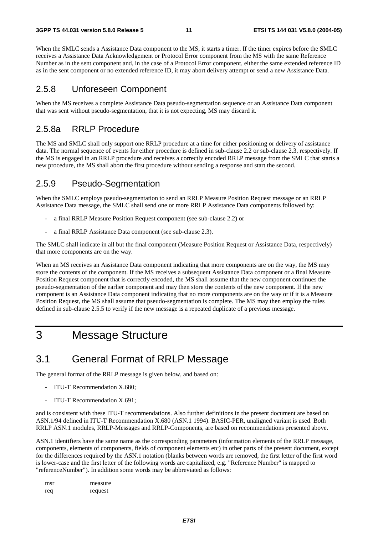When the SMLC sends a Assistance Data component to the MS, it starts a timer. If the timer expires before the SMLC receives a Assistance Data Acknowledgement or Protocol Error component from the MS with the same Reference Number as in the sent component and, in the case of a Protocol Error component, either the same extended reference ID as in the sent component or no extended reference ID, it may abort delivery attempt or send a new Assistance Data.

### 2.5.8 Unforeseen Component

When the MS receives a complete Assistance Data pseudo-segmentation sequence or an Assistance Data component that was sent without pseudo-segmentation, that it is not expecting, MS may discard it.

## 2.5.8a RRLP Procedure

The MS and SMLC shall only support one RRLP procedure at a time for either positioning or delivery of assistance data. The normal sequence of events for either procedure is defined in sub-clause 2.2 or sub-clause 2.3, respectively. If the MS is engaged in an RRLP procedure and receives a correctly encoded RRLP message from the SMLC that starts a new procedure, the MS shall abort the first procedure without sending a response and start the second.

### 2.5.9 Pseudo-Segmentation

When the SMLC employs pseudo-segmentation to send an RRLP Measure Position Request message or an RRLP Assistance Data message, the SMLC shall send one or more RRLP Assistance Data components followed by:

- a final RRLP Measure Position Request component (see sub-clause 2.2) or
- a final RRLP Assistance Data component (see sub-clause 2.3).

The SMLC shall indicate in all but the final component (Measure Position Request or Assistance Data, respectively) that more components are on the way.

When an MS receives an Assistance Data component indicating that more components are on the way, the MS may store the contents of the component. If the MS receives a subsequent Assistance Data component or a final Measure Position Request component that is correctly encoded, the MS shall assume that the new component continues the pseudo-segmentation of the earlier component and may then store the contents of the new component. If the new component is an Assistance Data component indicating that no more components are on the way or if it is a Measure Position Request, the MS shall assume that pseudo-segmentation is complete. The MS may then employ the rules defined in sub-clause 2.5.5 to verify if the new message is a repeated duplicate of a previous message.

## 3 Message Structure

## 3.1 General Format of RRLP Message

The general format of the RRLP message is given below, and based on:

- ITU-T Recommendation X.680:
- ITU-T Recommendation X.691:

and is consistent with these ITU-T recommendations. Also further definitions in the present document are based on ASN.1/94 defined in ITU-T Recommendation X.680 (ASN.1 1994). BASIC-PER, unaligned variant is used. Both RRLP ASN.1 modules, RRLP-Messages and RRLP-Components, are based on recommendations presented above.

ASN.1 identifiers have the same name as the corresponding parameters (information elements of the RRLP message, components, elements of components, fields of component elements etc) in other parts of the present document, except for the differences required by the ASN.1 notation (blanks between words are removed, the first letter of the first word is lower-case and the first letter of the following words are capitalized, e.g. "Reference Number" is mapped to "referenceNumber"). In addition some words may be abbreviated as follows:

| msr | measure |
|-----|---------|
| req | request |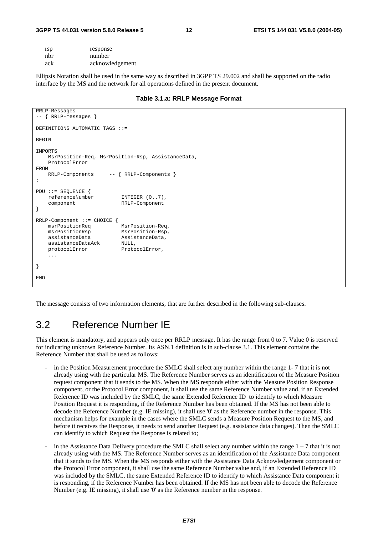#### **3GPP TS 44.031 version 5.8.0 Release 5 12 ETSI TS 144 031 V5.8.0 (2004-05)**

| rsp | response        |
|-----|-----------------|
| nbr | number          |
| ack | acknowledgement |

Ellipsis Notation shall be used in the same way as described in 3GPP TS 29.002 and shall be supported on the radio interface by the MS and the network for all operations defined in the present document.

#### **Table 3.1.a: RRLP Message Format**

```
RRLP-Messages 
-- { RRLP-messages } 
DEFINITIONS AUTOMATIC TAGS ::= 
BEGIN
IMPORTS 
    MsrPosition-Req, MsrPosition-Rsp, AssistanceData, 
    ProtocolError 
FROM 
    RRLP-Components -- { RRLP-Components } 
; 
PDU ::= SEQUENCE { 
    referenceNumber INTEGER (0..7), 
    component RRLP-Component 
} 
RRLP-Component ::= CHOICE { 
   msrPositionReq<br>msrPositionRsp
                           MsrPosition-Rsp,
    assistanceData AssistanceData, 
   assistanceDataAck NULL,
   protocolError ProtocolError,
     ... 
} 
END
```
The message consists of two information elements, that are further described in the following sub-clauses.

## 3.2 Reference Number IE

This element is mandatory, and appears only once per RRLP message. It has the range from 0 to 7. Value 0 is reserved for indicating unknown Reference Number. Its ASN.1 definition is in sub-clause 3.1. This element contains the Reference Number that shall be used as follows:

- in the Position Measurement procedure the SMLC shall select any number within the range 1-7 that it is not already using with the particular MS. The Reference Number serves as an identification of the Measure Position request component that it sends to the MS. When the MS responds either with the Measure Position Response component, or the Protocol Error component, it shall use the same Reference Number value and, if an Extended Reference ID was included by the SMLC, the same Extended Reference ID to identify to which Measure Position Request it is responding, if the Reference Number has been obtained. If the MS has not been able to decode the Reference Number (e.g. IE missing), it shall use '0' as the Reference number in the response. This mechanism helps for example in the cases where the SMLC sends a Measure Position Request to the MS, and before it receives the Response, it needs to send another Request (e.g. assistance data changes). Then the SMLC can identify to which Request the Response is related to;
- in the Assistance Data Delivery procedure the SMLC shall select any number within the range  $1 7$  that it is not already using with the MS. The Reference Number serves as an identification of the Assistance Data component that it sends to the MS. When the MS responds either with the Assistance Data Acknowledgement component or the Protocol Error component, it shall use the same Reference Number value and, if an Extended Reference ID was included by the SMLC, the same Extended Reference ID to identify to which Assistance Data component it is responding, if the Reference Number has been obtained. If the MS has not been able to decode the Reference Number (e.g. IE missing), it shall use '0' as the Reference number in the response.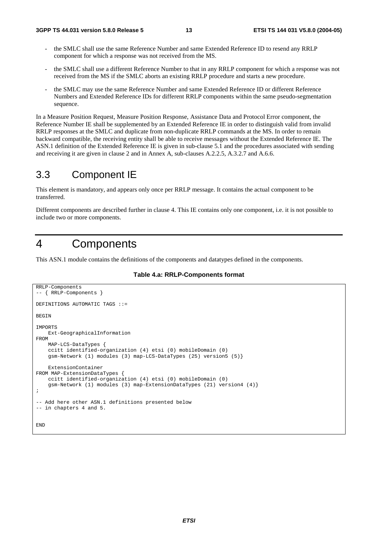- the SMLC shall use the same Reference Number and same Extended Reference ID to resend any RRLP component for which a response was not received from the MS.
- the SMLC shall use a different Reference Number to that in any RRLP component for which a response was not received from the MS if the SMLC aborts an existing RRLP procedure and starts a new procedure.
- the SMLC may use the same Reference Number and same Extended Reference ID or different Reference Numbers and Extended Reference IDs for different RRLP components within the same pseudo-segmentation sequence.

In a Measure Position Request, Measure Position Response, Assistance Data and Protocol Error component, the Reference Number IE shall be supplemented by an Extended Reference IE in order to distinguish valid from invalid RRLP responses at the SMLC and duplicate from non-duplicate RRLP commands at the MS. In order to remain backward compatible, the receiving entity shall be able to receive messages without the Extended Reference IE. The ASN.1 definition of the Extended Reference IE is given in sub-clause 5.1 and the procedures associated with sending and receiving it are given in clause 2 and in Annex A, sub-clauses A.2.2.5, A.3.2.7 and A.6.6.

## 3.3 Component IE

This element is mandatory, and appears only once per RRLP message. It contains the actual component to be transferred.

Different components are described further in clause 4. This IE contains only one component, i.e. it is not possible to include two or more components.

## 4 Components

This ASN.1 module contains the definitions of the components and datatypes defined in the components.

**Table 4.a: RRLP-Components format** 

```
RRLP-Components 
-- { RRLP-Components } 
DEFINITIONS AUTOMATIC TAGS ::= 
BEGIN 
IMPORTS 
     Ext-GeographicalInformation 
FROM 
     MAP-LCS-DataTypes { 
     ccitt identified-organization (4) etsi (0) mobileDomain (0) 
     gsm-Network (1) modules (3) map-LCS-DataTypes (25) version5 (5)} 
     ExtensionContainer 
FROM MAP-ExtensionDataTypes { 
     ccitt identified-organization (4) etsi (0) mobileDomain (0) 
     gsm-Network (1) modules (3) map-ExtensionDataTypes (21) version4 (4)} 
; 
-- Add here other ASN.1 definitions presented below 
-- in chapters 4 and 5. 
END
```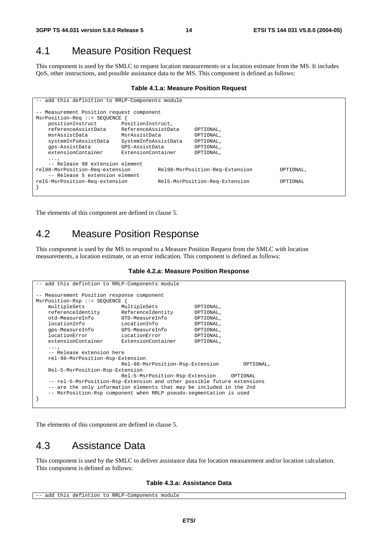## 4.1 Measure Position Request

This component is used by the SMLC to request location measurements or a location estimate from the MS. It includes QoS, other instructions, and possible assistance data to the MS. This component is defined as follows:

#### **Table 4.1.a: Measure Position Request**

```
-- add this definition to RRLP-Components module 
 -- Measurement Position request component 
MsrPosition-Req ::= SEQUENCE { 
    positionInstruct PositionInstruct, 
    referenceAssistData ReferenceAssistData OPTIONAL, 
                         MsrAssistData
    systemInfoAssistData SystemInfoAssistData OPTIONAL, 
    gps-AssistData GPS-AssistData OPTIONAL, 
    extensionContainer ExtensionContainer OPTIONAL, 
    ..., 
     -- Release 98 extension element 
rel98-MsrPosition-Req-extension Rel98-MsrPosition-Req-Extension OPTIONAL, 
    -- Release 5 extension element 
rel5-MsrPosition-Req-extension Rel5-MsrPosition-Req-Extension OPTIONAL 
}
```
The elements of this component are defined in clause 5.

## 4.2 Measure Position Response

This component is used by the MS to respond to a Measure Position Request from the SMLC with location measurements, a location estimate, or an error indication. This component is defined as follows:

#### **Table 4.2.a: Measure Position Response**

```
-- add this defintion to RRLP-Components module
-- Measurement Position response component 
MsrPosition-Rsp ::= SEQUENCE { 
   multipleSets MultipleSets OPTIONAL,<br>
referenceIdentity ReferenceIdentity OPTIONAL,
   referenceIdentity ReferenceIdentity OPTIONAL,<br>otd-MeasureInfo OTD-MeasureInfo OPTIONAL,
 otd-MeasureInfo OTD-MeasureInfo OPTIONAL, 
 locationInfo LocationInfo OPTIONAL, 
    gps-MeasureInfo GPS-MeasureInfo OPTIONAL, 
    locationError LocationError OPTIONAL, 
    extensionContainer ExtensionContainer OPTIONAL, 
...,
    -- Release extension here 
    rel-98-MsrPosition-Rsp-Extension 
                            Rel-98-MsrPosition-Rsp-Extension OPTIONAL, 
    Rel-5-MsrPosition-Rsp-Extension 
                            Rel-5-MsrPosition-Rsp-Extension OPTIONAL 
     -- rel-5-MsrPosition-Rsp-Extension and other possible future extensions 
    -- are the only information elements that may be included in the 2nd 
    -- MsrPosition-Rsp component when RRLP pseudo-segmentation is used 
}
```
The elements of this component are defined in clause 5.

## 4.3 Assistance Data

This component is used by the SMLC to deliver assistance data for location measurement and/or location calculation. This component is defined as follows:

#### **Table 4.3.a: Assistance Data**

```
-- add this defintion to RRLP-Components module
```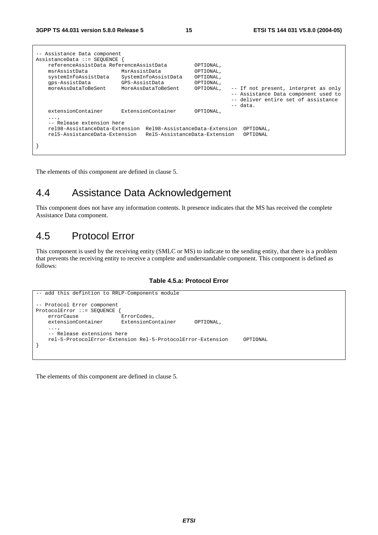| -- Assistance Data component<br>$AssistanceData :: = SEOUENCE$                                           |                                                                 |                        |                                                                                                                                   |
|----------------------------------------------------------------------------------------------------------|-----------------------------------------------------------------|------------------------|-----------------------------------------------------------------------------------------------------------------------------------|
| referenceAssistData ReferenceAssistData<br>msrAssistData                                                 | MsrAssistData                                                   | OPTIONAL,<br>OPTIONAL, |                                                                                                                                   |
| systemInfoAssistData                                                                                     | SystemInfoAssistData                                            | OPTIONAL,              |                                                                                                                                   |
| qps-AssistData                                                                                           | GPS-AssistData                                                  | OPTIONAL,              |                                                                                                                                   |
| moreAssDataToBeSent                                                                                      | MoreAssDataToBeSent                                             | OPTIONAL,              | -- If not present, interpret as only<br>-- Assistance Data component used to<br>-- deliver entire set of assistance<br>$--$ data. |
| extensionContainer                                                                                       | ExtensionContainer                                              | OPTIONAL,              |                                                                                                                                   |
| $\cdots$<br>-- Release extension here<br>rel98-AssistanceData-Extension<br>rel5-AssistanceData-Extension | Rel98-AssistanceData-Extension<br>Rel5-AssistanceData-Extension |                        | OPTIONAL,<br>OPTIONAL                                                                                                             |
|                                                                                                          |                                                                 |                        |                                                                                                                                   |

The elements of this component are defined in clause 5.

## 4.4 Assistance Data Acknowledgement

This component does not have any information contents. It presence indicates that the MS has received the complete Assistance Data component.

## 4.5 Protocol Error

This component is used by the receiving entity (SMLC or MS) to indicate to the sending entity, that there is a problem that prevents the receiving entity to receive a complete and understandable component. This component is defined as follows:

#### **Table 4.5.a: Protocol Error**

```
-- add this defintion to RRLP-Components module 
-- Protocol Error component 
ProtocolError ::= SEQUENCE {<br>errorCause ErrorCodes,
   errorCause extensionContainer ExtensionContainer OPTIONAL, 
     ..., 
     -- Release extensions here 
     rel-5-ProtocolError-Extension Rel-5-ProtocolError-Extension OPTIONAL 
}
```
The elements of this component are defined in clause 5.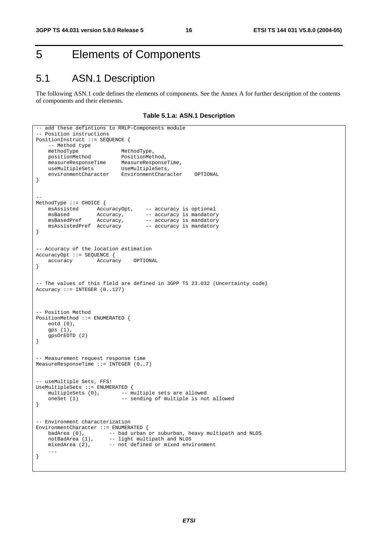## 5 Elements of Components

## 5.1 ASN.1 Description

The following ASN.1 code defines the elements of components. See the Annex A for further description of the contents of components and their elements.

**Table 5.1.a: ASN.1 Description** 

```
-- add these defintions to RRLP-Components module
-- Position instructions 
PositionInstruct ::= SEQUENCE { 
   -- Method type<br>methodType
   methodType MethodType,<br>positionMethod PositionMet<br>measuur:
 positionMethod PositionMethod, 
 measureResponseTime MeasureResponseTime, 
 useMultipleSets UseMultipleSets, 
 environmentCharacter EnvironmentCharacter OPTIONAL 
} 
-- 
MethodType ::= CHOICE { 
 msAssisted AccuracyOpt, -- accuracy is optional 
msBased Mccuracy, -- accuracy is mandatory
msBasedPref Accuracy, -- accuracy is mandatory
    msAssistedPref Accuracy –- accuracy is mandatory 
} 
-- Accuracy of the location estimation 
AccuracyOpt ::= SEQUENCE {<br>accuracy Accurac
                    accuracy Accuracy OPTIONAL 
} 
-- The values of this field are defined in 3GPP TS 23.032 (Uncertainty code) 
Accuracy ::= INTEGR (0.127)-- Position Method 
PositionMethod ::= ENUMERATED { 
    eotd (0), 
    gps (1), 
    gpsOrEOTD (2) 
} 
-- Measurement request response time 
MeasureResponseTime ::= INTEGER (0..7) 
-- useMultiple Sets, FFS! 
UseMultipleSets ::= ENUMERATED { 
   multipleSets (0), \qquad - multiple sets are allowed
    oneSet (1) -- sending of multiple is not allowed
} 
-- Environment characterization 
EnvironmentCharacter ::= ENUMERATED {<br>badArea (0), -- bad urban
 badArea (0), -- bad urban or suburban, heavy multipath and NLOS 
notBadArea (1), -- light multipath and NLOS
 mixedArea (2), -- not defined or mixed environment 
     ... 
}
```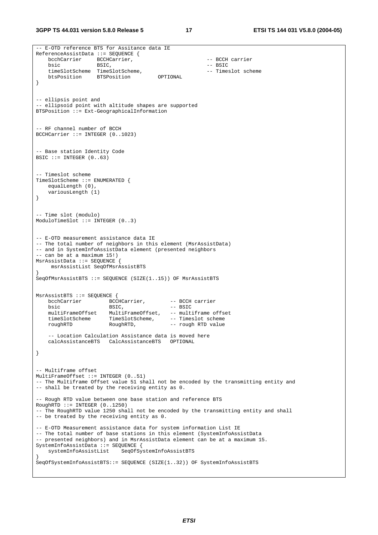```
-- E-OTD reference BTS for Assitance data IE 
ReferenceAssistData ::= SEQUENCE { 
   bcchCarrier BCCHCarrier, \overline{C} -- BCCH carrier
   bsic BSIC, - BSIC
   timeSlotScheme TimeSlotScheme, -- Timeslot scheme<br>btsPosition BTSPosition OPTIONAL
                  BTSPosition
} 
-- ellipsis point and 
-- ellipsoid point with altitude shapes are supported 
BTSPosition ::= Ext-GeographicalInformation 
-- RF channel number of BCCH 
BCCHCarrier ::= INTEGER (0..1023) 
-- Base station Identity Code 
BSIC ::= INTEGER (0..63)-- Timeslot scheme 
TimeSlotScheme ::= ENUMERATED { 
   equalLength (0),
    variousLength (1) 
} 
-- Time slot (modulo) 
ModuloTimeSlot ::= INTEGER (0..3) 
-- E-OTD measurement assistance data IE 
-- The total number of neighbors in this element (MsrAssistData) 
-- and in SystemInfoAssistData element (presented neighbors 
-- can be at a maximum 15!) 
MsrAssistData ::= SEQUENCE { 
     msrAssistList SeqOfMsrAssistBTS 
} 
SeqOfMsrAssistBTS ::= SEQUENCE (SIZE(1..15)) OF MsrAssistBTS 
MsrAssistBTS ::= SEQUENCE { 
   bcchCarrier BCCHCarrier, -- BCCH carrier 
   bsic -- BSIC, -- BSIC<br>multiFrameOffset MultiFrameOffset, -- multi
                       MultiFrameOffset, -- multiframe offset
   timeSlotScheme TimeSlotScheme, -- Timeslot scheme
    roughRTD RoughRTD, -- rough RTD value 
    -- Location Calculation Assistance data is moved here 
    calcAssistanceBTS CalcAssistanceBTS OPTIONAL 
} 
 - Multiframe offset
MultiFrameOffset ::= INTEGER (0..51) 
-- The Multiframe Offset value 51 shall not be encoded by the transmitting entity and 
-- shall be treated by the receiving entity as 0. 
 - Rough RTD value between one base station and reference BTS
RoughRTD :: = INTERER (0..1250)-- The RoughRTD value 1250 shall not be encoded by the transmitting entity and shall 
-- be treated by the receiving entity as 0. 
-- E-OTD Measurement assistance data for system information List IE 
-- The total number of base stations in this element (SystemInfoAssistData
-- presented neighbors) and in MsrAssistData element can be at a maximum 15. 
SystemInfoAssistData ::= SEQUENCE { 
                          SeqOfSystemInfoAssistBTS
} 
SeqOfSystemInfoAssistBTS::= SEQUENCE (SIZE(1..32)) OF SystemInfoAssistBTS
```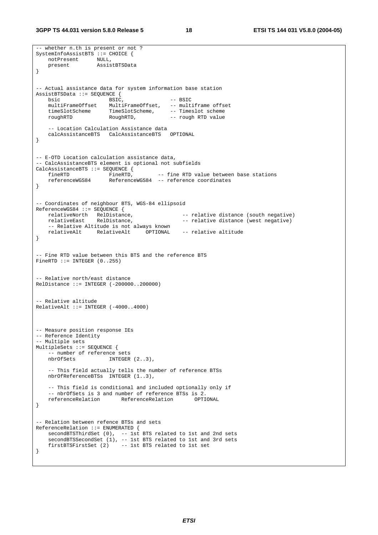**3GPP TS 44.031 version 5.8.0 Release 5 18 ETSI TS 144 031 V5.8.0 (2004-05)**

-- whether n.th is present or not ? SystemInfoAssistBTS ::= CHOICE { notPresent NULL, present AssistBTSData } -- Actual assistance data for system information base station AssistBTSData ::= SEQUENCE {<br>bsic BSIC. bsic -- BSIC<br>multiFrameOffset MultiFrameOffset, -- mult MultiFrameOffset, -- multiframe offset timeSlotScheme TimeSlotScheme, -- Timeslot scheme roughRTD RoughRTD, -- rough RTD value -- Location Calculation Assistance data calcAssistanceBTS CalcAssistanceBTS } -- E-OTD Location calculation assistance data, -- CalcAssistanceBTS element is optional not subfields CalcAssistanceBTS ::= SEQUENCE {<br>fineRTD FineRTD, fineRTD FineRTD, -- fine RTD value between base stations<br>referenceWGS84 ReferenceWGS84 -- reference coordinates ReferenceWGS84 -- reference coordinates } -- Coordinates of neighbour BTS, WGS-84 ellipsoid ReferenceWGS84 ::= SEQUENCE { relativeNorth RelDistance,  $\begin{array}{ccc} - & - & \text{relative distance (south negative)} \\ \text{relative distance (west negative)} \end{array}$ -- relative distance (west negative) -- Relative Altitude is not always known relativeAlt RelativeAlt OPTIONAL -- relative altitude } -- Fine RTD value between this BTS and the reference BTS FineRTD  $::=$  INTEGER  $(0..255)$ -- Relative north/east distance RelDistance ::= INTEGER (-200000..200000) -- Relative altitude  $RelativeAlt ::= INTER ( -4000..4000)$ -- Measure position response IEs -- Reference Identity -- Multiple sets MultipleSets ::= SEQUENCE { -- number of reference sets  $INTEGR (2..3)$ , -- This field actually tells the number of reference BTSs nbrOfReferenceBTSs INTEGER (1..3), -- This field is conditional and included optionally only if -- nbrOfSets is 3 and number of reference BTSs is 2.<br>referenceRelation ReferenceRelation OPTIONAL referenceRelation ReferenceRelation } -- Relation between refence BTSs and sets ReferenceRelation ::= ENUMERATED { secondBTSThirdSet (0), -- 1st BTS related to 1st and 2nd sets secondBTSSecondSet (1), -- 1st BTS related to 1st and 3rd sets firstBTSFirstSet (2) -- 1st BTS related to 1st set }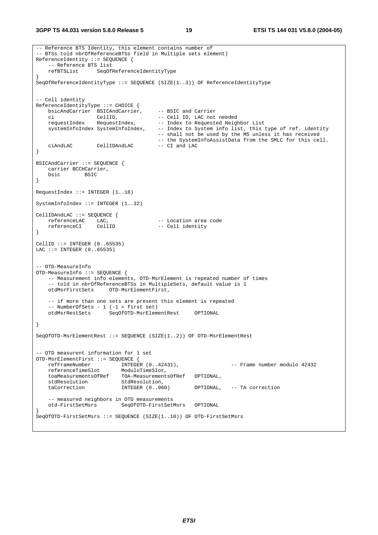```
-- Reference BTS Identity, this element contains number of 
 - BTSs told nbrOfReferenceBTSs field in Multiple sets element)
ReferenceIdentity ::= SEQUENCE { 
     -- Reference BTS list 
    refBTSList SeqOfReferenceIdentityType 
} 
SeqOfReferenceIdentityType ::= SEQUENCE (SIZE(1..3)) OF ReferenceIdentityType 
 - Cell identity
ReferenceIdentityType ::= CHOICE { 
   bsicAndCarrier BSICAndCarrier, -- BSIC and Carrier<br>ci CellID, -- Cell ID, LAC not needed
 ci CellID, -- Cell ID, LAC not needed 
requestIndex RequestIndex, -- Index to Requested Neighbor List
   systemInfoIndex SystemInfoIndex, -- Index to System info list, this type of ref. identity
                                        -- shall not be used by the MS unless it has received 
                                       -- the SystemInfoAssistData from the SMLC for this cell.<br>-- CI and LAC
   ciAndLAC CellIDAndLAC
} 
BSICAndCarrier ::= SEQUENCE { 
    carrier BCCHCarrier, 
    bsic BSIC 
} 
RequestIndex ::= INTEGER (1..16)SystemInfoIndex ::= INTEGER (1..32) 
CellIDAndLAC ::= SEQUENCE { 
referenceLAC LAC, \qquad \qquad - Location area code
 referenceCI CellID -- Cell identity 
} 
CellID ::= INTEGER (0..65535) 
LAC ::= INTEGER (0..65535)-- OTD-MeasureInfo 
OTD-MeasureInfo ::= SEQUENCE { 
    -- Measurement info elements, OTD-MsrElement is repeated number of times 
    -- told in nbrOfReferenceBTSs in MultipleSets, default value is 1
    otdMsrFirstSets OTD-MsrElementFirst, 
    -- if more than one sets are present this element is repeated 
     -- NumberOfSets - 1 (-1 = first set) 
    otdMsrRestSets SeqOfOTD-MsrElementRest OPTIONAL 
} 
SeqOfOTD-MsrElementRest ::= SEQUENCE (SIZE(1..2)) OF OTD-MsrElementRest 
-- OTD measurent information for 1 set<br>OTD-MsrElementFirst ::= SEOUENCE {
OTD-MsrElementFirst ::= SEQUENCE { 
 refFrameNumber INTEGER (0..42431), -- Frame number modulo 42432 
 referenceTimeSlot ModuloTimeSlot, 
    toaMeasurementsOfRef TOA-MeasurementsOfRef OPTIONAL, 
   stdResolution StdResolution,<br>taCorrection TNTEGER (0 960)
                                                  OPTIONAL, -- TA correction
    -- measured neighbors in OTD measurements 
                           SeqOfOTD-FirstSetMsrs OPTIONAL
} 
SeqOfOTD-FirstSetMsrs ::= SEQUENCE (SIZE(1..10)) OF OTD-FirstSetMsrs
```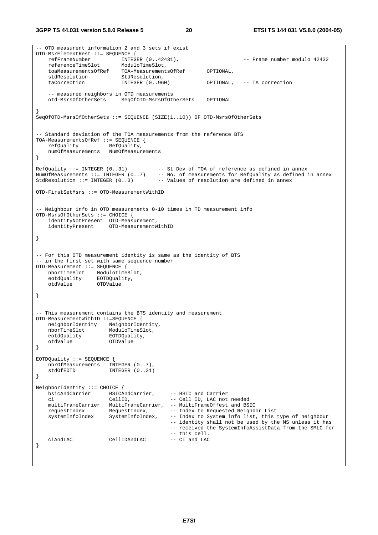-- OTD measurent information 2 and 3 sets if exist OTD-MsrElementRest ::= SEQUENCE {<br>refFrameNumber INTEGER (0..42431),  $--$  Frame number modulo 42432  $\begin{minipage}{0.5\textwidth} \centering \small \texttt{referenceTimeSlot} \small \texttt{ModulofimesU}, \small \texttt{toaMeasure} \small \texttt{mend} \small \texttt{toaMeasure} \small \texttt{mend} \end{minipage}$ TOA-MeasurementsOfRef OPTIONAL,<br>StdResolution, stdResolution StdResolution,<br>
stdResolution TNTEGER (0 960) taCorrection INTEGER (0..960) OPTIONAL, -- TA correction -- measured neighbors in OTD measurements otd-MsrsOfOtherSets SeqOfOTD-MsrsOfOtherSets OPTIONAL } SeqOfOTD-MsrsOfOtherSets ::= SEQUENCE (SIZE(1..10)) OF OTD-MsrsOfOtherSets -- Standard deviation of the TOA measurements from the reference BTS TOA-MeasurementsOfRef ::= SEQUENCE { refQuality RefQuality, numOfMeasurements NumOfMeasurements } RefQuality ::= INTEGER (0..31) -- St Dev of TOA of reference as defined in annex NumOfMeasurements ::= INTEGER (0..7) -- No. of measurements for RefQuality as defined in annex StdResolution  $::=$  INTEGER  $(0..3)$  -- Values of resolution are defined in annex OTD-FirstSetMsrs ::= OTD-MeasurementWithID -- Neighbour info in OTD measurements 0-10 times in TD measurement info OTD-MsrsOfOtherSets ::= CHOICE { identityNotPresent OTD-Measurement,<br>identityPresent OTD-MeasurementW OTD-MeasurementWithID } -- For this OTD measurement identity is same as the identity of BTS -- in the first set with same sequence number OTD-Measurement ::= SEQUENCE { nborTimeSlot ModuloTimeSlot, eotdQuality EOTDQuality, otdValue OTDValue } -- This measurement contains the BTS identity and measurement OTD-MeasurementWithID ::=SEQUENCE { neighborIdentity NeighborIdentity, nborTimeSlot ModuloTimeSlot, neighboriuchter,<br>nborTimeSlot ModuloTimeSl<br>eotdQuality EOTDQuality, otdValue OTDValue } EOTDQuality ::= SEQUENCE { nbrOfMeasurements INTEGER (0..7),<br>stdOfFOTD INTEGER (0..31)  $INTEGER (0..31)$ } NeighborIdentity ::= CHOICE { bsicAndCarrier BSICAndCarrier, -- BSIC and Carrier -- Cell ID, LAC not needed multiFrameCarrier MultiFrameCarrier, -- MultiFrameOffest and BSIC requestIndex RequestIndex, -- Index to Requested Neighbor List systemInfoIndex SystemInfoIndex, -- Index to System info list, this type of neighbour -- identity shall not be used by the MS unless it has -- received the SystemInfoAssistData from the SMLC for -- this cell. ciAndLAC CellIDAndLAC -- CI and LAC }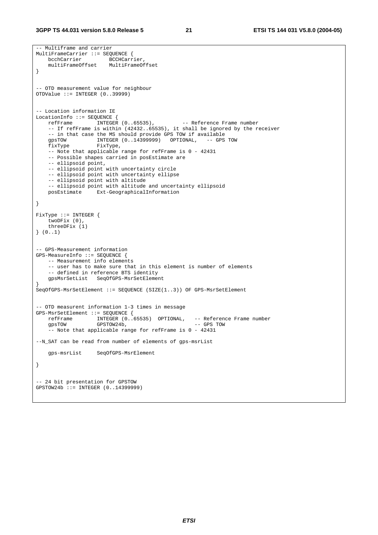```
-- Multiframe and carrier 
MultiFrameCarrier ::= SEQUENCE { 
   bcchCarrier BCCHCarrier,
    multiFrameOffset MultiFrameOffset 
} 
-- OTD measurement value for neighbour 
OTDValue ::= INTEGER (0..39999) 
-- Location information IE 
LocationInfo ::= SEQUENCE {<br>refFrame INTEGER (0..65535),
                                               -- Reference Frame number
    -- If refFrame is within (42432..65535), it shall be ignored by the receiver 
    -- in that case the MS should provide GPS TOW if available 
 gpsTOW INTEGER (0..14399999) OPTIONAL, -- GPS TOW 
 fixType FixType, 
   -- Note that applicable range for refFrame is 0 - 42431
    -- Possible shapes carried in posEstimate are 
    -- ellipsoid point, 
     -- ellipsoid point with uncertainty circle 
     -- ellipsoid point with uncertainty ellipse 
    -- ellipsoid point with altitude 
     -- ellipsoid point with altitude and uncertainty ellipsoid 
    posEstimate Ext-GeographicalInformation 
} 
FixType ::= INTEGER { 
     twoDFix (0), 
    threeDFix (1) 
} (0..1) 
 -- GPS-Measurement information 
GPS-MeasureInfo ::= SEQUENCE { 
    -- Measurement info elements 
     -- user has to make sure that in this element is number of elements 
     -- defined in reference BTS identity 
    gpsMsrSetList SeqOfGPS-MsrSetElement 
} 
SeqOfGPS-MsrSetElement ::= SEQUENCE (SIZE(1..3)) OF GPS-MsrSetElement 
-- OTD measurent information 1-3 times in message 
GPS-MsrSetElement ::= SEQUENCE {<br>refFrame INTEGER (0..
                   INTEGER (0..65535) OPTIONAL, -- Reference Frame number
    gpsTOW GPSTOW24b, -- GPS TOW 
    -- Note that applicable range for refFrame is 0 - 42431
--N_SAT can be read from number of elements of gps-msrList 
    gps-msrList SeqOfGPS-MsrElement 
} 
-- 24 bit presentation for GPSTOW 
GPSTOW24b ::= TNTRGFR (0.14399999)
```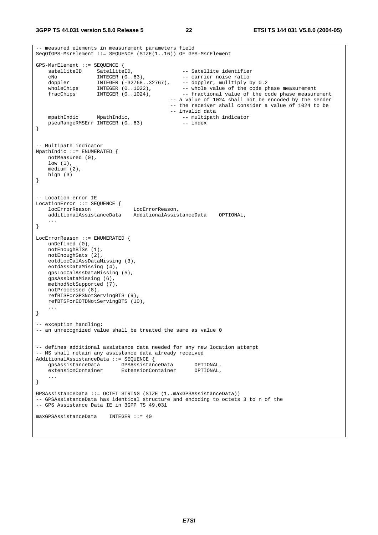```
-- measured elements in measurement parameters field 
SeqOfGPS-MsrElement ::= SEQUENCE (SIZE(1..16)) OF GPS-MsrElement 
GPS-MsrElement ::= SEQUENCE { 
satelliteID SatelliteID,    -- Satellite identifier
 cNo INTEGER (0..63), -- carrier noise ratio 
 doppler INTEGER (-32768..32767), -- doppler, mulltiply by 0.2 
wholeChips INTEGER (0..1022), - - whole value of the code phase measurement
 fracChips INTEGER (0..1024), -- fractional value of the code phase measurement 
                                           -- a value of 1024 shall not be encoded by the sender 
                                            -- the receiver shall consider a value of 1024 to be 
               -- invalid data<br>MpathIndic, 1989 -- multipath
   mpathIndic MpathIndic,<br>pseuRangeRMSErr INTEGER (0..63) -- index
   pseuRangeRMSErr INTEGER (0..63)
} 
-- Multipath indicator 
MpathIndic ::= ENUMERATED { 
    notMeasured (0), 
    low (1), 
    medium (2), 
    high (3) 
} 
-- Location error IE 
LocationError ::= SEQUENCE { 
    locErrorReason LocErrorReason, 
    additionalAssistanceData AdditionalAssistanceData OPTIONAL, 
 ... 
} 
LocErrorReason ::= ENUMERATED { 
   unDefined (0), 
    notEnoughBTSs (1), 
    notEnoughSats (2), 
    eotdLocCalAssDataMissing (3), 
    eotdAssDataMissing (4), 
    gpsLocCalAssDataMissing (5), 
    gpsAssDataMissing (6), 
    methodNotSupported (7), 
    notProcessed (8), 
    refBTSForGPSNotServingBTS (9), 
    refBTSForEOTDNotServingBTS (10), 
    ... 
} 
-- exception handling: 
-- an unrecognized value shall be treated the same as value 0
-- defines additional assistance data needed for any new location attempt 
-- MS shall retain any assistance data already received 
AdditionalAssistanceData ::= SEQUENCE {<br>gpsAssistanceData GPSAssistance
     gpsAssistanceData GPSAssistanceData OPTIONAL, 
                          extensionContainer
     ... 
} 
GPSAssistanceData ::= OCTET STRING (SIZE (1..maxGPSAssistanceData)) 
-- GPSAssistanceData has identical structure and encoding to octets 3 to n of the 
-- GPS Assistance Data IE in 3GPP TS 49.031 
maxGPSAssistanceData INTEGER ::= 40
```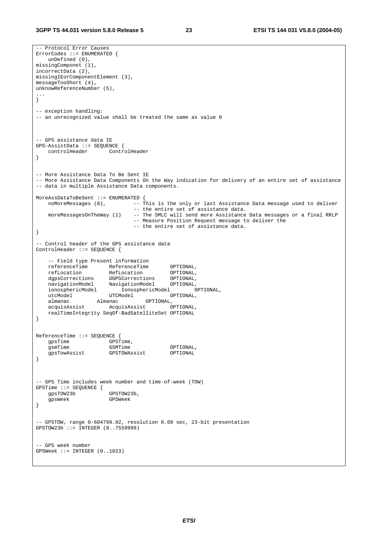-- Protocol Error Causes ErrorCodes ::= ENUMERATED { unDefined (0), missingComponet (1), incorrectData (2), missingIEorComponentElement (3), messageTooShort (4), unknowReferenceNumber (5), ... } -- exception handling: -- an unrecognized value shall be treated the same as value 0 -- GPS assistance data IE GPS-AssistData ::= SEQUENCE { controlHeader ControlHeader } -- More Assistance Data To Be Sent IE -- More Assistance Data Components On the Way indication for delivery of an entire set of assistance -- data in multiple Assistance Data components. MoreAssDataToBeSent ::= ENUMERATED { noMoreMessages  $(0)$ ,  $\overline{\phantom{a}}$  -- This is the only or last Assistance Data message used to deliver -- the entire set of assistance data. moreMessagesOnTheWay (1) -- The SMLC will send more Assistance Data messages or a final RRLP -- Measure Position Request message to deliver the -- the entire set of assistance data. } -- Control header of the GPS assistance data ControlHeader ::= SEQUENCE { -- Field type Present information referenceTime ReferenceTime OPTIONAL, refLocation RefLocation OPTIONAL, dgpsCorrections DGPSCorrections OPTIONAL, navigationModel NavigationModel OPTIONAL, ionosphericModel IonosphericModel OPTIONAL, utcModel UTCModel OPTIONAL, almanac Almanac OPTIONAL, acquisAssist AcquisAssist OPTIONAL, realTimeIntegrity SeqOf-BadSatelliteSet OPTIONAL } ReferenceTime ::= SEQUENCE { gpsTime GPSTime,<br>gsmTime GSMTime gsmTime GSMTime OPTIONAL,<br>
optional constant optional constant optional. qpsTowAssist GPSTOWAssist } -- GPS Time includes week number and time-of-week (TOW) GPSTime ::= SEQUENCE { gpsTOW23b GPSTOW23b,<br>qpsWeek GPSWeek gpsWeek } -- GPSTOW, range 0-604799.92, resolution 0.08 sec, 23-bit presentation GPSTOW23b ::= INTEGER (0..7559999) -- GPS week number GPSWeek ::= INTEGER (0..1023)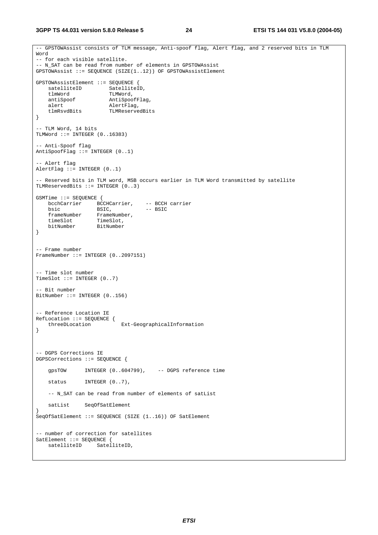**3GPP TS 44.031 version 5.8.0 Release 5 24 ETSI TS 144 031 V5.8.0 (2004-05)**

-- GPSTOWAssist consists of TLM message, Anti-spoof flag, Alert flag, and 2 reserved bits in TLM Word -- for each visible satellite. -- N\_SAT can be read from number of elements in GPSTOWAssist GPSTOWAssist ::= SEQUENCE (SIZE(1..12)) OF GPSTOWAssistElement GPSTOWAssistElement ::= SEQUENCE { satelliteID SatelliteID, tlmWord TLMWord, antiSpoof AntiSpoof<br>AntiSpoof AntiSpoofFlag, alert AlertFlag, tlmRsvdBits TLMReservedBits } -- TLM Word, 14 bits TLMWord ::= INTEGER (0..16383) -- Anti-Spoof flag AntiSpoofFlag  $::=$  INTEGER  $(0..1)$ -- Alert flag AlertFlag ::= INTEGER (0..1) -- Reserved bits in TLM word, MSB occurs earlier in TLM Word transmitted by satellite TLMReservedBits ::= INTEGER (0..3) GSMTime ::= SEQUENCE { bcchCarrier BCCHCarrier, -- BCCH carrier bsic BSIC,  $-$  BSIC frameNumber FrameNumber, timeSlot TimeSlot, bitNumber BitNumber } -- Frame number FrameNumber ::= INTEGER (0..2097151) -- Time slot number TimeSlot  $::=$  INTEGER  $(0..7)$ -- Bit number BitNumber ::= INTEGER (0..156) -- Reference Location IE RefLocation ::= SEQUENCE { threeDLocation Ext-GeographicalInformation } -- DGPS Corrections IE DGPSCorrections ::= SEQUENCE { gpsTOW INTEGER (0..604799), -- DGPS reference time status INTEGER  $(0..7)$ , -- N\_SAT can be read from number of elements of satList satList SeqOfSatElement } SeqOfSatElement ::= SEQUENCE (SIZE (1..16)) OF SatElement -- number of correction for satellites SatElement ::= SEQUENCE { satelliteID SatelliteID,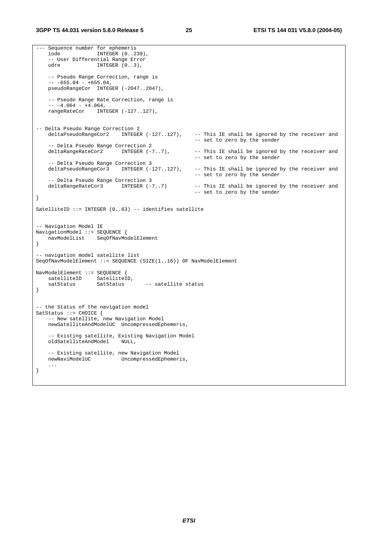#### **3GPP TS 44.031 version 5.8.0 Release 5 25 ETSI TS 144 031 V5.8.0 (2004-05)**

--- Sequence number for ephemeris<br>iode INTEGER (0..2) INTEGER (0..239), -- User Differential Range Error udre INTEGER (0..3), -- Pseudo Range Correction, range is  $-- -655.04 - +655.04,$ pseudoRangeCor INTEGER (-2047..2047), -- Pseudo Range Rate Correction, range is  $-- -4.064 - +4.064,$  rangeRateCor INTEGER (-127..127), -- Delta Pseudo Range Correction 2 deltaPseudoRangeCor2 INTEGER (-127..127), -- This IE shall be ignored by the receiver and -- set to zero by the sender -- Delta Pseudo Range Correction 2<br>deltaRangeRateCor2 INTEGER (-7..7), -- This IE shall be ignored by the receiver and -- set to zero by the sender -- Delta Pseudo Range Correction 3 deltaPseudoRangeCor3 INTEGER (-127..127), -- This IE shall be ignored by the receiver and -- set to zero by the sender -- Delta Pseudo Range Correction 3<br>deltaRangeRateCor3 INTEGER (-7..7) -- This IE shall be ignored by the receiver and -- set to zero by the sender } SatelliteID ::= INTEGER (0..63) -- identifies satellite -- Navigation Model IE NavigationModel ::= SEQUENCE { navModelList SeqOfNavModelElement } -- navigation model satellite list SeqOfNavModelElement ::= SEQUENCE (SIZE(1..16)) OF NavModelElement NavModelElement ::= SEQUENCE { satelliteID SatelliteID, satStatus SatStatus -- satellite status } -- the Status of the navigation model SatStatus ::= CHOICE { -- New satellite, new Navigation Model newSatelliteAndModelUC UncompressedEphemeris, -- Existing satellite, Existing Navigation Model oldSatelliteAndModel NULL, -- Existing satellite, new Navigation Model UncompressedEphemeris, ... }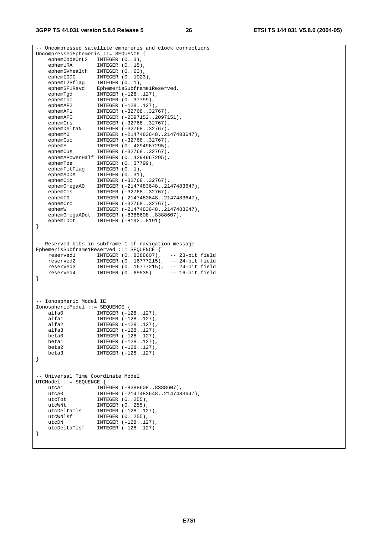#### **3GPP TS 44.031 version 5.8.0 Release 5 26 ETSI TS 144 031 V5.8.0 (2004-05)**

-- Uncompressed satellite emhemeris and clock corrections UncompressedEphemeris ::= SEQUENCE { ephemCodeOnL2 INTEGER  $(0..3)$ , ephemURA INTEGER (0..15), ephemSVhealth INTEGER (0..63), ephemIODC INTEGER (0..1023), ephemL2Pflag INTEGER (0..1), ephemSF1Rsvd EphemerisSubframe1Reserved, ephemTgd INTEGER (-128..127), ephemToc INTEGER (0..37799), ephemAF2 INTEGER (-128..127), ephemAF1 INTEGER (-32768..32767), ephemAF0 INTEGER (-2097152..2097151), ephemCrs INTEGER (-32768..32767), ephemDeltaN INTEGER (-32768..32767), ephemM0 INTEGER (-2147483648..2147483647), ephemCuc INTEGER (-32768..32767), ephemE INTEGER (0..4294967295), ephemCus INTEGER (-32768..32767), ephemAPowerHalf INTEGER (0..4294967295), ephemToe INTEGER (0..37799), ephemFitFlag INTEGER (0..1), ephemAODA INTEGER (0..31), ephemCic INTEGER (-32768..32767), ephemOmegaA0 INTEGER (-2147483648..2147483647), ephemCis INTEGER (-32768..32767), ephemI0 INTEGER (-2147483648..2147483647), ephemCrc INTEGER (-32768..32767), ephemW INTEGER (-2147483648..2147483647), ephemOmegaADot INTEGER (-8388608..8388607), ephemIDot INTEGER (-8192..8191) } -- Reserved bits in subframe 1 of navigation message EphemerisSubframe1Reserved ::= SEQUENCE { reserved1 INTEGER (0..8388607), -- 23-bit field<br>
reserved2 INTEGER (0..16777215), -- 24-bit field<br>
reserved2 INTEGER (0..16777215), -- 24-bit field reserved2 INTEGER (0..16777215), -- 24-bit field reserved3 INTEGER (0..16777215), -- 24-bit field reserved4 INTEGER (0..65535) -- 16-bit field } -- Ionospheric Model IE IonosphericModel ::= SEQUENCE { alfa0 INTEGER (-128..127), alfa1 INTEGER (-128..127), alfa2 INTEGER (-128..127), alfa3 INTEGER (-128..127), beta0 INTEGER (-128..127), beta1 INTEGER (-128..127), beta1 1111.102...,<br>beta2 INTEGER (-128..127),<br>beta3 INTEGER (-128..127) INTEGER (-128..127) } -- Universal Time Coordinate Model UTCModel ::= SEQUENCE { INTEGER (-8388608..8388607), utcA0 INTEGER (-2147483648..2147483647), utcTot INTEGER (0..255), utcWNt INTEGER (0..255), utcDeltaTls INTEGER (-128..127), utcWNlsf INTEGER (0..255), utcDN INTEGER (-128..127), utcDeltaTlsf INTEGER (-128..127) }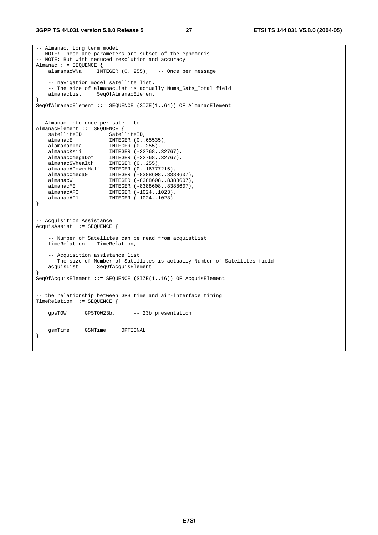#### **3GPP TS 44.031 version 5.8.0 Release 5 27 ETSI TS 144 031 V5.8.0 (2004-05)**

```
-- Almanac, Long term model 
-- NOTE: These are parameters are subset of the ephemeris 
-- NOTE: But with reduced resolution and accuracy 
Almanac ::= SEQUENCE {<br>alamanacWNa    INTEGER (0..255),
    alamanacWNa INTEGER (0..255), -- Once per message 
     -- navigation model satellite list. 
   -- The size of almanacList is actually Nums_Sats_Total field<br>almanacList SeqOfAlmanacElement
                  SeqOfAlmanacElement
} 
SeqOfAlmanacElement ::= SEQUENCE (SIZE(1..64)) OF AlmanacElement 
-- Almanac info once per satellite 
AlmanacElement ::= SEQUENCE { 
   satelliteID SatelliteID,
   almanacE INTEGER (0..65535),
 alamanacToa INTEGER (0..255), 
 almanacKsii INTEGER (-32768..32767), 
 almanacOmegaDot INTEGER (-32768..32767), 
 almanacSVhealth INTEGER (0..255), 
    almanacAPowerHalf INTEGER (0..16777215), 
 almanacOmega0 INTEGER (-8388608..8388607), 
 almanacW INTEGER (-8388608..8388607), 
 almanacM0 INTEGER (-8388608..8388607), 
 almanacAF0 INTEGER (-1024..1023), 
 almanacAF1 INTEGER (-1024..1023) 
} 
-- Acquisition Assistance 
AcquisAssist ::= SEQUENCE { 
    -- Number of Satellites can be read from acquistList 
    timeRelation TimeRelation, 
     -- Acquisition assistance list 
   -- The size of Number of Satellites is actually Number of Satellites field acquisList SeqOfAcquisElement
                   SeqOfAcquisElement
} 
SeqOfAcquisElement ::= SEQUENCE (SIZE(1..16)) OF AcquisElement 
-- the relationship between GPS time and air-interface timing 
TimeRelation ::= SEQUENCE { 
 -- 
    gpsTOW GPSTOW23b, -- 23b presentation 
    gsmTime GSMTime OPTIONAL 
}
```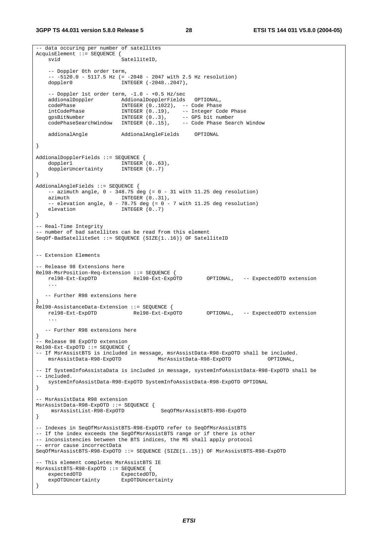-- data occuring per number of satellites

```
AcquisElement ::= SEQUENCE { 
   svid SatelliteID.
    -- Doppler 0th order term, 
    -- -5120.0 - 5117.5 Hz (= -2048 - 2047 with 2.5 Hz resolution) 
   doppler0 INTEGER (-2048..2047),
    -- Doppler 1st order term, -1.0 - +0.5 Hz/sec 
 addionalDoppler AddionalDopplerFields OPTIONAL, 
 codePhase INTEGER (0..1022), -- Code Phase 
 intCodePhase INTEGER (0..19), -- Integer Code Phase 
 gpsBitNumber INTEGER (0..3), -- GPS bit number 
 codePhaseSearchWindow INTEGER (0..15), -- Code Phase Search Window 
    addionalAngle AddionalAngleFields OPTIONAL 
} 
AddionalDopplerFields ::= SEQUENCE { 
doppler1 INTEGER (0..63),
 dopplerUncertainty INTEGER (0..7) 
} 
AddionalAngleFields ::= SEQUENCE { 
   -- azimuth angle, 0 - 348.75 deg (= 0 - 31 with 11.25 deg resolution)
   azimuth INTEGER (0..31),
   -- elevation angle, 0 - 78.75 deg (= 0 - 7 with 11.25 deg resolution)
   elevation INTEGER (0..7)} 
-- Real-Time Integrity 
-- number of bad satellites can be read from this element 
SeqOf-BadSatelliteSet ::= SEQUENCE (SIZE(1..16)) OF SatelliteID 
-- Extension Elements 
-- Release 98 Extensions here 
Rel98-MsrPosition-Req-Extension ::= SEQUENCE { 
                                                     OPTIONAL, -- ExpectedOTD extension
 ... 
  -- Further R98 extensions here 
} 
Rel98-AssistanceData-Extension ::= SEQUENCE { 
                               rel98-Ext-ExpOTD Rel98-Ext-ExpOTD OPTIONAL, -- ExpectedOTD extension 
 ... 
  -- Further R98 extensions here 
} 
 -- Release 98 ExpOTD extension 
Rel98-Ext-ExpOTD ::= SEQUENCE { 
-- If MsrAssistBTS is included in message, msrAssistData-R98-ExpOTD shall be included.<br>msrAssistData-R98-ExpOTD MsrAssistData-R98-ExpOTD OPTIONAL.
                                       msrAssistData-R98-ExpOTD MsrAssistData-R98-ExpOTD OPTIONAL, 
 -- If SystemInfoAssistaData is included in message, systemInfoAssistData-R98-ExpOTD shall be 
-- included. 
    systemInfoAssistData-R98-ExpOTD SystemInfoAssistData-R98-ExpOTD OPTIONAL 
} 
 -- MsrAssistData R98 extension 
MsrAssistData-R98-ExpOTD ::= SEQUENCE { 
     msrAssistList-R98-ExpOTD SeqOfMsrAssistBTS-R98-ExpOTD 
} 
-- Indexes in SeqOfMsrAssistBTS-R98-ExpOTD refer to SeqOfMsrAssistBTS 
-- If the index exceeds the SegOfMsrAssistBTS range or if there is other 
-- inconsistencies between the BTS indices, the MS shall apply protocol 
-- error cause incorrectData 
SeqOfMsrAssistBTS-R98-ExpOTD ::= SEQUENCE (SIZE(1..15)) OF MsrAssistBTS-R98-ExpOTD 
-- This element completes MsrAssistBTS IE 
MsrAssistBTS-R98-ExpOTD ::= SEQUENCE { 
   expectedOTD ExpectedOTD,
    expOTDUncertainty ExpOTDUncertainty 
}
```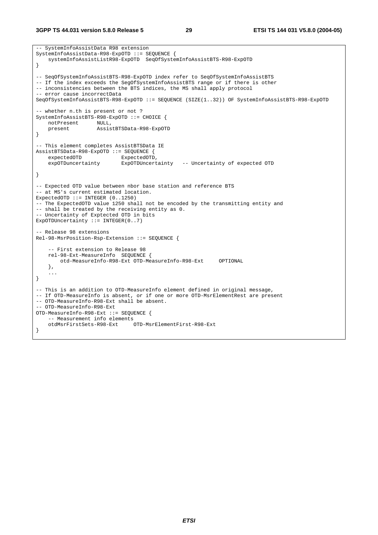**3GPP TS 44.031 version 5.8.0 Release 5 29 ETSI TS 144 031 V5.8.0 (2004-05)**

```
-- SystemInfoAssistData R98 extension 
SystemInfoAssistData-R98-ExpOTD ::= SEQUENCE { 
    systemInfoAssistListR98-ExpOTD SeqOfSystemInfoAssistBTS-R98-ExpOTD 
} 
-- SeqOfSystemInfoAssistBTS-R98-ExpOTD index refer to SeqOfSystemInfoAssistBTS 
-- If the index exceeds the SegOfSystemInfoAssistBTS range or if there is other
-- inconsistencies between the BTS indices, the MS shall apply protocol 
-- error cause incorrectData 
SeqOfSystemInfoAssistBTS-R98-ExpOTD ::= SEQUENCE (SIZE(1..32)) OF SystemInfoAssistBTS-R98-ExpOTD 
-- whether n.th is present or not ? 
SystemInfoAssistBTS-R98-ExpOTD ::= CHOICE { 
   notPresent NULL,<br>present Assis
                    present AssistBTSData-R98-ExpOTD 
} 
-- This element completes AssistBTSData IE 
AssistBTSData-R98-ExpOTD ::= SEQUENCE { 
   expectedOTD ExpectedOTD,
     expOTDuncertainty ExpOTDUncertainty -- Uncertainty of expected OTD 
} 
-- Expected OTD value between nbor base station and reference BTS 
-- at MS's current estimated location. 
ExpectedOTD ::= INTEGER (0..1250) 
-- The ExpectedOTD value 1250 shall not be encoded by the transmitting entity and 
-- shall be treated by the receiving entity as 0.
-- Uncertainty of Exptected OTD in bits 
ExpOTDUncertainty ::= INTEGER(0..7)
-- Release 98 extensions 
Rel-98-MsrPosition-Rsp-Extension ::= SEQUENCE { 
     -- First extension to Release 98 
    rel-98-Ext-MeasureInfo SEQUENCE { 
         otd-MeasureInfo-R98-Ext OTD-MeasureInfo-R98-Ext OPTIONAL 
     }, 
     ... 
} 
-- This is an addition to OTD-MeasureInfo element defined in original message, 
-- If OTD-MeasureInfo is absent, or if one or more OTD-MsrElementRest are present 
-- OTD-MeasureInfo-R98-Ext shall be absent. 
-- OTD-MeasureInfo-R98-Ext 
OTD-MeasureInfo-R98-Ext ::= SEQUENCE { 
     -- Measurement info elements 
    otdMsrFirstSets-R98-Ext OTD-MsrElementFirst-R98-Ext 
}
```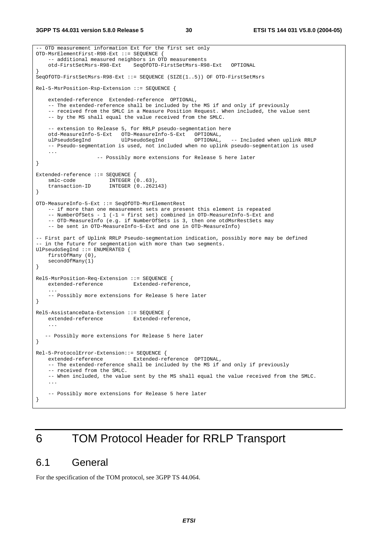```
-- OTD measurement information Ext for the first set only 
OTD-MsrElementFirst-R98-Ext ::= SEQUENCE { 
    -- additional measured neighbors in OTD measurements
     otd-FirstSetMsrs-R98-Ext SeqOfOTD-FirstSetMsrs-R98-Ext OPTIONAL 
} 
SeqOfOTD-FirstSetMsrs-R98-Ext ::= SEQUENCE (SIZE(1..5)) OF OTD-FirstSetMsrs 
Rel-5-MsrPosition-Rsp-Extension ::= SEQUENCE { 
     extended-reference Extended-reference OPTIONAL, 
     -- The extended-reference shall be included by the MS if and only if previously 
     -- received from the SMLC in a Measure Position Request. When included, the value sent 
     -- by the MS shall equal the value received from the SMLC. 
    -- extension to Release 5, for RRLP pseudo-segmentation here<br>otd-MeasureInfo-5-Ext OTD-MeasureInfo-5-Ext OPTIONAL,
    otd-MeasureInfo-5-Ext OTD-MeasureInfo-5-Ext
    ulPseudoSegInd UlPseudoSegInd OPTIONAL, -- Included when uplink RRLP 
     -- Pseudo-segmentation is used, not included when no uplink pseudo-segmentation is used 
     ... 
                     -- Possibly more extensions for Release 5 here later 
} 
Extended-reference ::= SEQUENCE { 
 smlc-code INTEGER (0..63), 
 transaction-ID INTEGER (0..262143) 
} 
OTD-MeasureInfo-5-Ext ::= SeqOfOTD-MsrElementRest 
     -- if more than one measurement sets are present this element is repeated 
     -- NumberOfSets - 1 (-1 = first set) combined in OTD-MeasureInfo-5-Ext and 
    -- OTD-MeasureInfo (e.g. if NumberOfSets is 3, then one otdMsrRestSets may
     -- be sent in OTD-MeasureInfo-5-Ext and one in OTD-MeasureInfo) 
-- First part of Uplink RRLP Pseudo-segmentation indication, possibly more may be defined 
-- in the future for segmentation with more than two segments.
UlPseudoSegInd ::= ENUMERATED { 
     firstOfMany (0), 
     secondOfMany(1) 
} 
Rel5-MsrPosition-Req-Extension ::= SEQUENCE { 
     extended-reference Extended-reference, 
 ... 
     -- Possibly more extensions for Release 5 here later 
} 
Rel5-AssistanceData-Extension ::= SEQUENCE { 
    extended-reference Extended-reference, 
 ... 
   -- Possibly more extensions for Release 5 here later 
} 
Rel-5-ProtocolError-Extension::= SEQUENCE { 
    extended-reference Extended-reference OPTIONAL, 
     -- The extended-reference shall be included by the MS if and only if previously 
     -- received from the SMLC. 
     -- When included, the value sent by the MS shall equal the value received from the SMLC. 
 ... 
     -- Possibly more extensions for Release 5 here later 
}
```
## 6 TOM Protocol Header for RRLP Transport

## 6.1 General

For the specification of the TOM protocol, see 3GPP TS 44.064.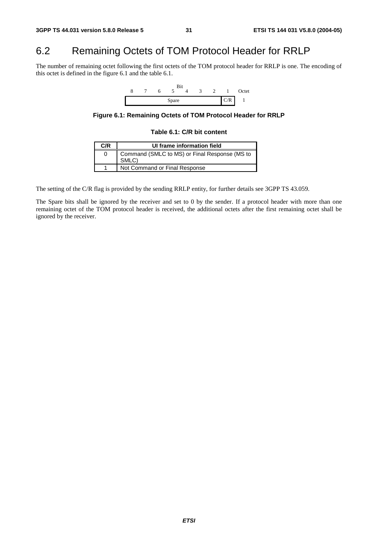## 6.2 Remaining Octets of TOM Protocol Header for RRLP

The number of remaining octet following the first octets of the TOM protocol header for RRLP is one. The encoding of this octet is defined in the figure 6.1 and the table 6.1.

![](_page_31_Figure_5.jpeg)

**Figure 6.1: Remaining Octets of TOM Protocol Header for RRLP** 

#### **Table 6.1: C/R bit content**

| C/R | UI frame information field                             |
|-----|--------------------------------------------------------|
|     | Command (SMLC to MS) or Final Response (MS to<br>SMLC) |
|     | Not Command or Final Response                          |

The setting of the C/R flag is provided by the sending RRLP entity, for further details see 3GPP TS 43.059.

The Spare bits shall be ignored by the receiver and set to 0 by the sender. If a protocol header with more than one remaining octet of the TOM protocol header is received, the additional octets after the first remaining octet shall be ignored by the receiver.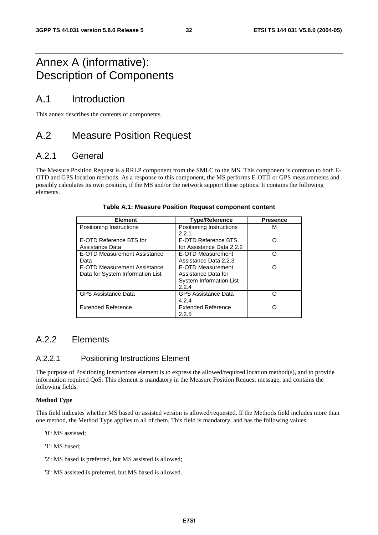## Annex A (informative): Description of Components

## A.1 Introduction

This annex describes the contents of components.

## A.2 Measure Position Request

## A.2.1 General

The Measure Position Request is a RRLP component from the SMLC to the MS. This component is common to both E-OTD and GPS location methods. As a response to this component, the MS performs E-OTD or GPS measurements and possibly calculates its own position, if the MS and/or the network support these options. It contains the following elements.

| <b>Element</b>                                                   | <b>Type/Reference</b>                                                        | <b>Presence</b> |
|------------------------------------------------------------------|------------------------------------------------------------------------------|-----------------|
| Positioning Instructions                                         | Positioning Instructions<br>2.2.1                                            | м               |
| E-OTD Reference BTS for<br>Assistance Data                       | E-OTD Reference BTS<br>for Assistance Data 2.2.2                             | റ               |
| E-OTD Measurement Assistance<br>Data                             | E-OTD Measurement<br>Assistance Data 2.2.3                                   | ∩               |
| E-OTD Measurement Assistance<br>Data for System Information List | E-OTD Measurement<br>Assistance Data for<br>System Information List<br>2.2.4 | ∩               |
| <b>GPS Assistance Data</b>                                       | <b>GPS Assistance Data</b><br>4.2.4                                          | ∩               |
| <b>Extended Reference</b>                                        | <b>Extended Reference</b><br>2.2.5                                           | ∩               |

#### **Table A.1: Measure Position Request component content**

## A.2.2 Flements

### A.2.2.1 Positioning Instructions Element

The purpose of Positioning Instructions element is to express the allowed/required location method(s), and to provide information required QoS. This element is mandatory in the Measure Position Request message, and contains the following fields:

#### **Method Type**

This field indicates whether MS based or assisted version is allowed/requested. If the Methods field includes more than one method, the Method Type applies to all of them. This field is mandatory, and has the following values:

- '0': MS assisted;
- '1': MS based;
- '2': MS based is preferred, but MS assisted is allowed;
- '3': MS assisted is preferred, but MS based is allowed.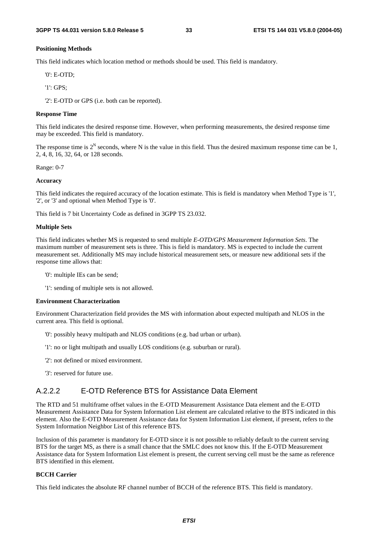#### **Positioning Methods**

This field indicates which location method or methods should be used. This field is mandatory.

'0': E-OTD;

'1': GPS;

'2': E-OTD or GPS (i.e. both can be reported).

#### **Response Time**

This field indicates the desired response time. However, when performing measurements, the desired response time may be exceeded. This field is mandatory.

The response time is  $2^N$  seconds, where N is the value in this field. Thus the desired maximum response time can be 1, 2, 4, 8, 16, 32, 64, or 128 seconds.

Range: 0-7

#### **Accuracy**

This field indicates the required accuracy of the location estimate. This is field is mandatory when Method Type is '1', '2', or '3' and optional when Method Type is '0'.

This field is 7 bit Uncertainty Code as defined in 3GPP TS 23.032.

#### **Multiple Sets**

This field indicates whether MS is requested to send multiple *E-OTD/GPS Measurement Information Sets*. The maximum number of measurement sets is three. This is field is mandatory. MS is expected to include the current measurement set. Additionally MS may include historical measurement sets, or measure new additional sets if the response time allows that:

- '0': multiple IEs can be send;
- '1': sending of multiple sets is not allowed.

#### **Environment Characterization**

Environment Characterization field provides the MS with information about expected multipath and NLOS in the current area. This field is optional.

- '0': possibly heavy multipath and NLOS conditions (e.g. bad urban or urban).
- '1': no or light multipath and usually LOS conditions (e.g. suburban or rural).
- '2': not defined or mixed environment.
- '3': reserved for future use.

### A.2.2.2 E-OTD Reference BTS for Assistance Data Element

The RTD and 51 multiframe offset values in the E-OTD Measurement Assistance Data element and the E-OTD Measurement Assistance Data for System Information List element are calculated relative to the BTS indicated in this element. Also the E-OTD Measurement Assistance data for System Information List element, if present, refers to the System Information Neighbor List of this reference BTS.

Inclusion of this parameter is mandatory for E-OTD since it is not possible to reliably default to the current serving BTS for the target MS, as there is a small chance that the SMLC does not know this. If the E-OTD Measurement Assistance data for System Information List element is present, the current serving cell must be the same as reference BTS identified in this element.

#### **BCCH Carrier**

This field indicates the absolute RF channel number of BCCH of the reference BTS. This field is mandatory.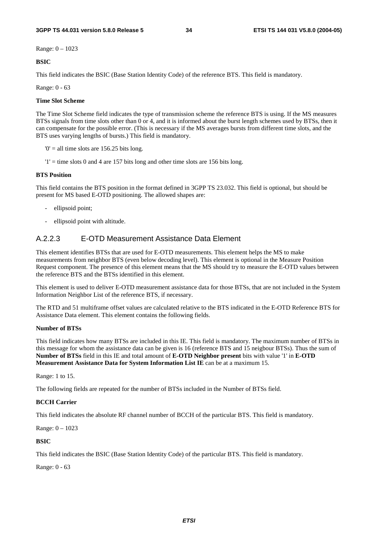Range: 0 – 1023

**BSIC**

This field indicates the BSIC (Base Station Identity Code) of the reference BTS. This field is mandatory.

Range: 0 - 63

#### **Time Slot Scheme**

The Time Slot Scheme field indicates the type of transmission scheme the reference BTS is using. If the MS measures BTSs signals from time slots other than 0 or 4, and it is informed about the burst length schemes used by BTSs, then it can compensate for the possible error. (This is necessary if the MS averages bursts from different time slots, and the BTS uses varying lengths of bursts.) This field is mandatory.

 $0'$  = all time slots are 156.25 bits long.

 $'1'$  = time slots 0 and 4 are 157 bits long and other time slots are 156 bits long.

#### **BTS Position**

This field contains the BTS position in the format defined in 3GPP TS 23.032. This field is optional, but should be present for MS based E-OTD positioning. The allowed shapes are:

- ellipsoid point;
- ellipsoid point with altitude.

#### A.2.2.3 E-OTD Measurement Assistance Data Element

This element identifies BTSs that are used for E-OTD measurements. This element helps the MS to make measurements from neighbor BTS (even below decoding level). This element is optional in the Measure Position Request component. The presence of this element means that the MS should try to measure the E-OTD values between the reference BTS and the BTSs identified in this element.

This element is used to deliver E-OTD measurement assistance data for those BTSs, that are not included in the System Information Neighbor List of the reference BTS, if necessary.

The RTD and 51 multiframe offset values are calculated relative to the BTS indicated in the E-OTD Reference BTS for Assistance Data element. This element contains the following fields.

#### **Number of BTSs**

This field indicates how many BTSs are included in this IE. This field is mandatory. The maximum number of BTSs in this message for whom the assistance data can be given is 16 (reference BTS and 15 neigbour BTSs). Thus the sum of **Number of BTSs** field in this IE and total amount of **E-OTD Neighbor present** bits with value '1' in **E-OTD Measurement Assistance Data for System Information List IE** can be at a maximum 15.

Range: 1 to 15.

The following fields are repeated for the number of BTSs included in the Number of BTSs field.

#### **BCCH Carrier**

This field indicates the absolute RF channel number of BCCH of the particular BTS. This field is mandatory.

Range: 0 – 1023

#### **BSIC**

This field indicates the BSIC (Base Station Identity Code) of the particular BTS. This field is mandatory.

Range: 0 - 63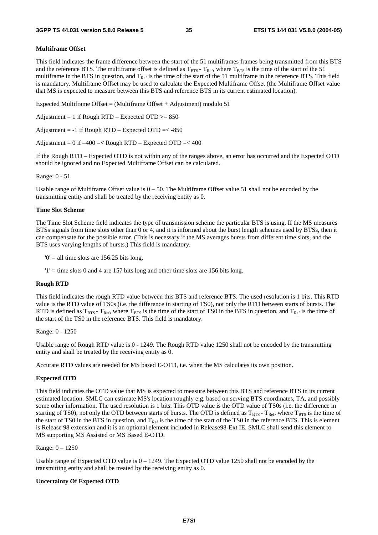#### **Multiframe Offset**

This field indicates the frame difference between the start of the 51 multiframes frames being transmitted from this BTS and the reference BTS. The multiframe offset is defined as  $T_{\text{RFS}}$  -  $T_{\text{Ref}}$ , where  $T_{\text{RTS}}$  is the time of the start of the 51 multiframe in the BTS in question, and  $T_{\text{Ref}}$  is the time of the start of the 51 multiframe in the reference BTS. This field is mandatory. Multiframe Offset may be used to calculate the Expected Multiframe Offset (the Multiframe Offset value that MS is expected to measure between this BTS and reference BTS in its current estimated location).

Expected Multiframe Offset = (Multiframe Offset + Adjustment) modulo  $51$ 

Adjustment = 1 if Rough RTD – Expected OTD  $>= 850$ 

Adjustment =  $-1$  if Rough RTD – Expected OTD =  $-850$ 

Adjustment =  $0$  if  $-400 =$ < Rough RTD – Expected OTD =<  $400$ 

If the Rough RTD – Expected OTD is not within any of the ranges above, an error has occurred and the Expected OTD should be ignored and no Expected Multiframe Offset can be calculated.

Range: 0 - 51

Usable range of Multiframe Offset value is  $0 - 50$ . The Multiframe Offset value 51 shall not be encoded by the transmitting entity and shall be treated by the receiving entity as 0.

#### **Time Slot Scheme**

The Time Slot Scheme field indicates the type of transmission scheme the particular BTS is using. If the MS measures BTSs signals from time slots other than 0 or 4, and it is informed about the burst length schemes used by BTSs, then it can compensate for the possible error. (This is necessary if the MS averages bursts from different time slots, and the BTS uses varying lengths of bursts.) This field is mandatory.

 $0'$  = all time slots are 156.25 bits long.

 $'1'$  = time slots 0 and 4 are 157 bits long and other time slots are 156 bits long.

#### **Rough RTD**

This field indicates the rough RTD value between this BTS and reference BTS. The used resolution is 1 bits. This RTD value is the RTD value of TS0s (i.e. the difference in starting of TS0), not only the RTD between starts of bursts. The RTD is defined as  $T_{BTS}$  -  $T_{Ref}$ , where  $T_{BTS}$  is the time of the start of TS0 in the BTS in question, and  $T_{Ref}$  is the time of the start of the TS0 in the reference BTS. This field is mandatory.

Range: 0 - 1250

Usable range of Rough RTD value is 0 - 1249. The Rough RTD value 1250 shall not be encoded by the transmitting entity and shall be treated by the receiving entity as 0.

Accurate RTD values are needed for MS based E-OTD, i.e. when the MS calculates its own position.

#### **Expected OTD**

This field indicates the OTD value that MS is expected to measure between this BTS and reference BTS in its current estimated location. SMLC can estimate MS's location roughly e.g. based on serving BTS coordinates, TA, and possibly some other information. The used resolution is 1 bits. This OTD value is the OTD value of TS0s (i.e. the difference in starting of TS0), not only the OTD between starts of bursts. The OTD is defined as  $T_{BTS}$  -  $T_{Ref}$ , where  $T_{BTS}$  is the time of the start of TS0 in the BTS in question, and  $T_{\text{Ref}}$  is the time of the start of the TS0 in the reference BTS. This is element is Release 98 extension and it is an optional element included in Release98-Ext IE. SMLC shall send this element to MS supporting MS Assisted or MS Based E-OTD.

Range: 0 – 1250

Usable range of Expected OTD value is  $0 - 1249$ . The Expected OTD value 1250 shall not be encoded by the transmitting entity and shall be treated by the receiving entity as 0.

#### **Uncertainty Of Expected OTD**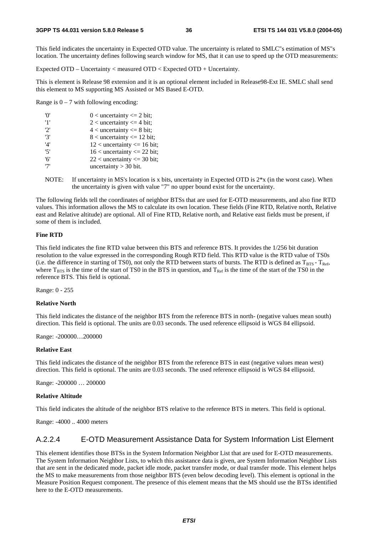This field indicates the uncertainty in Expected OTD value. The uncertainty is related to SMLC"s estimation of MS"s location. The uncertainty defines following search window for MS, that it can use to speed up the OTD measurements:

Expected OTD – Uncertainty < measured OTD < Expected OTD + Uncertainty.

This is element is Release 98 extension and it is an optional element included in Release98-Ext IE. SMLC shall send this element to MS supporting MS Assisted or MS Based E-OTD.

Range is  $0 - 7$  with following encoding:

| 'N'            | $0$ < uncertainty $\leq 2$ bit; |
|----------------|---------------------------------|
| '1'            | 2 < uncertainty $\leq$ 4 bit;   |
| ירי            | $4$ < uncertainty $\leq 8$ bit; |
| '3'            | $8$ < uncertainty <= 12 bit;    |
| $^{\prime}$ 4' | $12$ < uncertainty <= 16 bit;   |
| '5'            | $16$ < uncertainty <= 22 bit;   |
| '6'            | $22$ < uncertainty <= 30 bit;   |
| י7'            | uncertainty $>$ 30 bit.         |
|                |                                 |

NOTE: If uncertainty in MS's location is x bits, uncertainty in Expected OTD is  $2*x$  (in the worst case). When the uncertainty is given with value "7" no upper bound exist for the uncertainty.

The following fields tell the coordinates of neighbor BTSs that are used for E-OTD measurements, and also fine RTD values. This information allows the MS to calculate its own location. These fields (Fine RTD, Relative north, Relative east and Relative altitude) are optional. All of Fine RTD, Relative north, and Relative east fields must be present, if some of them is included.

#### **Fine RTD**

This field indicates the fine RTD value between this BTS and reference BTS. It provides the 1/256 bit duration resolution to the value expressed in the corresponding Rough RTD field. This RTD value is the RTD value of TS0s (i.e. the difference in starting of TS0), not only the RTD between starts of bursts. The RTD is defined as  $T_{BTS}$  -  $T_{Ref}$ , where  $T_{BTS}$  is the time of the start of TS0 in the BTS in question, and  $T_{Ref}$  is the time of the start of the TS0 in the reference BTS. This field is optional.

Range: 0 - 255

#### **Relative North**

This field indicates the distance of the neighbor BTS from the reference BTS in north- (negative values mean south) direction. This field is optional. The units are 0.03 seconds. The used reference ellipsoid is WGS 84 ellipsoid.

Range: -200000…200000

#### **Relative East**

This field indicates the distance of the neighbor BTS from the reference BTS in east (negative values mean west) direction. This field is optional. The units are 0.03 seconds. The used reference ellipsoid is WGS 84 ellipsoid.

Range: -200000 … 200000

#### **Relative Altitude**

This field indicates the altitude of the neighbor BTS relative to the reference BTS in meters. This field is optional.

Range: -4000 .. 4000 meters

#### A.2.2.4 E-OTD Measurement Assistance Data for System Information List Element

This element identifies those BTSs in the System Information Neighbor List that are used for E-OTD measurements. The System Information Neighbor Lists, to which this assistance data is given, are System Information Neighbor Lists that are sent in the dedicated mode, packet idle mode, packet transfer mode, or dual transfer mode. This element helps the MS to make measurements from those neighbor BTS (even below decoding level). This element is optional in the Measure Position Request component. The presence of this element means that the MS should use the BTSs identified here to the E-OTD measurements.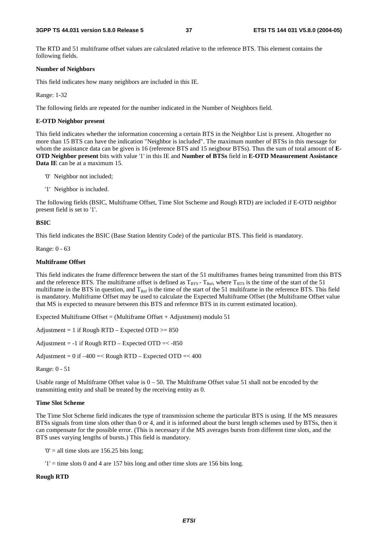The RTD and 51 multiframe offset values are calculated relative to the reference BTS. This element contains the following fields.

#### **Number of Neighbors**

This field indicates how many neighbors are included in this IE.

Range: 1-32

The following fields are repeated for the number indicated in the Number of Neighbors field.

#### **E-OTD Neighbor present**

This field indicates whether the information concerning a certain BTS in the Neighbor List is present. Altogether no more than 15 BTS can have the indication "Neighbor is included". The maximum number of BTSs in this message for whom the assistance data can be given is 16 (reference BTS and 15 neigbour BTSs). Thus the sum of total amount of **E-OTD Neighbor present** bits with value '1' in this IE and **Number of BTSs** field in **E-OTD Measurement Assistance Data IE** can be at a maximum 15.

- '0' Neighbor not included;
- '1' Neighbor is included.

The following fields (BSIC, Multiframe Offset, Time Slot Sscheme and Rough RTD) are included if E-OTD neighbor present field is set to '1'.

#### **BSIC**

This field indicates the BSIC (Base Station Identity Code) of the particular BTS. This field is mandatory.

Range: 0 - 63

#### **Multiframe Offset**

This field indicates the frame difference between the start of the 51 multiframes frames being transmitted from this BTS and the reference BTS. The multiframe offset is defined as  $T_{BTS} - T_{Ref}$ , where  $T_{BTS}$  is the time of the start of the 51 multiframe in the BTS in question, and  $T_{Ref}$  is the time of the start of the 51 multiframe in the reference BTS. This field is mandatory. Multiframe Offset may be used to calculate the Expected Multiframe Offset (the Multiframe Offset value that MS is expected to measure between this BTS and reference BTS in its current estimated location).

Expected Multiframe Offset = (Multiframe Offset + Adjustment) modulo  $51$ 

Adjustment = 1 if Rough RTD – Expected OTD  $>= 850$ 

Adjustment =  $-1$  if Rough RTD – Expected OTD =  $< -850$ 

Adjustment =  $0$  if  $-400$  =< Rough RTD – Expected OTD =<  $400$ 

Range: 0 - 51

Usable range of Multiframe Offset value is 0 – 50. The Multiframe Offset value 51 shall not be encoded by the transmitting entity and shall be treated by the receiving entity as 0.

#### **Time Slot Scheme**

The Time Slot Scheme field indicates the type of transmission scheme the particular BTS is using. If the MS measures BTSs signals from time slots other than 0 or 4, and it is informed about the burst length schemes used by BTSs, then it can compensate for the possible error. (This is necessary if the MS averages bursts from different time slots, and the BTS uses varying lengths of bursts.) This field is mandatory.

 $0'$  = all time slots are 156.25 bits long;

 $'1'$  = time slots 0 and 4 are 157 bits long and other time slots are 156 bits long.

#### **Rough RTD**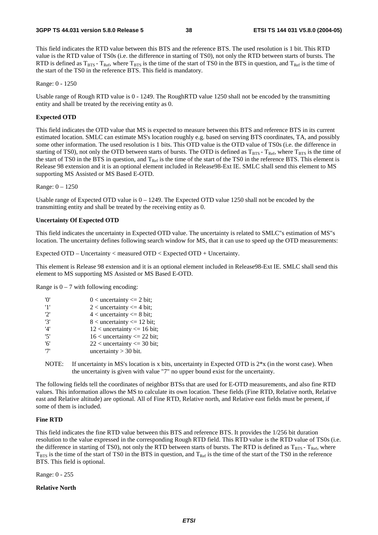This field indicates the RTD value between this BTS and the reference BTS. The used resolution is 1 bit. This RTD value is the RTD value of TS0s (i.e. the difference in starting of TS0), not only the RTD between starts of bursts. The RTD is defined as  $T_{BTS}$  -  $T_{Ref}$ , where  $T_{BTS}$  is the time of the start of TS0 in the BTS in question, and  $T_{Ref}$  is the time of the start of the TS0 in the reference BTS. This field is mandatory.

Range: 0 - 1250

Usable range of Rough RTD value is 0 - 1249. The RoughRTD value 1250 shall not be encoded by the transmitting entity and shall be treated by the receiving entity as 0.

#### **Expected OTD**

This field indicates the OTD value that MS is expected to measure between this BTS and reference BTS in its current estimated location. SMLC can estimate MS's location roughly e.g. based on serving BTS coordinates, TA, and possibly some other information. The used resolution is 1 bits. This OTD value is the OTD value of TS0s (i.e. the difference in starting of TS0), not only the OTD between starts of bursts. The OTD is defined as  $T_{BTS}$ -  $T_{Ref}$ , where  $T_{BTS}$  is the time of the start of TS0 in the BTS in question, and  $T_{Ref}$  is the time of the start of the TS0 in the reference BTS. This element is Release 98 extension and it is an optional element included in Release98-Ext IE. SMLC shall send this element to MS supporting MS Assisted or MS Based E-OTD.

Range: 0 – 1250

Usable range of Expected OTD value is  $0 - 1249$ . The Expected OTD value 1250 shall not be encoded by the transmitting entity and shall be treated by the receiving entity as 0.

#### **Uncertainty Of Expected OTD**

This field indicates the uncertainty in Expected OTD value. The uncertainty is related to SMLC"s estimation of MS"s location. The uncertainty defines following search window for MS, that it can use to speed up the OTD measurements:

Expected OTD – Uncertainty < measured OTD < Expected OTD + Uncertainty.

This element is Release 98 extension and it is an optional element included in Release98-Ext IE. SMLC shall send this element to MS supporting MS Assisted or MS Based E-OTD.

Range is  $0 - 7$  with following encoding:

| $^{\prime}$ () <sup><math>^{\prime}</math></sup> | $0$ < uncertainty $\leq 2$ bit; |
|--------------------------------------------------|---------------------------------|
| '1'                                              | $2$ < uncertainty $\leq$ 4 bit; |
| 2'                                               | $4$ < uncertainty $\leq 8$ bit; |
| '3'                                              | $8$ < uncertainty <= 12 bit;    |
| $^{\prime}4^{\prime}$                            | $12$ < uncertainty <= 16 bit;   |
| '5'                                              | $16$ < uncertainty <= 22 bit;   |
| '6'                                              | $22$ < uncertainty <= 30 bit;   |
| ידי                                              | uncertainty $>$ 30 bit.         |
|                                                  |                                 |

NOTE: If uncertainty in MS's location is x bits, uncertainty in Expected OTD is  $2*x$  (in the worst case). When the uncertainty is given with value "7" no upper bound exist for the uncertainty.

The following fields tell the coordinates of neighbor BTSs that are used for E-OTD measurements, and also fine RTD values. This information allows the MS to calculate its own location. These fields (Fine RTD, Relative north, Relative east and Relative altitude) are optional. All of Fine RTD, Relative north, and Relative east fields must be present, if some of them is included.

#### **Fine RTD**

This field indicates the fine RTD value between this BTS and reference BTS. It provides the 1/256 bit duration resolution to the value expressed in the corresponding Rough RTD field. This RTD value is the RTD value of TS0s (i.e. the difference in starting of TS0), not only the RTD between starts of bursts. The RTD is defined as  $T_{BTS}$  -  $T_{Ref}$ , where  $T_{\text{BTS}}$  is the time of the start of TS0 in the BTS in question, and  $T_{\text{Ref}}$  is the time of the start of the TS0 in the reference BTS. This field is optional.

Range: 0 - 255

**Relative North**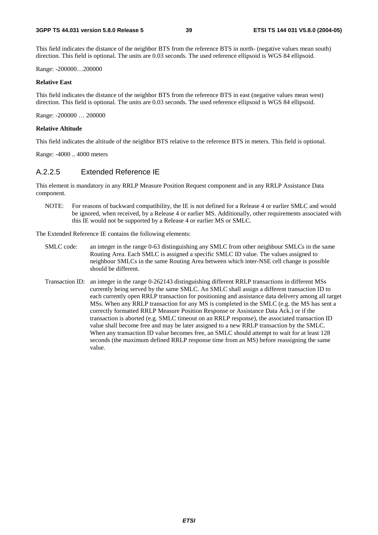This field indicates the distance of the neighbor BTS from the reference BTS in north- (negative values mean south) direction. This field is optional. The units are 0.03 seconds. The used reference ellipsoid is WGS 84 ellipsoid.

Range: -200000…200000

#### **Relative East**

This field indicates the distance of the neighbor BTS from the reference BTS in east (negative values mean west) direction. This field is optional. The units are 0.03 seconds. The used reference ellipsoid is WGS 84 ellipsoid.

Range: -200000 … 200000

#### **Relative Altitude**

This field indicates the altitude of the neighbor BTS relative to the reference BTS in meters. This field is optional.

Range: -4000 .. 4000 meters

### A.2.2.5 Extended Reference IE

This element is mandatory in any RRLP Measure Position Request component and in any RRLP Assistance Data component.

NOTE: For reasons of backward compatibility, the IE is not defined for a Release 4 or earlier SMLC and would be ignored, when received, by a Release 4 or earlier MS. Additionally, other requirements associated with this IE would not be supported by a Release 4 or earlier MS or SMLC.

The Extended Reference IE contains the following elements:

- SMLC code: an integer in the range 0-63 distinguishing any SMLC from other neighbour SMLCs in the same Routing Area. Each SMLC is assigned a specific SMLC ID value. The values assigned to neighbour SMLCs in the same Routing Area between which inter-NSE cell change is possible should be different.
- Transaction ID: an integer in the range 0-262143 distinguishing different RRLP transactions in different MSs currently being served by the same SMLC. An SMLC shall assign a different transaction ID to each currently open RRLP transaction for positioning and assistance data delivery among all target MSs. When any RRLP transaction for any MS is completed in the SMLC (e.g. the MS has sent a correctly formatted RRLP Measure Position Response or Assistance Data Ack.) or if the transaction is aborted (e.g. SMLC timeout on an RRLP response), the associated transaction ID value shall become free and may be later assigned to a new RRLP transaction by the SMLC. When any transaction ID value becomes free, an SMLC should attempt to wait for at least 128 seconds (the maximum defined RRLP response time from an MS) before reassigning the same value.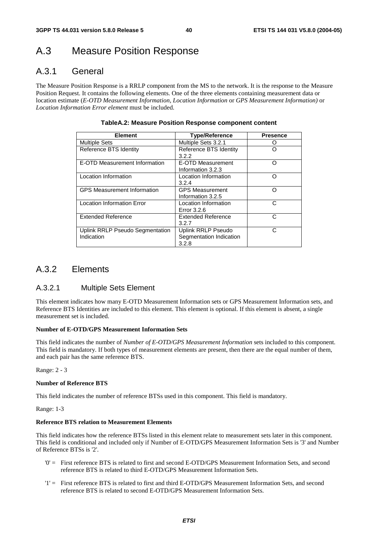## A.3 Measure Position Response

## A.3.1 General

The Measure Position Response is a RRLP component from the MS to the network. It is the response to the Measure Position Request. It contains the following elements. One of the three elements containing measurement data or location estimate (*E-OTD Measurement Information*, *Location Information* or *GPS Measurement Information)* or *Location Information Error element* must be included.

| <b>Element</b>                                | <b>Type/Reference</b>                                  | <b>Presence</b> |
|-----------------------------------------------|--------------------------------------------------------|-----------------|
| <b>Multiple Sets</b>                          | Multiple Sets 3.2.1                                    |                 |
| Reference BTS Identity                        | Reference BTS Identity<br>3.2.2                        |                 |
| E-OTD Measurement Information                 | E-OTD Measurement<br>Information 3.2.3                 | O               |
| Location Information                          | Location Information<br>3.2.4                          | ∩               |
| <b>GPS Measurement Information</b>            | <b>GPS Measurement</b><br>Information 3.2.5            | O               |
| <b>Location Information Error</b>             | Location Information<br>Error 3.2.6                    | C               |
| <b>Extended Reference</b>                     | <b>Extended Reference</b><br>3.2.7                     | C               |
| Uplink RRLP Pseudo Segmentation<br>Indication | Uplink RRLP Pseudo<br>Segmentation Indication<br>3.2.8 | C               |

#### **TableA.2: Measure Position Response component content**

## A.3.2 Elements

### A.3.2.1 Multiple Sets Element

This element indicates how many E-OTD Measurement Information sets or GPS Measurement Information sets, and Reference BTS Identities are included to this element. This element is optional. If this element is absent, a single measurement set is included.

#### **Number of E-OTD/GPS Measurement Information Sets**

This field indicates the number of *Number of E-OTD/GPS Measurement Information* sets included to this component. This field is mandatory. If both types of measurement elements are present, then there are the equal number of them, and each pair has the same reference BTS.

Range: 2 - 3

#### **Number of Reference BTS**

This field indicates the number of reference BTSs used in this component. This field is mandatory.

Range: 1-3

#### **Reference BTS relation to Measurement Elements**

This field indicates how the reference BTSs listed in this element relate to measurement sets later in this component. This field is conditional and included only if Number of E-OTD/GPS Measurement Information Sets is '3' and Number of Reference BTSs is '2'.

- '0' = First reference BTS is related to first and second E-OTD/GPS Measurement Information Sets, and second reference BTS is related to third E-OTD/GPS Measurement Information Sets.
- '1' = First reference BTS is related to first and third E-OTD/GPS Measurement Information Sets, and second reference BTS is related to second E-OTD/GPS Measurement Information Sets.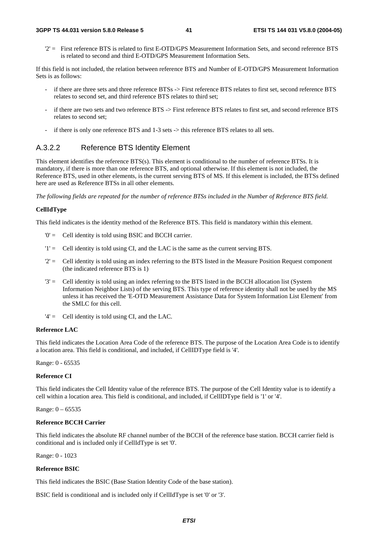#### **3GPP TS 44.031 version 5.8.0 Release 5 41 ETSI TS 144 031 V5.8.0 (2004-05)**

'2' = First reference BTS is related to first E-OTD/GPS Measurement Information Sets, and second reference BTS is related to second and third E-OTD/GPS Measurement Information Sets.

If this field is not included, the relation between reference BTS and Number of E-OTD/GPS Measurement Information Sets is as follows:

- if there are three sets and three reference BTSs -> First reference BTS relates to first set, second reference BTS relates to second set, and third reference BTS relates to third set;
- if there are two sets and two reference BTS -> First reference BTS relates to first set, and second reference BTS relates to second set;
- if there is only one reference BTS and 1-3 sets -> this reference BTS relates to all sets.

### A.3.2.2 Reference BTS Identity Element

This element identifies the reference BTS(s). This element is conditional to the number of reference BTSs. It is mandatory, if there is more than one reference BTS, and optional otherwise. If this element is not included, the Reference BTS, used in other elements, is the current serving BTS of MS. If this element is included, the BTSs defined here are used as Reference BTSs in all other elements.

*The following fields are repeated for the number of reference BTSs included in the Number of Reference BTS field.*

#### **CellIdType**

This field indicates is the identity method of the Reference BTS. This field is mandatory within this element.

- '0' = Cell identity is told using BSIC and BCCH carrier.
- '1' = Cell identity is told using CI, and the LAC is the same as the current serving BTS.
- $2'$  = Cell identity is told using an index referring to the BTS listed in the Measure Position Request component (the indicated reference BTS is 1)
- '3' = Cell identity is told using an index referring to the BTS listed in the BCCH allocation list (System Information Neighbor Lists) of the serving BTS. This type of reference identity shall not be used by the MS unless it has received the 'E-OTD Measurement Assistance Data for System Information List Element' from the SMLC for this cell.
- $'4' =$  Cell identity is told using CI, and the LAC.

#### **Reference LAC**

This field indicates the Location Area Code of the reference BTS. The purpose of the Location Area Code is to identify a location area. This field is conditional, and included, if CellIDType field is '4'.

Range: 0 - 65535

#### **Reference CI**

This field indicates the Cell Identity value of the reference BTS. The purpose of the Cell Identity value is to identify a cell within a location area. This field is conditional, and included, if CellIDType field is '1' or '4'.

Range: 0 – 65535

#### **Reference BCCH Carrier**

This field indicates the absolute RF channel number of the BCCH of the reference base station. BCCH carrier field is conditional and is included only if CellIdType is set '0'.

Range: 0 - 1023

#### **Reference BSIC**

This field indicates the BSIC (Base Station Identity Code of the base station).

BSIC field is conditional and is included only if CellIdType is set '0' or '3'.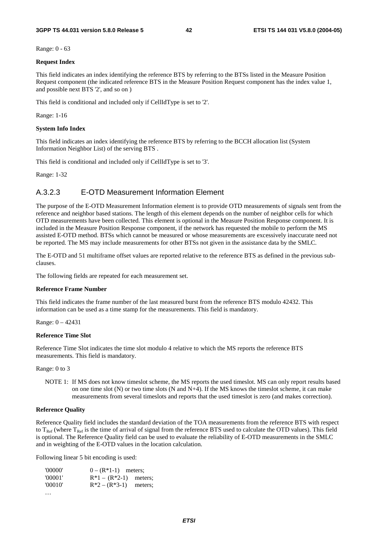Range: 0 - 63

#### **Request Index**

This field indicates an index identifying the reference BTS by referring to the BTSs listed in the Measure Position Request component (the indicated reference BTS in the Measure Position Request component has the index value 1, and possible next BTS '2', and so on )

This field is conditional and included only if CellIdType is set to '2'.

Range: 1-16

#### **System Info Index**

This field indicates an index identifying the reference BTS by referring to the BCCH allocation list (System Information Neighbor List) of the serving BTS .

This field is conditional and included only if CellIdType is set to '3'.

Range: 1-32

### A.3.2.3 E-OTD Measurement Information Element

The purpose of the E-OTD Measurement Information element is to provide OTD measurements of signals sent from the reference and neighbor based stations. The length of this element depends on the number of neighbor cells for which OTD measurements have been collected. This element is optional in the Measure Position Response component. It is included in the Measure Position Response component, if the network has requested the mobile to perform the MS assisted E-OTD method. BTSs which cannot be measured or whose measurements are excessively inaccurate need not be reported. The MS may include measurements for other BTSs not given in the assistance data by the SMLC.

The E-OTD and 51 multiframe offset values are reported relative to the reference BTS as defined in the previous subclauses.

The following fields are repeated for each measurement set.

#### **Reference Frame Number**

This field indicates the frame number of the last measured burst from the reference BTS modulo 42432. This information can be used as a time stamp for the measurements. This field is mandatory.

Range: 0 – 42431

#### **Reference Time Slot**

Reference Time Slot indicates the time slot modulo 4 relative to which the MS reports the reference BTS measurements. This field is mandatory.

Range: 0 to 3

NOTE 1: If MS does not know timeslot scheme, the MS reports the used timeslot. MS can only report results based on one time slot  $(N)$  or two time slots  $(N \text{ and } N+4)$ . If the MS knows the timeslot scheme, it can make measurements from several timeslots and reports that the used timeslot is zero (and makes correction).

#### **Reference Quality**

Reference Quality field includes the standard deviation of the TOA measurements from the reference BTS with respect to  $T_{Ref}$  (where  $T_{Ref}$  is the time of arrival of signal from the reference BTS used to calculate the OTD values). This field is optional. The Reference Quality field can be used to evaluate the reliability of E-OTD measurements in the SMLC and in weighting of the E-OTD values in the location calculation.

Following linear 5 bit encoding is used:

| '00000' | $0 - (R^*1-1)$ meters;    |  |
|---------|---------------------------|--|
| '00001' | $R*1 - (R*2-1)$ meters;   |  |
| '00010' | $R^*2 - (R^*3-1)$ meters; |  |

…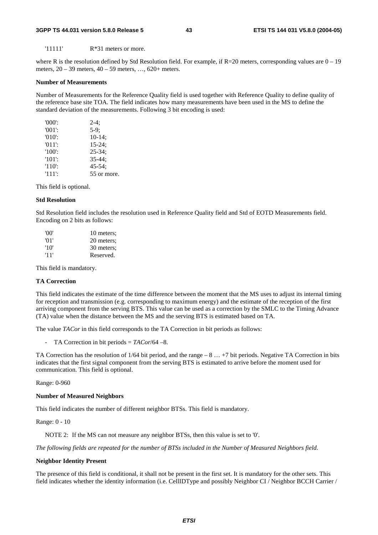#### **3GPP TS 44.031 version 5.8.0 Release 5 43 ETSI TS 144 031 V5.8.0 (2004-05)**

'11111' R\*31 meters or more.

where R is the resolution defined by Std Resolution field. For example, if  $R=20$  meters, corresponding values are  $0-19$ meters, 20 – 39 meters, 40 – 59 meters, …, 620+ meters.

#### **Number of Measurements**

Number of Measurements for the Reference Quality field is used together with Reference Quality to define quality of the reference base site TOA. The field indicates how many measurements have been used in the MS to define the standard deviation of the measurements. Following 3 bit encoding is used:

| $'000'$ : | $2-4:$      |
|-----------|-------------|
| $'001'$ : | $5-9$ ;     |
| $'010'$ : | $10-14;$    |
| $'011'$ : | $15 - 24$ ; |
| $'100'$ : | $25 - 34$ ; |
| $'101'$ : | $35 - 44:$  |
| $'110'$ : | $45 - 54$ ; |
| $'111'$ : | 55 or more. |

This field is optional.

#### **Std Resolution**

Std Resolution field includes the resolution used in Reference Quality field and Std of EOTD Measurements field. Encoding on 2 bits as follows:

| 'OO' | 10 meters; |
|------|------------|
| '01' | 20 meters; |
| '10' | 30 meters; |
| '11' | Reserved.  |

This field is mandatory.

#### **TA Correction**

This field indicates the estimate of the time difference between the moment that the MS uses to adjust its internal timing for reception and transmission (e.g. corresponding to maximum energy) and the estimate of the reception of the first arriving component from the serving BTS. This value can be used as a correction by the SMLC to the Timing Advance (TA) value when the distance between the MS and the serving BTS is estimated based on TA.

The value *TACor* in this field corresponds to the TA Correction in bit periods as follows:

- TA Correction in bit periods = *TACor*/64 –8.

TA Correction has the resolution of 1/64 bit period, and the range – 8 … +7 bit periods. Negative TA Correction in bits indicates that the first signal component from the serving BTS is estimated to arrive before the moment used for communication. This field is optional.

Range: 0-960

#### **Number of Measured Neighbors**

This field indicates the number of different neighbor BTSs. This field is mandatory.

Range: 0 - 10

NOTE 2: If the MS can not measure any neighbor BTSs, then this value is set to '0'.

*The following fields are repeated for the number of BTSs included in the Number of Measured Neighbors field.*

#### **Neighbor Identity Present**

The presence of this field is conditional, it shall not be present in the first set. It is mandatory for the other sets. This field indicates whether the identity information (i.e. CellIDType and possibly Neighbor CI / Neighbor BCCH Carrier /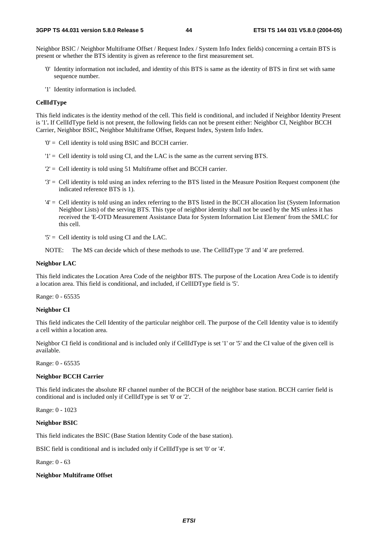Neighbor BSIC / Neighbor Multiframe Offset / Request Index / System Info Index fields) concerning a certain BTS is present or whether the BTS identity is given as reference to the first measurement set.

- '0' Identity information not included, and identity of this BTS is same as the identity of BTS in first set with same sequence number.
- '1' Identity information is included.

#### **CellIdType**

This field indicates is the identity method of the cell. This field is conditional, and included if Neighbor Identity Present is '1'**.** If CellIdType field is not present, the following fields can not be present either: Neighbor CI, Neighbor BCCH Carrier, Neighbor BSIC, Neighbor Multiframe Offset, Request Index, System Info Index.

- '0' = Cell identity is told using BSIC and BCCH carrier.
- '1' = Cell identity is told using CI, and the LAC is the same as the current serving BTS.
- '2' = Cell identity is told using 51 Multiframe offset and BCCH carrier.
- '3' = Cell identity is told using an index referring to the BTS listed in the Measure Position Request component (the indicated reference BTS is 1).
- '4' = Cell identity is told using an index referring to the BTS listed in the BCCH allocation list (System Information Neighbor Lists) of the serving BTS. This type of neighbor identity shall not be used by the MS unless it has received the 'E-OTD Measurement Assistance Data for System Information List Element' from the SMLC for this cell.
- '5' = Cell identity is told using CI and the LAC.
- NOTE: The MS can decide which of these methods to use. The CellIdType '3' and '4' are preferred.

#### **Neighbor LAC**

This field indicates the Location Area Code of the neighbor BTS. The purpose of the Location Area Code is to identify a location area. This field is conditional, and included, if CellIDType field is '5'.

Range: 0 - 65535

#### **Neighbor CI**

This field indicates the Cell Identity of the particular neighbor cell. The purpose of the Cell Identity value is to identify a cell within a location area.

Neighbor CI field is conditional and is included only if CellIdType is set '1' or '5' and the CI value of the given cell is available.

Range: 0 - 65535

#### **Neighbor BCCH Carrier**

This field indicates the absolute RF channel number of the BCCH of the neighbor base station. BCCH carrier field is conditional and is included only if CellIdType is set '0' or '2'.

Range: 0 - 1023

#### **Neighbor BSIC**

This field indicates the BSIC (Base Station Identity Code of the base station).

BSIC field is conditional and is included only if CellIdType is set '0' or '4'.

Range: 0 - 63

#### **Neighbor Multiframe Offset**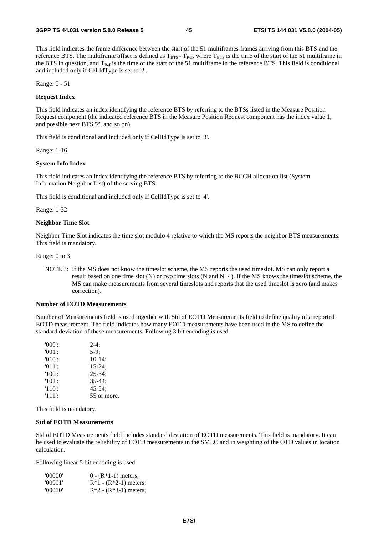This field indicates the frame difference between the start of the 51 multiframes frames arriving from this BTS and the reference BTS. The multiframe offset is defined as  $T_{BTS}$  -  $T_{Ref}$ , where  $T_{BTS}$  is the time of the start of the 51 multiframe in the BTS in question, and  $T_{Ref}$  is the time of the start of the 51 multiframe in the reference BTS. This field is conditional and included only if CellIdType is set to '2'.

Range: 0 - 51

#### **Request Index**

This field indicates an index identifying the reference BTS by referring to the BTSs listed in the Measure Position Request component (the indicated reference BTS in the Measure Position Request component has the index value 1, and possible next BTS '2', and so on).

This field is conditional and included only if CellIdType is set to '3'.

Range: 1-16

#### **System Info Index**

This field indicates an index identifying the reference BTS by referring to the BCCH allocation list (System Information Neighbor List) of the serving BTS.

This field is conditional and included only if CellIdType is set to '4'.

Range: 1-32

#### **Neighbor Time Slot**

Neighbor Time Slot indicates the time slot modulo 4 relative to which the MS reports the neighbor BTS measurements. This field is mandatory.

Range: 0 to 3

NOTE 3: If the MS does not know the timeslot scheme, the MS reports the used timeslot. MS can only report a result based on one time slot (N) or two time slots (N and N+4). If the MS knows the timeslot scheme, the MS can make measurements from several timeslots and reports that the used timeslot is zero (and makes correction).

#### **Number of EOTD Measurements**

Number of Measurements field is used together with Std of EOTD Measurements field to define quality of a reported EOTD measurement. The field indicates how many EOTD measurements have been used in the MS to define the standard deviation of these measurements. Following 3 bit encoding is used.

| $'000'$ : | $2-4:$      |
|-----------|-------------|
| $'001$ :  | $5-9:$      |
| $'010'$ : | $10-14$ ;   |
| $'011'$ : | $15 - 24$ ; |
| $'100'$ : | $25 - 34$ ; |
| $'101'$ : | $35 - 44:$  |
| $'110'$ : | $45 - 54$ ; |
| $'111'$ : | 55 or more. |

This field is mandatory.

#### **Std of EOTD Measurements**

Std of EOTD Measurements field includes standard deviation of EOTD measurements. This field is mandatory. It can be used to evaluate the reliability of EOTD measurements in the SMLC and in weighting of the OTD values in location calculation.

Following linear 5 bit encoding is used:

| '00000' | $0 - (R*1-1)$ meters;   |
|---------|-------------------------|
| '00001' | $R*1 - (R*2-1)$ meters; |
| '00010' | $R*2 - (R*3-1)$ meters; |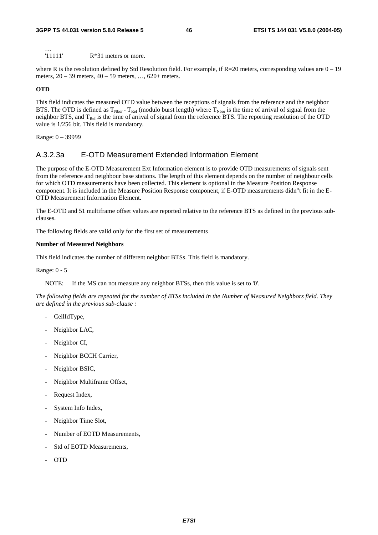'11111' R\*31 meters or more.

where R is the resolution defined by Std Resolution field. For example, if  $R=20$  meters, corresponding values are  $0-19$ meters, 20 – 39 meters, 40 – 59 meters, …, 620+ meters.

#### **OTD**

…

This field indicates the measured OTD value between the receptions of signals from the reference and the neighbor BTS. The OTD is defined as  $T_{Nbor}$  -  $T_{Ref}$  (modulo burst length) where  $T_{Nbor}$  is the time of arrival of signal from the neighbor BTS, and  $T_{Ref}$  is the time of arrival of signal from the reference BTS. The reporting resolution of the OTD value is 1/256 bit. This field is mandatory.

Range: 0 – 39999

### A.3.2.3a E-OTD Measurement Extended Information Element

The purpose of the E-OTD Measurement Ext Information element is to provide OTD measurements of signals sent from the reference and neighbour base stations. The length of this element depends on the number of neighbour cells for which OTD measurements have been collected. This element is optional in the Measure Position Response component. It is included in the Measure Position Response component, if E-OTD measurements didn"t fit in the E-OTD Measurement Information Element.

The E-OTD and 51 multiframe offset values are reported relative to the reference BTS as defined in the previous subclauses.

The following fields are valid only for the first set of measurements

#### **Number of Measured Neighbors**

This field indicates the number of different neighbor BTSs. This field is mandatory.

Range: 0 - 5

NOTE: If the MS can not measure any neighbor BTSs, then this value is set to '0'.

*The following fields are repeated for the number of BTSs included in the Number of Measured Neighbors field. They are defined in the previous sub-clause :*

- CellIdType,
- Neighbor LAC,
- Neighbor CI,
- Neighbor BCCH Carrier,
- Neighbor BSIC,
- Neighbor Multiframe Offset,
- Request Index,
- System Info Index,
- Neighbor Time Slot,
- Number of EOTD Measurements,
- Std of EOTD Measurements,
- OTD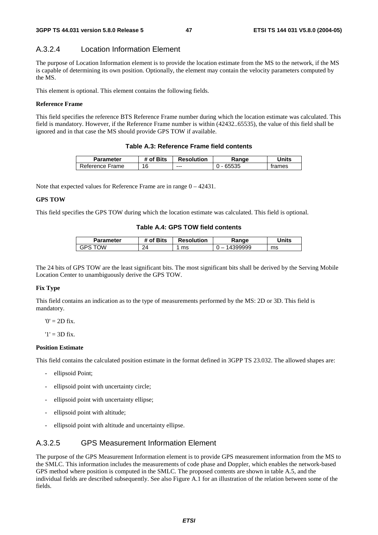## A.3.2.4 Location Information Element

The purpose of Location Information element is to provide the location estimate from the MS to the network, if the MS is capable of determining its own position. Optionally, the element may contain the velocity parameters computed by the MS.

This element is optional. This element contains the following fields.

### **Reference Frame**

This field specifies the reference BTS Reference Frame number during which the location estimate was calculated. This field is mandatory. However, if the Reference Frame number is within (42432..65535), the value of this field shall be ignored and in that case the MS should provide GPS TOW if available.

### **Table A.3: Reference Frame field contents**

| Parameter       | # of Bits | <b>Resolution</b> | Range | Units  |
|-----------------|-----------|-------------------|-------|--------|
| Reference Frame | 16        | $--$              |       | trames |

Note that expected values for Reference Frame are in range 0 – 42431.

### **GPS TOW**

This field specifies the GPS TOW during which the location estimate was calculated. This field is optional.

### **Table A.4: GPS TOW field contents**

| Parameter | # of Bits | <b>Resolution</b> | Ranɑe      | Jnits |
|-----------|-----------|-------------------|------------|-------|
| ٦W<br>ات  | 24        | ms                | 99999<br>- | ms    |

The 24 bits of GPS TOW are the least significant bits. The most significant bits shall be derived by the Serving Mobile Location Center to unambiguously derive the GPS TOW.

#### **Fix Type**

This field contains an indication as to the type of measurements performed by the MS: 2D or 3D. This field is mandatory.

 $0' = 2D$  fix.

 $'1' = 3D$  fix.

#### **Position Estimate**

This field contains the calculated position estimate in the format defined in 3GPP TS 23.032. The allowed shapes are:

- ellipsoid Point:
- ellipsoid point with uncertainty circle;
- ellipsoid point with uncertainty ellipse;
- ellipsoid point with altitude;
- ellipsoid point with altitude and uncertainty ellipse.

### A.3.2.5 GPS Measurement Information Element

The purpose of the GPS Measurement Information element is to provide GPS measurement information from the MS to the SMLC. This information includes the measurements of code phase and Doppler, which enables the network-based GPS method where position is computed in the SMLC. The proposed contents are shown in table A.5, and the individual fields are described subsequently. See also Figure A.1 for an illustration of the relation between some of the fields.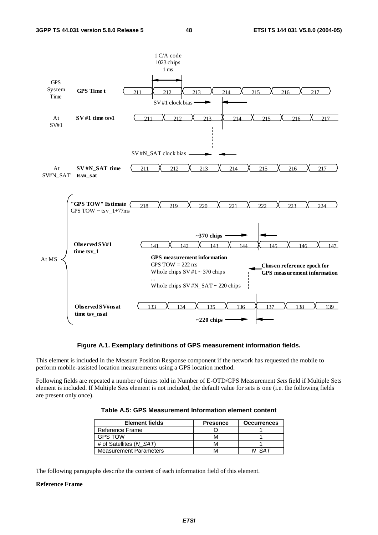![](_page_48_Figure_3.jpeg)

**Figure A.1. Exemplary definitions of GPS measurement information fields.** 

This element is included in the Measure Position Response component if the network has requested the mobile to perform mobile-assisted location measurements using a GPS location method.

Following fields are repeated a number of times told in Number of E-OTD/GPS Measurement *Sets* field if Multiple Sets element is included. If Multiple Sets element is not included, the default value for sets is one (i.e. the following fields are present only once).

**Table A.5: GPS Measurement Information element content** 

| <b>Element fields</b>         | <b>Presence</b> | <b>Occurrences</b> |
|-------------------------------|-----------------|--------------------|
| Reference Frame               |                 |                    |
| <b>GPS TOW</b>                |                 |                    |
| # of Satellites (N SAT)       | M               |                    |
| <b>Measurement Parameters</b> | м               | 54 T               |

The following paragraphs describe the content of each information field of this element.

#### **Reference Frame**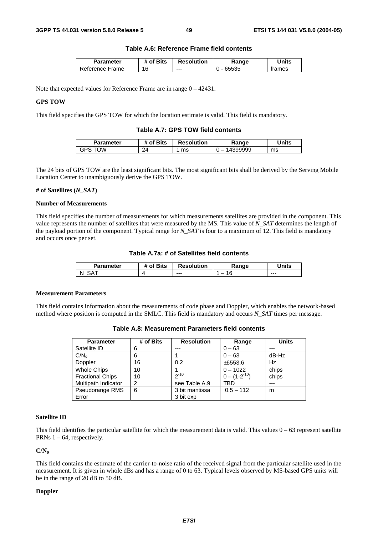#### **Table A.6: Reference Frame field contents**

| Parameter            | <b>Bits</b><br>ΩŤ | <b>Resolution</b> | kange | <b>Jnits</b> |
|----------------------|-------------------|-------------------|-------|--------------|
| -<br>Reference Frame | 16                | $- - -$           |       | trames       |

Note that expected values for Reference Frame are in range 0 – 42431.

#### **GPS TOW**

This field specifies the GPS TOW for which the location estimate is valid. This field is mandatory.

#### **Table A.7: GPS TOW field contents**

| Parameter | <b>Sits</b><br>. വ | <b>Resolution</b> | Ranqe                              | `Inits |
|-----------|--------------------|-------------------|------------------------------------|--------|
| ٦W<br>خ⊬ن | 24                 | ms                | 399999<br>$\overline{\phantom{a}}$ | ms     |

The 24 bits of GPS TOW are the least significant bits. The most significant bits shall be derived by the Serving Mobile Location Center to unambiguously derive the GPS TOW.

#### **# of Satellites (***N\_SAT***)**

#### **Number of Measurements**

This field specifies the number of measurements for which measurements satellites are provided in the component. This value represents the number of satellites that were measured by the MS. This value of *N\_SAT* determines the length of the payload portion of the component. Typical range for *N\_SAT* is four to a maximum of 12. This field is mandatory and occurs once per set.

#### **Table A.7a: # of Satellites field contents**

| Parameter    | <b>Sits</b><br>വ | <b>Resolution</b> | kange  | <b>Inits</b> |
|--------------|------------------|-------------------|--------|--------------|
| ⊰Δ<br>N<br>_ |                  | $--$              | -<br>U | $--$         |

#### **Measurement Parameters**

This field contains information about the measurements of code phase and Doppler, which enables the network-based method where position is computed in the SMLC. This field is mandatory and occurs *N\_SAT* times per message.

| <b>Parameter</b>        | # of Bits | <b>Resolution</b> | Range               | <b>Units</b> |
|-------------------------|-----------|-------------------|---------------------|--------------|
| Satellite ID            | 6         |                   | $0 - 63$            | ---          |
| C/N <sub>o</sub>        | 6         |                   | $0 - 63$            | dB-Hz        |
| Doppler                 | 16        | 0.2               | ±6553.6             | Hz           |
| <b>Whole Chips</b>      | 10        |                   | $0 - 1022$          | chips        |
| <b>Fractional Chips</b> | 10        | $2^{-10}$         | $0 - (1 - 2^{-10})$ | chips        |
| Multipath Indicator     | 2         | see Table A.9     | TBD                 | $--$         |
| Pseudorange RMS         | 6         | 3 bit mantissa    | $0.5 - 112$         | m            |
| Error                   |           | 3 bit exp         |                     |              |

**Table A.8: Measurement Parameters field contents** 

#### **Satellite ID**

This field identifies the particular satellite for which the measurement data is valid. This values  $0 - 63$  represent satellite PRNs  $1 - 64$ , respectively.

**C/N0**

This field contains the estimate of the carrier-to-noise ratio of the received signal from the particular satellite used in the measurement. It is given in whole dBs and has a range of 0 to 63. Typical levels observed by MS-based GPS units will be in the range of 20 dB to 50 dB.

#### **Doppler**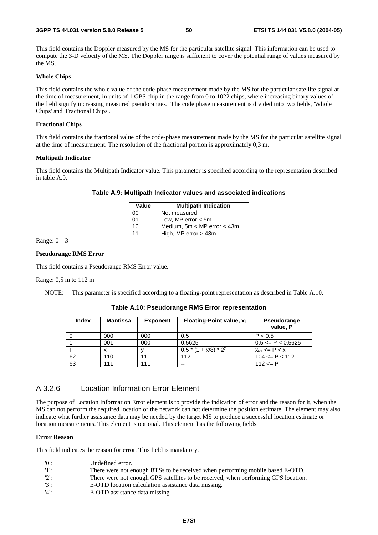#### **3GPP TS 44.031 version 5.8.0 Release 5 50 ETSI TS 144 031 V5.8.0 (2004-05)**

This field contains the Doppler measured by the MS for the particular satellite signal. This information can be used to compute the 3-D velocity of the MS. The Doppler range is sufficient to cover the potential range of values measured by the MS.

#### **Whole Chips**

This field contains the whole value of the code-phase measurement made by the MS for the particular satellite signal at the time of measurement, in units of 1 GPS chip in the range from 0 to 1022 chips, where increasing binary values of the field signify increasing measured pseudoranges. The code phase measurement is divided into two fields, 'Whole Chips' and 'Fractional Chips'.

#### **Fractional Chips**

This field contains the fractional value of the code-phase measurement made by the MS for the particular satellite signal at the time of measurement. The resolution of the fractional portion is approximately 0,3 m.

#### **Multipath Indicator**

This field contains the Multipath Indicator value. This parameter is specified according to the representation described in table A.9.

#### **Table A.9: Multipath Indicator values and associated indications**

| Value      | <b>Multipath Indication</b>     |  |  |
|------------|---------------------------------|--|--|
| 00         | Not measured                    |  |  |
| $^{\circ}$ | Low, MP error $<$ 5m            |  |  |
| 10         | Medium, $5m < MP$ error $<$ 43m |  |  |
| 11         | High, MP error $>$ 43m          |  |  |

Range:  $0 - 3$ 

#### **Pseudorange RMS Error**

This field contains a Pseudorange RMS Error value.

#### Range: 0,5 m to 112 m

NOTE: This parameter is specified according to a floating-point representation as described in Table A.10.

**Table A.10: Pseudorange RMS Error representation** 

| <b>Index</b> | <b>Mantissa</b> | <b>Exponent</b> | Floating-Point value, $x_i$ | Pseudorange<br>value, P  |
|--------------|-----------------|-----------------|-----------------------------|--------------------------|
|              | 000             | 000             | 0.5                         | P < 0.5                  |
|              | 001             | 000             | 0.5625                      | $0.5 \leq P \leq 0.5625$ |
|              |                 |                 | $0.5*(1 + x/8)*2^y$         | $x_{i-1}$ <= P < $x_i$   |
| 62           | 110             | 111             | 112                         | $104 \leq P \leq 112$    |
| 63           | 111             | 111             | --                          | $112 \le P$              |

### A.3.2.6 Location Information Error Element

The purpose of Location Information Error element is to provide the indication of error and the reason for it, when the MS can not perform the required location or the network can not determine the position estimate. The element may also indicate what further assistance data may be needed by the target MS to produce a successful location estimate or location measurements. This element is optional. This element has the following fields.

#### **Error Reason**

This field indicates the reason for error. This field is mandatory.

| $^{\prime}$ () <sup><math>\cdot</math></sup> | Undefined error.                                                                   |
|----------------------------------------------|------------------------------------------------------------------------------------|
| $'1$ :                                       | There were not enough BTSs to be received when performing mobile based E-OTD.      |
| $'2$ :                                       | There were not enough GPS satellites to be received, when performing GPS location. |
| $'3'$ :                                      | E-OTD location calculation assistance data missing.                                |
| אי אי $\sim$                                 | EMPO accistance data missing                                                       |

'4': E-OTD assistance data missing.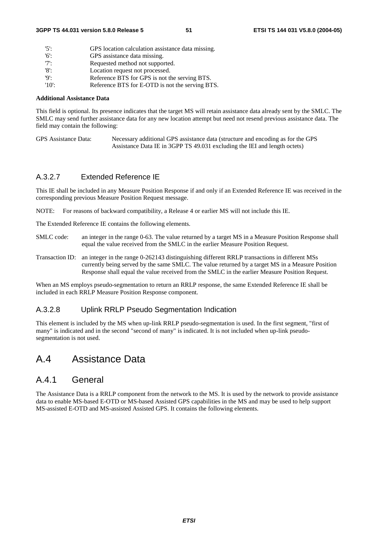| $'5$ .   | GPS location calculation assistance data missing. |
|----------|---------------------------------------------------|
| '6'      | GPS assistance data missing.                      |
| 7        | Requested method not supported.                   |
| '8':     | Location request not processed.                   |
| 'Q'      | Reference BTS for GPS is not the serving BTS.     |
| $'10'$ : | Reference BTS for E-OTD is not the serving BTS.   |

#### **Additional Assistance Data**

This field is optional. Its presence indicates that the target MS will retain assistance data already sent by the SMLC. The SMLC may send further assistance data for any new location attempt but need not resend previous assistance data. The field may contain the following:

GPS Assistance Data: Necessary additional GPS assistance data (structure and encoding as for the GPS Assistance Data IE in 3GPP TS 49.031 excluding the IEI and length octets)

### A.3.2.7 Extended Reference IE

This IE shall be included in any Measure Position Response if and only if an Extended Reference IE was received in the corresponding previous Measure Position Request message.

NOTE: For reasons of backward compatibility, a Release 4 or earlier MS will not include this IE.

The Extended Reference IE contains the following elements.

- SMLC code: an integer in the range 0-63. The value returned by a target MS in a Measure Position Response shall equal the value received from the SMLC in the earlier Measure Position Request.
- Transaction ID: an integer in the range 0-262143 distinguishing different RRLP transactions in different MSs currently being served by the same SMLC. The value returned by a target MS in a Measure Position Response shall equal the value received from the SMLC in the earlier Measure Position Request.

When an MS employs pseudo-segmentation to return an RRLP response, the same Extended Reference IE shall be included in each RRLP Measure Position Response component.

#### A.3.2.8 Uplink RRLP Pseudo Segmentation Indication

This element is included by the MS when up-link RRLP pseudo-segmentation is used. In the first segment, "first of many" is indicated and in the second "second of many" is indicated. It is not included when up-link pseudosegmentation is not used.

## A.4 Assistance Data

### A.4.1 General

The Assistance Data is a RRLP component from the network to the MS. It is used by the network to provide assistance data to enable MS-based E-OTD or MS-based Assisted GPS capabilities in the MS and may be used to help support MS-assisted E-OTD and MS-assisted Assisted GPS. It contains the following elements.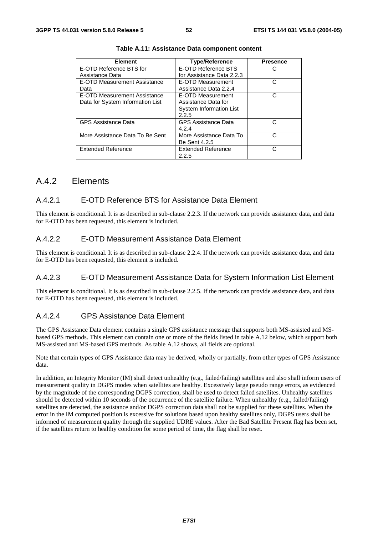| <b>Element</b>                   | <b>Type/Reference</b>      | <b>Presence</b> |
|----------------------------------|----------------------------|-----------------|
| E-OTD Reference BTS for          | E-OTD Reference BTS        |                 |
| Assistance Data                  | for Assistance Data 2.2.3  |                 |
| E-OTD Measurement Assistance     | E-OTD Measurement          |                 |
| Data                             | Assistance Data 2.2.4      |                 |
| E-OTD Measurement Assistance     | E-OTD Measurement          | C               |
| Data for System Information List | Assistance Data for        |                 |
|                                  | System Information List    |                 |
|                                  | 2.2.5                      |                 |
| <b>GPS Assistance Data</b>       | <b>GPS Assistance Data</b> | C               |
|                                  | 4.2.4                      |                 |
| More Assistance Data To Be Sent  | More Assistance Data To    | r.              |
|                                  | <b>Be Sent 4.2.5</b>       |                 |
| <b>Extended Reference</b>        | <b>Extended Reference</b>  | C               |
|                                  | 2.2.5                      |                 |

| Table A.11: Assistance Data component content |  |  |  |
|-----------------------------------------------|--|--|--|
|-----------------------------------------------|--|--|--|

### A.4.2 Elements

### A.4.2.1 E-OTD Reference BTS for Assistance Data Element

This element is conditional. It is as described in sub-clause 2.2.3. If the network can provide assistance data, and data for E-OTD has been requested, this element is included.

### A.4.2.2 E-OTD Measurement Assistance Data Element

This element is conditional. It is as described in sub-clause 2.2.4. If the network can provide assistance data, and data for E-OTD has been requested, this element is included.

### A.4.2.3 E-OTD Measurement Assistance Data for System Information List Element

This element is conditional. It is as described in sub-clause 2.2.5. If the network can provide assistance data, and data for E-OTD has been requested, this element is included.

### A.4.2.4 GPS Assistance Data Element

The GPS Assistance Data element contains a single GPS assistance message that supports both MS-assisted and MSbased GPS methods. This element can contain one or more of the fields listed in table A.12 below, which support both MS-assisted and MS-based GPS methods. As table A.12 shows, all fields are optional.

Note that certain types of GPS Assistance data may be derived, wholly or partially, from other types of GPS Assistance data.

In addition, an Integrity Monitor (IM) shall detect unhealthy (e.g., failed/failing) satellites and also shall inform users of measurement quality in DGPS modes when satellites are healthy. Excessively large pseudo range errors, as evidenced by the magnitude of the corresponding DGPS correction, shall be used to detect failed satellites. Unhealthy satellites should be detected within 10 seconds of the occurrence of the satellite failure. When unhealthy (e.g., failed/failing) satellites are detected, the assistance and/or DGPS correction data shall not be supplied for these satellites. When the error in the IM computed position is excessive for solutions based upon healthy satellites only, DGPS users shall be informed of measurement quality through the supplied UDRE values. After the Bad Satellite Present flag has been set, if the satellites return to healthy condition for some period of time, the flag shall be reset.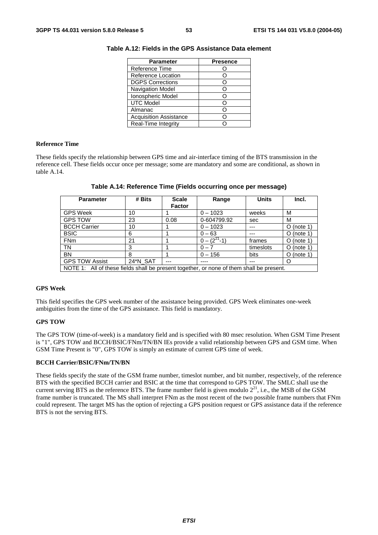| <b>Parameter</b>              | <b>Presence</b> |
|-------------------------------|-----------------|
| Reference Time                |                 |
| Reference Location            | C               |
| <b>DGPS Corrections</b>       |                 |
| <b>Navigation Model</b>       |                 |
| Ionospheric Model             | Ο               |
| <b>UTC Model</b>              | C               |
| Almanac                       |                 |
| <b>Acquisition Assistance</b> |                 |
| Real-Time Integrity           |                 |

**Table A.12: Fields in the GPS Assistance Data element** 

#### **Reference Time**

These fields specify the relationship between GPS time and air-interface timing of the BTS transmission in the reference cell. These fields occur once per message; some are mandatory and some are conditional, as shown in table A.14.

| <b>Parameter</b>                                                                         | # Bits   | <b>Scale</b>  | Range              | <b>Units</b> | Incl.        |
|------------------------------------------------------------------------------------------|----------|---------------|--------------------|--------------|--------------|
|                                                                                          |          | <b>Factor</b> |                    |              |              |
| <b>GPS Week</b>                                                                          | 10       |               | $0 - 1023$         | weeks        | M            |
| <b>GPS TOW</b>                                                                           | 23       | 0.08          | 0-604799.92        | sec          | M            |
| <b>BCCH Carrier</b>                                                                      | 10       |               | $0 - 1023$         | ---          | $O$ (note 1) |
| <b>BSIC</b>                                                                              | 6        |               | $0 - 63$           |              | $O$ (note 1) |
| FN <sub>m</sub>                                                                          | 21       |               | $0 - (2^{21} - 1)$ | frames       | $O$ (note 1) |
| <b>TN</b>                                                                                | 3        |               | $0 - 7$            | timeslots    | $O$ (note 1) |
| <b>BN</b>                                                                                | 8        |               | $0 - 156$          | bits         | $O$ (note 1) |
| <b>GPS TOW Assist</b>                                                                    | 24*N_SAT | ---           | ----               | ---          | O            |
| NOTE 1: All of these fields shall be present together, or none of them shall be present. |          |               |                    |              |              |

**Table A.14: Reference Time (Fields occurring once per message)** 

#### **GPS Week**

This field specifies the GPS week number of the assistance being provided. GPS Week eliminates one-week ambiguities from the time of the GPS assistance. This field is mandatory.

#### **GPS TOW**

The GPS TOW (time-of-week) is a mandatory field and is specified with 80 msec resolution. When GSM Time Present is "1", GPS TOW and BCCH/BSIC/FNm/TN/BN IEs provide a valid relationship between GPS and GSM time. When GSM Time Present is "0", GPS TOW is simply an estimate of current GPS time of week.

#### **BCCH Carrier/BSIC/FNm/TN/BN**

These fields specify the state of the GSM frame number, timeslot number, and bit number, respectively, of the reference BTS with the specified BCCH carrier and BSIC at the time that correspond to GPS TOW. The SMLC shall use the current serving BTS as the reference BTS. The frame number field is given modulo  $2^{21}$ , i.e., the MSB of the GSM frame number is truncated. The MS shall interpret FNm as the most recent of the two possible frame numbers that FNm could represent. The target MS has the option of rejecting a GPS position request or GPS assistance data if the reference BTS is not the serving BTS.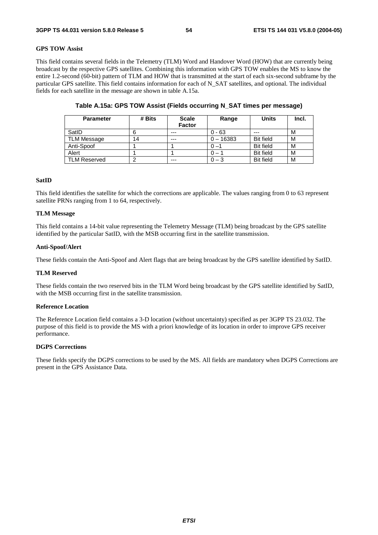#### **GPS TOW Assist**

This field contains several fields in the Telemetry (TLM) Word and Handover Word (HOW) that are currently being broadcast by the respective GPS satellites. Combining this information with GPS TOW enables the MS to know the entire 1.2-second (60-bit) pattern of TLM and HOW that is transmitted at the start of each six-second subframe by the particular GPS satellite. This field contains information for each of N\_SAT satellites, and optional. The individual fields for each satellite in the message are shown in table A.15a.

| <b>Parameter</b>    | # Bits | <b>Scale</b><br><b>Factor</b> | Range       | <b>Units</b>     | Incl. |
|---------------------|--------|-------------------------------|-------------|------------------|-------|
| SatID               |        | $- - -$                       | $0 - 63$    | $- - -$          | М     |
| <b>TLM Message</b>  | 14     | $---$                         | $0 - 16383$ | <b>Bit field</b> | м     |
| Anti-Spoof          |        |                               |             | <b>Bit field</b> | М     |
| Alert               |        |                               |             | <b>Bit field</b> | M     |
| <b>TLM Reserved</b> | ◠      | $---$                         | $0 - 3$     | <b>Bit field</b> | M     |

#### **Table A.15a: GPS TOW Assist (Fields occurring N\_SAT times per message)**

#### **SatID**

This field identifies the satellite for which the corrections are applicable. The values ranging from 0 to 63 represent satellite PRNs ranging from 1 to 64, respectively.

#### **TLM Message**

This field contains a 14-bit value representing the Telemetry Message (TLM) being broadcast by the GPS satellite identified by the particular SatID, with the MSB occurring first in the satellite transmission.

#### **Anti-Spoof/Alert**

These fields contain the Anti-Spoof and Alert flags that are being broadcast by the GPS satellite identified by SatID.

#### **TLM Reserved**

These fields contain the two reserved bits in the TLM Word being broadcast by the GPS satellite identified by SatID, with the MSB occurring first in the satellite transmission.

#### **Reference Location**

The Reference Location field contains a 3-D location (without uncertainty) specified as per 3GPP TS 23.032. The purpose of this field is to provide the MS with a priori knowledge of its location in order to improve GPS receiver performance.

#### **DGPS Corrections**

These fields specify the DGPS corrections to be used by the MS. All fields are mandatory when DGPS Corrections are present in the GPS Assistance Data.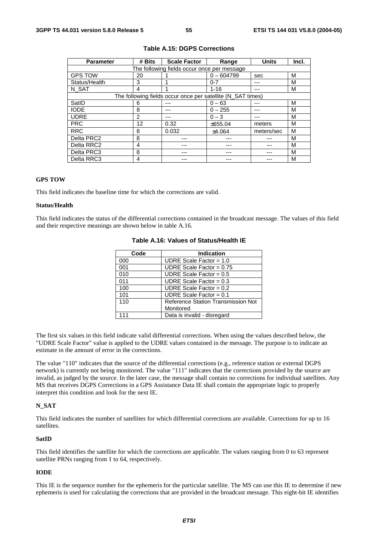| <b>Parameter</b> | # Bits | <b>Scale Factor</b>                                         | Range        | <b>Units</b> | Incl. |
|------------------|--------|-------------------------------------------------------------|--------------|--------------|-------|
|                  |        | The following fields occur once per message                 |              |              |       |
| <b>GPS TOW</b>   | 20     |                                                             | $0 - 604799$ | sec          | M     |
| Status/Health    | 3      |                                                             | $0 - 7$      |              | М     |
| N_SAT            | 4      |                                                             | $1 - 16$     |              | М     |
|                  |        | The following fields occur once per satellite (N_SAT times) |              |              |       |
| SatID            | 6      |                                                             | $0 - 63$     |              | M     |
| <b>IODE</b>      | 8      |                                                             | $0 - 255$    |              | м     |
| <b>UDRE</b>      | 2      |                                                             | $0 - 3$      |              | м     |
| <b>PRC</b>       | 12     | 0.32                                                        | ±655.04      | meters       | М     |
| <b>RRC</b>       | 8      | 0.032                                                       | ±4.064       | meters/sec   | M     |
| Delta PRC2       | 8      |                                                             |              |              | M     |
| Delta RRC2       | 4      |                                                             |              |              | М     |
| Delta PRC3       | 8      |                                                             |              |              | М     |
| Delta RRC3<br>4  |        |                                                             |              |              | М     |

#### **Table A.15: DGPS Corrections**

#### **GPS TOW**

This field indicates the baseline time for which the corrections are valid.

#### **Status/Health**

This field indicates the status of the differential corrections contained in the broadcast message. The values of this field and their respective meanings are shown below in table A.16.

| Code | <b>Indication</b>                  |
|------|------------------------------------|
| 000  | UDRE Scale Factor = $1.0$          |
| 001  | UDRE Scale Factor = $0.75$         |
| 010  | UDRE Scale Factor = $0.5$          |
| 011  | UDRE Scale Factor = $0.3$          |
| 100  | UDRE Scale Factor = $0.2$          |
| 101  | UDRE Scale Factor = $0.1$          |
| 110  | Reference Station Transmission Not |
|      | Monitored                          |
|      | Data is invalid - disregard        |

#### **Table A.16: Values of Status/Health IE**

The first six values in this field indicate valid differential corrections. When using the values described below, the "UDRE Scale Factor" value is applied to the UDRE values contained in the message. The purpose is to indicate an estimate in the amount of error in the corrections.

The value "110" indicates that the source of the differential corrections (e.g., reference station or external DGPS network) is currently not being monitored. The value "111" indicates that the corrections provided by the source are invalid, as judged by the source. In the later case, the message shall contain no corrections for individual satellites. Any MS that receives DGPS Corrections in a GPS Assistance Data IE shall contain the appropriate logic to properly interpret this condition and look for the next IE.

#### **N\_SAT**

This field indicates the number of satellites for which differential corrections are available. Corrections for up to 16 satellites.

#### **SatID**

This field identifies the satellite for which the corrections are applicable. The values ranging from 0 to 63 represent satellite PRNs ranging from 1 to 64, respectively.

#### **IODE**

This IE is the sequence number for the ephemeris for the particular satellite. The MS can use this IE to determine if new ephemeris is used for calculating the corrections that are provided in the broadcast message. This eight-bit IE identifies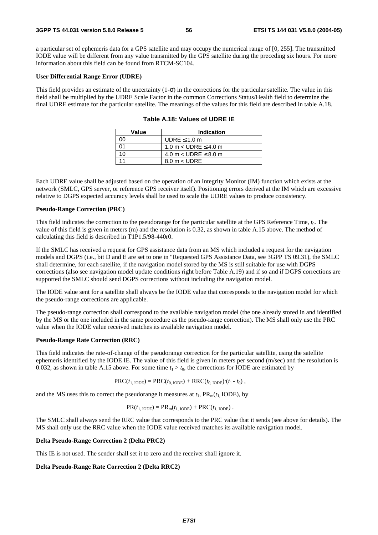a particular set of ephemeris data for a GPS satellite and may occupy the numerical range of [0, 255]. The transmitted IODE value will be different from any value transmitted by the GPS satellite during the preceding six hours. For more information about this field can be found from RTCM-SC104.

#### **User Differential Range Error (UDRE)**

This field provides an estimate of the uncertainty  $(1-\sigma)$  in the corrections for the particular satellite. The value in this field shall be multiplied by the UDRE Scale Factor in the common Corrections Status/Health field to determine the final UDRE estimate for the particular satellite. The meanings of the values for this field are described in table A.18.

| Value | Indication                    |
|-------|-------------------------------|
| ΩO    | UDRE $\leq 1.0$ m             |
| 01    | 1.0 m < UDRE $\leq$ 4.0 m     |
| 10    | 4.0 m $<$ UDRE $\leq$ 8.0 m   |
|       | $8.0 \text{ m} < \text{UDRE}$ |

**Table A.18: Values of UDRE IE** 

Each UDRE value shall be adjusted based on the operation of an Integrity Monitor (IM) function which exists at the network (SMLC, GPS server, or reference GPS receiver itself). Positioning errors derived at the IM which are excessive relative to DGPS expected accuracy levels shall be used to scale the UDRE values to produce consistency.

#### **Pseudo-Range Correction (PRC)**

This field indicates the correction to the pseudorange for the particular satellite at the GPS Reference Time, *t*0. The value of this field is given in meters (m) and the resolution is 0.32, as shown in table A.15 above. The method of calculating this field is described in T1P1.5/98-440r0.

If the SMLC has received a request for GPS assistance data from an MS which included a request for the navigation models and DGPS (i.e., bit D and E are set to one in "Requested GPS Assistance Data, see 3GPP TS 09.31), the SMLC shall determine, for each satellite, if the navigation model stored by the MS is still suitable for use with DGPS corrections (also see navigation model update conditions right before Table A.19) and if so and if DGPS corrections are supported the SMLC should send DGPS corrections without including the navigation model.

The IODE value sent for a satellite shall always be the IODE value that corresponds to the navigation model for which the pseudo-range corrections are applicable.

The pseudo-range correction shall correspond to the available navigation model (the one already stored in and identified by the MS or the one included in the same procedure as the pseudo-range correction). The MS shall only use the PRC value when the IODE value received matches its available navigation model.

#### **Pseudo-Range Rate Correction (RRC)**

This field indicates the rate-of-change of the pseudorange correction for the particular satellite, using the satellite ephemeris identified by the IODE IE. The value of this field is given in meters per second (m/sec) and the resolution is 0.032, as shown in table A.15 above. For some time  $t_1 > t_0$ , the corrections for IODE are estimated by

$$
PRC(t_{1,\text{IODE}}) = PRC(t_{0,\text{IODE}}) + RRC(t_{0,\text{IODE}})(t_1 - t_0),
$$

and the MS uses this to correct the pseudorange it measures at  $t_1$ ,  $PR_m(t_1 \text{ } IODE)$ , by

$$
PR(t_{1,\text{IODE}}) = PR_{m}(t_{1,\text{IODE}}) + PRC(t_{1,\text{IODE}}).
$$

The SMLC shall always send the RRC value that corresponds to the PRC value that it sends (see above for details). The MS shall only use the RRC value when the IODE value received matches its available navigation model.

#### **Delta Pseudo-Range Correction 2 (Delta PRC2)**

This IE is not used. The sender shall set it to zero and the receiver shall ignore it.

#### **Delta Pseudo-Range Rate Correction 2 (Delta RRC2)**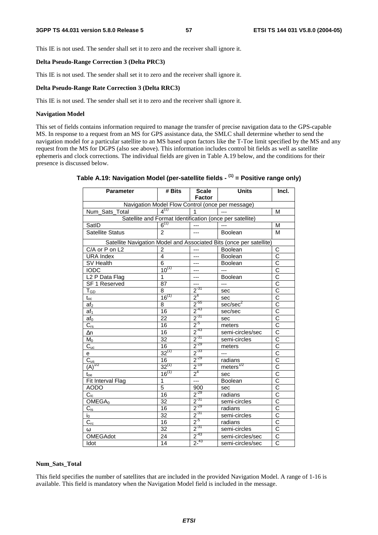This IE is not used. The sender shall set it to zero and the receiver shall ignore it.

#### **Delta Pseudo-Range Correction 3 (Delta PRC3)**

This IE is not used. The sender shall set it to zero and the receiver shall ignore it.

#### **Delta Pseudo-Range Rate Correction 3 (Delta RRC3)**

This IE is not used. The sender shall set it to zero and the receiver shall ignore it.

#### **Navigation Model**

This set of fields contains information required to manage the transfer of precise navigation data to the GPS-capable MS. In response to a request from an MS for GPS assistance data, the SMLC shall determine whether to send the navigation model for a particular satellite to an MS based upon factors like the T-Toe limit specified by the MS and any request from the MS for DGPS (also see above). This information includes control bit fields as well as satellite ephemeris and clock corrections. The individual fields are given in Table A.19 below, and the conditions for their presence is discussed below.

| <b>Parameter</b>                                         | # Bits          | <b>Scale</b><br><b>Factor</b> | <b>Units</b>                                                        | Incl.                            |  |
|----------------------------------------------------------|-----------------|-------------------------------|---------------------------------------------------------------------|----------------------------------|--|
| Navigation Model Flow Control (once per message)         |                 |                               |                                                                     |                                  |  |
| Num Sats_Total                                           | $4^{(1)}$       | $\mathbf 1$                   | $\sim$                                                              | M                                |  |
| Satellite and Format Identification (once per satellite) |                 |                               |                                                                     |                                  |  |
| SatID                                                    | $6^{(1)}$       | $\overline{a}$                | $\frac{1}{2}$                                                       | M                                |  |
| <b>Satellite Status</b>                                  | $\mathfrak{p}$  | ---                           | Boolean                                                             | M                                |  |
|                                                          |                 |                               | Satellite Navigation Model and Associated Bits (once per satellite) |                                  |  |
| C/A or P on L2                                           | $\overline{2}$  | $\overline{a}$                | Boolean                                                             | С                                |  |
| <b>URA Index</b>                                         | 4               | $---$                         | Boolean                                                             | $\overline{\text{c}}$            |  |
| SV Health                                                | 6               | ---                           | Boolean                                                             | $\overline{\text{c}}$            |  |
| <b>IODC</b>                                              | $10^{(1)}$      | ---                           | $\overline{a}$                                                      | $\overline{\text{c}}$            |  |
| L <sub>2</sub> P Data Flag                               | 1               | ---                           | Boolean                                                             | $\overline{\text{c}}$            |  |
| SF 1 Reserved                                            | 87              | ---                           | $---$                                                               | $\overline{\text{c}}$            |  |
| $\mathsf{T}_{\mathsf{GD}}$                               | 8               | $2^{31}$                      | sec                                                                 | $\overline{\text{c}}$            |  |
| $t_{\rm oc}$                                             | $16^{(1)}$      | 2 <sup>4</sup>                | sec                                                                 | $\overline{\text{c}}$            |  |
| af <sub>2</sub>                                          | 8               | $2^{-55}$                     | sec/sec <sup>2</sup>                                                | $\overline{\text{c}}$            |  |
| af <sub>1</sub>                                          | 16              | $2^{-43}$                     | sec/sec                                                             | $\overline{\overline{\text{c}}}$ |  |
| af <sub>0</sub>                                          | $\overline{22}$ |                               | sec                                                                 | $\overline{\text{c}}$            |  |
| $C_{rs}$                                                 | 16              | $\frac{2^{37}}{2^{5}}$        | meters                                                              | $\overline{\text{c}}$            |  |
| Δn                                                       | $\overline{16}$ | $2^{-43}$                     | semi-circles/sec                                                    | $\overline{\text{c}}$            |  |
| $M_0$                                                    | $\overline{32}$ | $2^{-31}$                     | semi-circles                                                        | $\overline{\text{c}}$            |  |
| $C_{uc}$                                                 | 16              | $2^{-29}$                     | meters                                                              | $\overline{\text{c}}$            |  |
| e                                                        | $32^{(1)}$      | $2^{-33}$                     | $---$                                                               | $\overline{\text{c}}$            |  |
|                                                          | 16              | $2^{-29}$                     | radians                                                             | $\overline{\text{c}}$            |  |
| $\frac{C_{us}}{(A)^{1/2}}$                               | $32^{(1)}$      | $2^{-19}$                     | meters $^{1/2}$                                                     | $\overline{\text{c}}$            |  |
| $\mathfrak{t}_{\text{oe}}$                               | $16^{(1)}$      | $2^4$                         | sec                                                                 | $\overline{\text{c}}$            |  |
| Fit Interval Flag                                        | $\mathbf{1}$    |                               | Boolean                                                             | $\overline{\text{c}}$            |  |
| <b>AODO</b>                                              | $\overline{5}$  | 900                           | sec                                                                 | $\overline{\text{c}}$            |  |
| $C_{ic}$                                                 | 16              | $2^{-29}$                     | radians                                                             | $\overline{\text{c}}$            |  |
| OMEGA <sub>0</sub>                                       | $\overline{32}$ | $2^{-31}$                     | semi-circles                                                        | $\overline{\text{c}}$            |  |
| $C_{is}$                                                 | 16              | $2^{-29}$                     | radians                                                             | $\overline{\text{c}}$            |  |
| $i_0$                                                    | $\overline{32}$ | $2^{-31}$                     | semi-circles                                                        | $\overline{\rm c}$               |  |
| $C_{rc}$                                                 | 16              | $2^{5}$                       | radians                                                             | $\overline{\text{c}}$            |  |
| ω                                                        | $\overline{32}$ | $2^{31}$                      | semi-circles                                                        | $\overline{\text{c}}$            |  |
| <b>OMEGAdot</b>                                          | 24              | $2^{-43}$                     | semi-circles/sec                                                    | $\overline{C}$                   |  |
| Idot                                                     | 14              | $2^{-43}$                     | semi-circles/sec                                                    | $\overline{\text{c}}$            |  |

### **Table A.19: Navigation Model (per-satellite fields - (1) = Positive range only)**

#### **Num\_Sats\_Total**

This field specifies the number of satellites that are included in the provided Navigation Model. A range of 1-16 is available. This field is mandatory when the Navigation Model field is included in the message.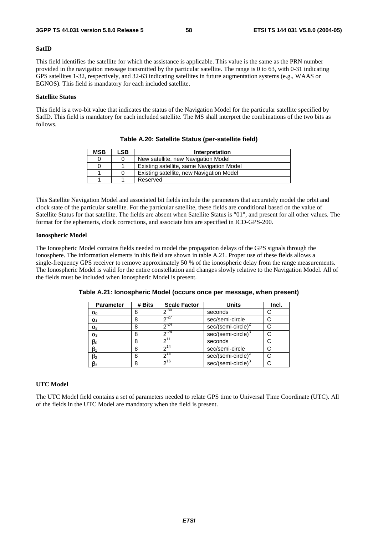#### **SatID**

This field identifies the satellite for which the assistance is applicable. This value is the same as the PRN number provided in the navigation message transmitted by the particular satellite. The range is 0 to 63, with 0-31 indicating GPS satellites 1-32, respectively, and 32-63 indicating satellites in future augmentation systems (e.g., WAAS or EGNOS). This field is mandatory for each included satellite.

#### **Satellite Status**

This field is a two-bit value that indicates the status of the Navigation Model for the particular satellite specified by SatID. This field is mandatory for each included satellite. The MS shall interpret the combinations of the two bits as follows.

| <b>MSB</b> | LSB | Interpretation                            |
|------------|-----|-------------------------------------------|
|            |     | New satellite, new Navigation Model       |
|            |     | Existing satellite, same Navigation Model |
|            |     | Existing satellite, new Navigation Model  |
|            |     | Reserved                                  |

**Table A.20: Satellite Status (per-satellite field)** 

This Satellite Navigation Model and associated bit fields include the parameters that accurately model the orbit and clock state of the particular satellite. For the particular satellite, these fields are conditional based on the value of Satellite Status for that satellite. The fields are absent when Satellite Status is "01", and present for all other values. The format for the ephemeris, clock corrections, and associate bits are specified in ICD-GPS-200.

#### **Ionospheric Model**

The Ionospheric Model contains fields needed to model the propagation delays of the GPS signals through the ionosphere. The information elements in this field are shown in table A.21. Proper use of these fields allows a single-frequency GPS receiver to remove approximately 50 % of the ionospheric delay from the range measurements. The Ionospheric Model is valid for the entire constellation and changes slowly relative to the Navigation Model. All of the fields must be included when Ionospheric Model is present.

| <b>Parameter</b> | # Bits | <b>Scale Factor</b> | <b>Units</b>                   | Incl. |
|------------------|--------|---------------------|--------------------------------|-------|
| $\alpha_0$       | 8      | $2^{-30}$           | seconds                        |       |
| $\alpha_1$       | 8      | $2^{-27}$           | sec/semi-circle                |       |
| $\alpha_2$       | 8      | $2^{-24}$           | $sec/(semi-circle)^2$          |       |
| $\alpha_3$       | 8      | $2^{-24}$           | $sec/(semi-circle)^3$          |       |
| $\beta_0$        | 8      |                     | seconds                        |       |
| $\beta_1$        | 8      | $2^{14}$            | sec/semi-circle                |       |
| $\beta_2$        | 8      | $2^{16}$            | sec/(semi-circle) <sup>2</sup> |       |
| $\beta_3$        | 8      | $2^{16}$            | $sec/(semi-circle)^3$          |       |

**Table A.21: Ionospheric Model (occurs once per message, when present)** 

#### **UTC Model**

The UTC Model field contains a set of parameters needed to relate GPS time to Universal Time Coordinate (UTC). All of the fields in the UTC Model are mandatory when the field is present.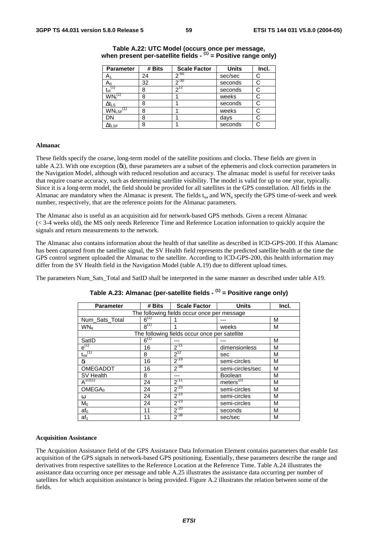| <b>Parameter</b>          | # Bits | <b>Scale Factor</b> | <b>Units</b> | Incl. |
|---------------------------|--------|---------------------|--------------|-------|
| A <sub>1</sub>            | 24     | ი <sup>-50</sup>    | sec/sec      | С     |
| $A_0$                     | 32     | $2 - 30$            | seconds      | С     |
| $t_{ot}$ <sup>(1)</sup>   | 8      | 712                 | seconds      | С     |
| $WN_t^{(1)}$              | 8      |                     | weeks        | С     |
| $\Delta t_{LS}$           | 8      |                     | seconds      | С     |
| $WN_{LSF}$ <sup>(1)</sup> | 8      |                     | weeks        |       |
| DN                        | 8      |                     | days         |       |
| $\Delta t_{\sf LSF}$      | 8      |                     | seconds      | С     |

#### **Table A.22: UTC Model (occurs once per message, when present per-satellite fields - (1) = Positive range only)**

#### **Almanac**

These fields specify the coarse, long-term model of the satellite positions and clocks. These fields are given in table A.23. With one exception (δi), these parameters are a subset of the ephemeris and clock correction parameters in the Navigation Model, although with reduced resolution and accuracy. The almanac model is useful for receiver tasks that require coarse accuracy, such as determining satellite visibility. The model is valid for up to one year, typically. Since it is a long-term model, the field should be provided for all satellites in the GPS constellation. All fields in the Almanac are mandatory when the Almanac is present. The fields  $t_{0a}$  and WN<sub>a</sub> specify the GPS time-of-week and week number, respectively, that are the reference points for the Almanac parameters.

The Almanac also is useful as an acquisition aid for network-based GPS methods. Given a recent Almanac (< 3-4 weeks old), the MS only needs Reference Time and Reference Location information to quickly acquire the signals and return measurements to the network.

The Almanac also contains information about the health of that satellite as described in ICD-GPS-200. If this Alamanc has been captured from the satellite signal, the SV Health field represents the predicted satellite health at the time the GPS control segment uploaded the Almanac to the satellite. According to ICD-GPS-200, this health information may differ from the SV Health field in the Navigation Model (table A.19) due to different upload times.

The parameters Num\_Sats\_Total and SatID shall be interpreted in the same manner as described under table A19.

| <b>Parameter</b>                 | # Bits    | <b>Scale Factor</b>                           | <b>Units</b>     | Incl. |
|----------------------------------|-----------|-----------------------------------------------|------------------|-------|
|                                  |           | The following fields occur once per message   |                  |       |
| Num_Sats_Total                   | $6^{(1)}$ |                                               |                  | М     |
| WN <sub>a</sub>                  | $8^{(1)}$ | 1                                             | weeks            | M     |
|                                  |           | The following fields occur once per satellite |                  |       |
| SatID                            | $6^{(1)}$ |                                               |                  | M     |
| $e^{(1)}$                        | 16        | $2^{-21}$                                     | dimensionless    | M     |
| $\mathfrak{t}_{\text{oa}}^{(1)}$ | 8         | $2^{12}$                                      | sec              | M     |
| δi                               | 16        | $2^{-19}$                                     | semi-circles     | M     |
| <b>OMEGADOT</b>                  | 16        | $2^{-38}$                                     | semi-circles/sec | M     |
| SV Health                        | 8         |                                               | <b>Boolean</b>   | M     |
| $A^{1/2(1)}$                     | 24        | $2^{-11}$                                     | meters $^{1/2}$  | М     |
| OMEGA <sub>0</sub>               | 24        | $2^{-23}$                                     | semi-circles     | M     |
| ω                                | 24        | $2^{-23}$                                     | semi-circles     | M     |
| $M_0$                            | 24        | $2^{-23}$                                     | semi-circles     | M     |
| $af_0$                           | 11        | $2^{-20}$                                     | seconds          | M     |
| af <sub>1</sub>                  | 11        | $2^{-38}$                                     | sec/sec          | M     |

### **Table A.23: Almanac (per-satellite fields - (1) = Positive range only)**

#### **Acquisition Assistance**

The Acquisition Assistance field of the GPS Assistance Data Information Element contains parameters that enable fast acquisition of the GPS signals in network-based GPS positioning. Essentially, these parameters describe the range and derivatives from respective satellites to the Reference Location at the Reference Time. Table A.24 illustrates the assistance data occurring once per message and table A.25 illustrates the assistance data occurring per number of satellites for which acquisition assistance is being provided. Figure A.2 illustrates the relation between some of the fields.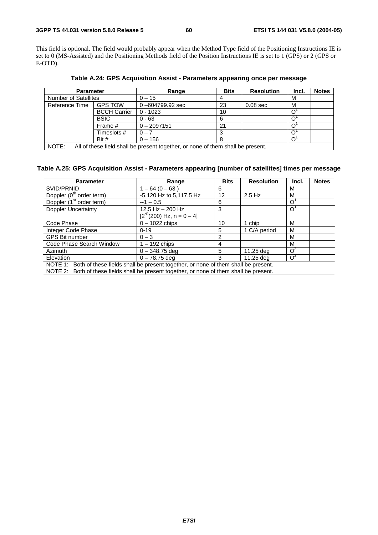This field is optional. The field would probably appear when the Method Type field of the Positioning Instructions IE is set to 0 (MS-Assisted) and the Positioning Methods field of the Position Instructions IE is set to 1 (GPS) or 2 (GPS or E-OTD).

| <b>Parameter</b>            |                     | Range                                                                           | <b>Bits</b> | <b>Resolution</b> | Incl. | <b>Notes</b> |
|-----------------------------|---------------------|---------------------------------------------------------------------------------|-------------|-------------------|-------|--------------|
| <b>Number of Satellites</b> |                     | $0 - 15$                                                                        |             |                   | М     |              |
| Reference Time              | <b>GPS TOW</b>      | $0 - 604799.92$ sec                                                             | 23          | $0.08$ sec        | М     |              |
|                             | <b>BCCH Carrier</b> | $0 - 1023$                                                                      | 10          |                   |       |              |
|                             | <b>BSIC</b>         | $0 - 63$                                                                        | 6           |                   |       |              |
|                             | Frame #             | $0 - 2097151$                                                                   | 21          |                   |       |              |
|                             | Timeslots #         | $0 - 7$                                                                         |             |                   |       |              |
|                             | Bit $#$             | $0 - 156$                                                                       |             |                   |       |              |
| NOTE:                       |                     | All of these field shall be present together, or none of them shall be present. |             |                   |       |              |

**Table A.24: GPS Acquisition Assist - Parameters appearing once per message** 

NOTE: All of these field shall be present together, or none of them shall be present.

#### **Table A.25: GPS Acquisition Assist - Parameters appearing [number of satellites] times per message**

| <b>Parameter</b>                                                                          | Range                        | <b>Bits</b> | <b>Resolution</b> | Incl.          | <b>Notes</b> |  |  |
|-------------------------------------------------------------------------------------------|------------------------------|-------------|-------------------|----------------|--------------|--|--|
| SVID/PRNID                                                                                | $1 - 64 (0 - 63)$            | 6           |                   | м              |              |  |  |
| Doppler (0 <sup>th</sup> order term)                                                      | -5,120 Hz to 5,117.5 Hz      | 12          | $2.5$ Hz          | м              |              |  |  |
| Doppler (1 <sup>st</sup> order term)                                                      | $-1 - 0.5$                   | 6           |                   | $\Omega$       |              |  |  |
| <b>Doppler Uncertainty</b>                                                                | 12.5 Hz - 200 Hz             | 3           |                   | $\overline{O}$ |              |  |  |
|                                                                                           | $[2^{n}(200)$ Hz, n = 0 - 4] |             |                   |                |              |  |  |
| Code Phase                                                                                | $0 - 1022$ chips             | 10          | 1 chip            | м              |              |  |  |
| Integer Code Phase                                                                        | $0 - 19$                     | 5           | 1 C/A period      | м              |              |  |  |
| <b>GPS Bit number</b>                                                                     | $0 - 3$                      | 2           |                   | м              |              |  |  |
| Code Phase Search Window                                                                  | $1 - 192$ chips              | 4           |                   | м              |              |  |  |
| Azimuth                                                                                   | $0 - 348.75$ deg             | 5           | 11.25 deg         | $O^2$          |              |  |  |
| Elevation                                                                                 | $0 - 78.75$ deg              | 3           | 11.25 dea         | $O^2$          |              |  |  |
| NOTE 1: Both of these fields shall be present together, or none of them shall be present. |                              |             |                   |                |              |  |  |
| NOTE 2: Both of these fields shall be present together, or none of them shall be present. |                              |             |                   |                |              |  |  |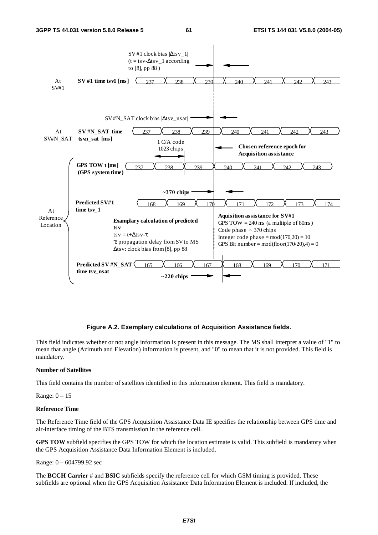![](_page_61_Figure_3.jpeg)

#### **Figure A.2. Exemplary calculations of Acquisition Assistance fields.**

This field indicates whether or not angle information is present in this message. The MS shall interpret a value of "1" to mean that angle (Azimuth and Elevation) information is present, and "0" to mean that it is not provided. This field is mandatory.

#### **Number of Satellites**

This field contains the number of satellites identified in this information element. This field is mandatory.

Range: 0 – 15

#### **Reference Time**

The Reference Time field of the GPS Acquisition Assistance Data IE specifies the relationship between GPS time and air-interface timing of the BTS transmission in the reference cell.

**GPS TOW** subfield specifies the GPS TOW for which the location estimate is valid. This subfield is mandatory when the GPS Acquisition Assistance Data Information Element is included.

Range: 0 – 604799.92 sec

The **BCCH Carrier** # and **BSIC** subfields specify the reference cell for which GSM timing is provided. These subfields are optional when the GPS Acquisition Assistance Data Information Element is included. If included, the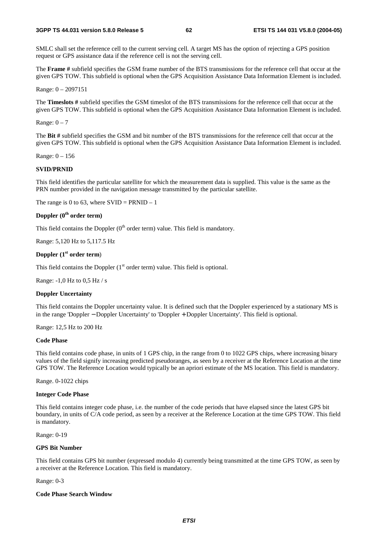SMLC shall set the reference cell to the current serving cell. A target MS has the option of rejecting a GPS position request or GPS assistance data if the reference cell is not the serving cell.

The **Frame #** subfield specifies the GSM frame number of the BTS transmissions for the reference cell that occur at the given GPS TOW. This subfield is optional when the GPS Acquisition Assistance Data Information Element is included.

Range: 0 – 2097151

The **Timeslots #** subfield specifies the GSM timeslot of the BTS transmissions for the reference cell that occur at the given GPS TOW. This subfield is optional when the GPS Acquisition Assistance Data Information Element is included.

Range:  $0 - 7$ 

The **Bit #** subfield specifies the GSM and bit number of the BTS transmissions for the reference cell that occur at the given GPS TOW. This subfield is optional when the GPS Acquisition Assistance Data Information Element is included.

Range: 0 – 156

#### **SVID/PRNID**

This field identifies the particular satellite for which the measurement data is supplied. This value is the same as the PRN number provided in the navigation message transmitted by the particular satellite.

The range is 0 to 63, where  $SVID = PRNID - 1$ 

#### **Doppler (0th order term)**

This field contains the Doppler  $(0<sup>th</sup>$  order term) value. This field is mandatory.

Range: 5,120 Hz to 5,117.5 Hz

#### **Doppler (1st order term**)

This field contains the Doppler  $(1<sup>st</sup> order term)$  value. This field is optional.

Range: -1,0 Hz to 0,5 Hz / s

#### **Doppler Uncertainty**

This field contains the Doppler uncertainty value. It is defined such that the Doppler experienced by a stationary MS is in the range 'Doppler − Doppler Uncertainty' to 'Doppler + Doppler Uncertainty'. This field is optional.

Range: 12,5 Hz to 200 Hz

#### **Code Phase**

This field contains code phase, in units of 1 GPS chip, in the range from 0 to 1022 GPS chips, where increasing binary values of the field signify increasing predicted pseudoranges, as seen by a receiver at the Reference Location at the time GPS TOW. The Reference Location would typically be an apriori estimate of the MS location. This field is mandatory.

Range. 0-1022 chips

#### **Integer Code Phase**

This field contains integer code phase, i.e. the number of the code periods that have elapsed since the latest GPS bit boundary, in units of C/A code period, as seen by a receiver at the Reference Location at the time GPS TOW. This field is mandatory.

Range: 0-19

#### **GPS Bit Number**

This field contains GPS bit number (expressed modulo 4) currently being transmitted at the time GPS TOW, as seen by a receiver at the Reference Location. This field is mandatory.

Range: 0-3

#### **Code Phase Search Window**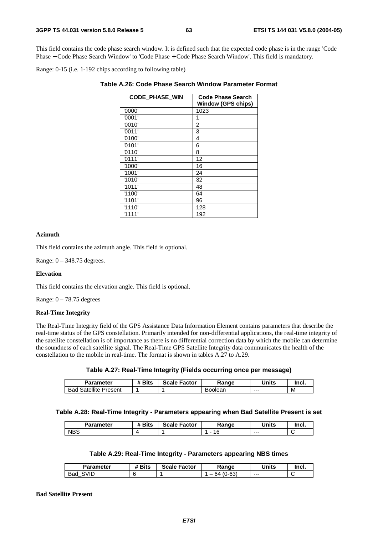This field contains the code phase search window. It is defined such that the expected code phase is in the range 'Code Phase − Code Phase Search Window' to 'Code Phase + Code Phase Search Window'. This field is mandatory.

Range: 0-15 (i.e. 1-192 chips according to following table)

| <b>CODE PHASE WIN</b> | <b>Code Phase Search</b><br>Window (GPS chips) |
|-----------------------|------------------------------------------------|
| '0000'                | 1023                                           |
| '0001'                | 1                                              |
| '0010'                | 2                                              |
| '0011'                | 3                                              |
| '0100'                | 4                                              |
| '0101'                | 6                                              |
| '0110'                | 8                                              |
| '0111'                | 12                                             |
| '1000'                | 16                                             |
| '1001'                | 24                                             |
| '1010'                | 32                                             |
| '1011'                | 48                                             |
| '1100'                | 64                                             |
| '1101'                | 96                                             |
| '1110'                | 128                                            |
| '1111'                | 192                                            |

| Table A.26: Code Phase Search Window Parameter Format |  |
|-------------------------------------------------------|--|
|-------------------------------------------------------|--|

#### **Azimuth**

This field contains the azimuth angle. This field is optional.

Range: 0 – 348.75 degrees.

#### **Elevation**

This field contains the elevation angle. This field is optional.

Range:  $0 - 78.75$  degrees

#### **Real-Time Integrity**

The Real-Time Integrity field of the GPS Assistance Data Information Element contains parameters that describe the real-time status of the GPS constellation. Primarily intended for non-differential applications, the real-time integrity of the satellite constellation is of importance as there is no differential correction data by which the mobile can determine the soundness of each satellite signal. The Real-Time GPS Satellite Integrity data communicates the health of the constellation to the mobile in real-time. The format is shown in tables A.27 to A.29.

#### **Table A.27: Real-Time Integrity (Fields occurring once per message)**

| <b>Parameter</b>                   | <b># Bits</b> | <b>Scale Factor</b> | Range           | Units | -Inci. |
|------------------------------------|---------------|---------------------|-----------------|-------|--------|
| <b>Satellite</b><br>Bad<br>Present |               |                     | oolean}<br>−טרי | ---   | м      |

#### **Table A.28: Real-Time Integrity - Parameters appearing when Bad Satellite Present is set**

| Parameter  | <b>Bits</b><br><br>π | <b>Scale</b><br>. Factor | Ranqe | Units   | Incl. |
|------------|----------------------|--------------------------|-------|---------|-------|
| <b>NBS</b> |                      |                          | ╰     | $- - -$ | ∼     |

#### **Table A.29: Real-Time Integrity - Parameters appearing NBS times**

| Parameter   | # Bits | <b>Scale Factor</b> | Range               | Units | Incl. |
|-------------|--------|---------------------|---------------------|-------|-------|
| SVID<br>Bad |        |                     | $(0 - 63)$<br>. 64. | $--$  |       |

#### **Bad Satellite Present**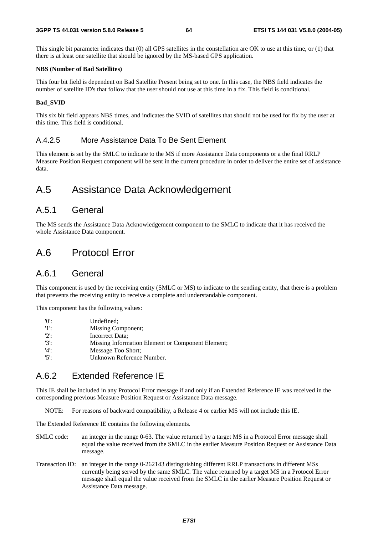This single bit parameter indicates that (0) all GPS satellites in the constellation are OK to use at this time, or (1) that there is at least one satellite that should be ignored by the MS-based GPS application.

#### **NBS (Number of Bad Satellites)**

This four bit field is dependent on Bad Satellite Present being set to one. In this case, the NBS field indicates the number of satellite ID's that follow that the user should not use at this time in a fix. This field is conditional.

#### **Bad\_SVID**

This six bit field appears NBS times, and indicates the SVID of satellites that should not be used for fix by the user at this time. This field is conditional.

### A.4.2.5 More Assistance Data To Be Sent Element

This element is set by the SMLC to indicate to the MS if more Assistance Data components or a the final RRLP Measure Position Request component will be sent in the current procedure in order to deliver the entire set of assistance data.

## A.5 Assistance Data Acknowledgement

### A.5.1 General

The MS sends the Assistance Data Acknowledgement component to the SMLC to indicate that it has received the whole Assistance Data component.

## A.6 Protocol Error

### A.6.1 General

This component is used by the receiving entity (SMLC or MS) to indicate to the sending entity, that there is a problem that prevents the receiving entity to receive a complete and understandable component.

This component has the following values:

| $^{\prime}$ () <sup><math>\cdot</math></sup> | Undefined:                                        |
|----------------------------------------------|---------------------------------------------------|
| $'1$ ':                                      | Missing Component;                                |
| $'2$ :                                       | Incorrect Data:                                   |
| $'3'$ :                                      | Missing Information Element or Component Element; |
| '4'                                          | Message Too Short:                                |
| $'5$ .                                       | Unknown Reference Number.                         |

## A.6.2 Extended Reference IE

This IE shall be included in any Protocol Error message if and only if an Extended Reference IE was received in the corresponding previous Measure Position Request or Assistance Data message.

NOTE: For reasons of backward compatibility, a Release 4 or earlier MS will not include this IE.

The Extended Reference IE contains the following elements.

- SMLC code: an integer in the range 0-63. The value returned by a target MS in a Protocol Error message shall equal the value received from the SMLC in the earlier Measure Position Request or Assistance Data message.
- Transaction ID: an integer in the range 0-262143 distinguishing different RRLP transactions in different MSs currently being served by the same SMLC. The value returned by a target MS in a Protocol Error message shall equal the value received from the SMLC in the earlier Measure Position Request or Assistance Data message.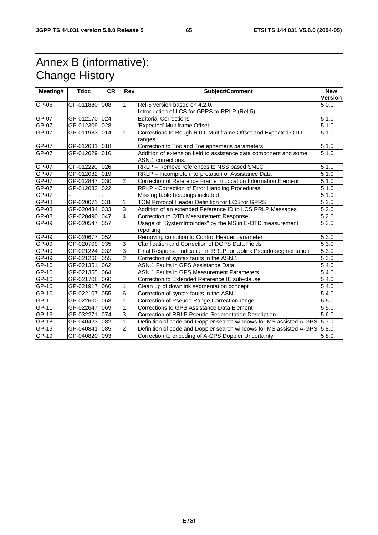## Annex B (informative): Change History

| Meeting# | <b>Tdoc</b>   | <b>CR</b> | <b>Rev</b>              | <b>Subject/Comment</b>                                                                  | <b>New</b><br><b>Version</b> |
|----------|---------------|-----------|-------------------------|-----------------------------------------------------------------------------------------|------------------------------|
| GP-06    | GP-011880 008 |           | 1                       | Rel-5 version based on 4.2.0.                                                           | 5.0.0                        |
|          |               |           |                         | Introduction of LCS for GPRS to RRLP (Rel-5)                                            |                              |
| GP-07    | GP-012170 024 |           |                         | <b>Editorial Corrections</b>                                                            | 5.1.0                        |
| GP-07    | GP-012309 028 |           |                         | <b>Expected' Multiframe Offset</b>                                                      | 5.1.0                        |
| GP-07    | GP-011983 014 |           | 1                       | Corrections to Rough RTD, Multiframe Offset and Expected OTD<br>ranges.                 | 5.1.0                        |
| GP-07    | GP-012031     | 018       |                         | Correction to Toc and Toe ephemeris parameters                                          | 5.1.0                        |
| GP-07    | GP-012029 016 |           |                         | Addition of extension field to assistance data component and some<br>ASN.1 corrections. | 5.1.0                        |
| GP-07    | GP-012220 026 |           |                         | RRLP - Remove references to NSS based SMLC                                              | 5.1.0                        |
| GP-07    | GP-012032 019 |           |                         | RRLP - Incomplete interpretation of Assistance Data                                     | $\overline{5}.1.0$           |
| GP-07    | GP-012847 030 |           | $\overline{c}$          | Correction of Reference Frame in Location Information Element                           | 5.1.0                        |
| GP-07    | GP-012033 022 |           |                         | RRLP - Correction of Error Handling Procedures                                          | $\overline{5.1}$ .0          |
| GP-07    |               |           |                         | Missing table headings included                                                         | $\overline{5.1.0}$           |
| GP-08    | GP-020071     | 031       | 1                       | TOM Protocol Header Definition for LCS for GPRS                                         | 5.2.0                        |
| GP-08    | GP-020434 033 |           | 3                       | Addition of an extended Reference ID to LCS RRLP Messages                               | 5.2.0                        |
| GP-08    | GP-020490 047 |           | $\overline{\mathbf{4}}$ | Correction to OTD Measurement Response                                                  | 5.2.0                        |
| GP-09    | GP-020547 057 |           |                         | Usage of "SystemInfoIndex" by the MS in E-OTD measurement<br>reporting                  | 5.3.0                        |
| GP-09    | GP-020677 052 |           |                         | Removing condition to Control Header parameter                                          | 5.3.0                        |
| GP-09    | GP-020709 035 |           | 3                       | Clarification and Correction of DGPS Data Fields                                        | 5.3.0                        |
| GP-09    | GP-021224 032 |           | 3                       | Final Response Indication in RRLP for Uplink Pseudo-segmentation                        | 5.3.0                        |
| GP-09    | GP-021266 055 |           | $\overline{2}$          | Correction of syntax faults in the ASN.1                                                | $\overline{5.3.0}$           |
| GP-10    | GP-021351 062 |           |                         | ASN.1 Faults in GPS Assistance Data                                                     | $\overline{5.4.0}$           |
| GP-10    | GP-021355 064 |           |                         | <b>ASN.1 Faults in GPS Measurement Parameters</b>                                       | 5.4.0                        |
| $GP-10$  | GP-021708 060 |           |                         | Correction to Extended Reference IE sub-clause                                          | 5.4.0                        |
| GP-10    | GP-021917 066 |           |                         | Clean up of downlink segmentation concept                                               | 5.4.0                        |
| GP-10    | GP-022107 055 |           | 6                       | Correction of syntax faults in the ASN.1                                                | 5.4.0                        |
| GP-11    | GP-022600 068 |           | 1                       | Correction of Pseudo Range Correction range                                             | $\overline{5.5.0}$           |
| GP-11    | GP-022647 069 |           | 1                       | Corrections to GPS Assistance Data Element                                              | 5.5.0                        |
| $GF-16$  | GP-032271     | 074       | 3                       | Correction of RRLP Pseudo-Segmentation Description                                      | 5.6.0                        |
| $GP-18$  | GP-040423 082 |           | 1                       | Definition of code and Doppler search windows for MS assisted A-GPS 5.7.0               |                              |
| GP-19    | GP-040841 085 |           | $\overline{2}$          | Definition of code and Doppler search windows for MS assisted A-GPS 5.8.0               |                              |
| GP-19    | GP-040820 093 |           |                         | Correction to encoding of A-GPS Doppler Uncertainty                                     | 5.8.0                        |